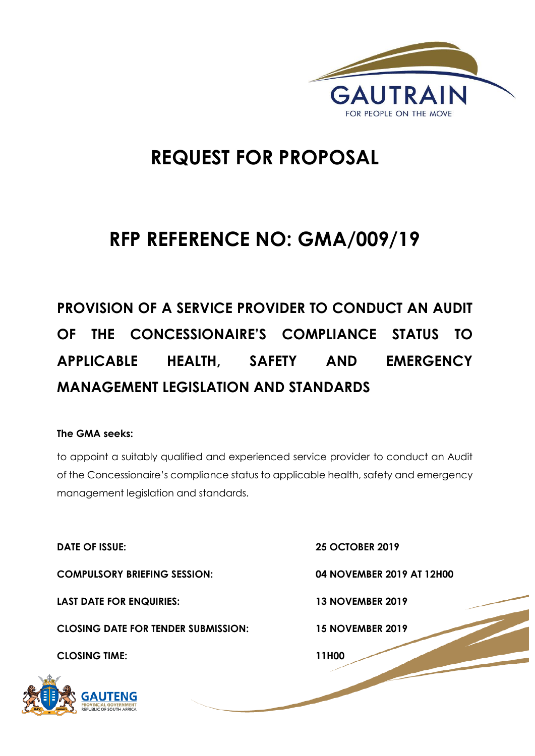

# **REQUEST FOR PROPOSAL**

# **RFP REFERENCE NO: GMA/009/19**

**PROVISION OF A SERVICE PROVIDER TO CONDUCT AN AUDIT OF THE CONCESSIONAIRE'S COMPLIANCE STATUS TO APPLICABLE HEALTH, SAFETY AND EMERGENCY MANAGEMENT LEGISLATION AND STANDARDS**

# **The GMA seeks:**

to appoint a suitably qualified and experienced service provider to conduct an Audit of the Concessionaire's compliance status to applicable health, safety and emergency management legislation and standards.

**DATE OF ISSUE: 25 OCTOBER 2019 COMPULSORY BRIEFING SESSION: 04 NOVEMBER 2019 AT 12H00 LAST DATE FOR ENQUIRIES: 13 NOVEMBER 2019 CLOSING DATE FOR TENDER SUBMISSION: 15 NOVEMBER 2019 CLOSING TIME: 11H00** 



1 | P a g e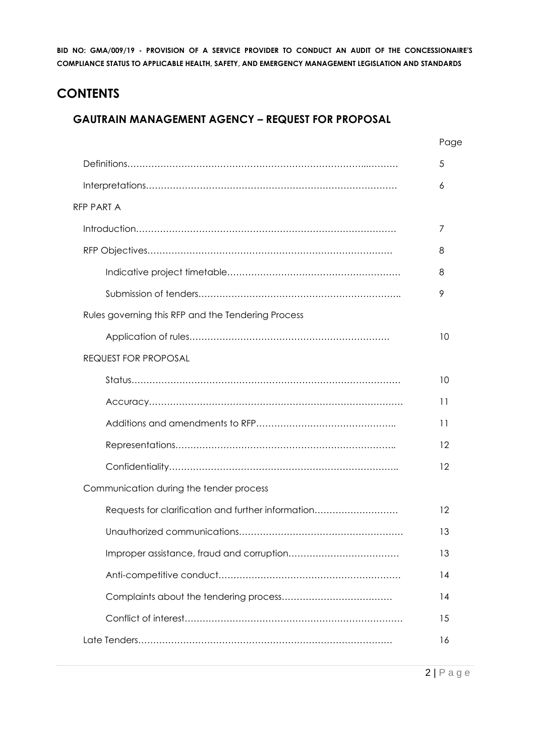# **CONTENTS**

# **GAUTRAIN MANAGEMENT AGENCY – REQUEST FOR PROPOSAL**

|                                                    | Page |
|----------------------------------------------------|------|
|                                                    | 5    |
|                                                    | 6    |
| RFP PART A                                         |      |
|                                                    | 7    |
|                                                    | 8    |
|                                                    | 8    |
|                                                    | 9    |
| Rules governing this RFP and the Tendering Process |      |
|                                                    | 10   |
| <b>REQUEST FOR PROPOSAL</b>                        |      |
|                                                    | 10   |
|                                                    | 11   |
|                                                    | 11   |
|                                                    | 12   |
|                                                    | 12   |
| Communication during the tender process            |      |
| Requests for clarification and further information | 12   |
|                                                    | 13   |
|                                                    | 13   |
|                                                    | 14   |
|                                                    | 14   |
|                                                    | 15   |
|                                                    | 16   |
|                                                    |      |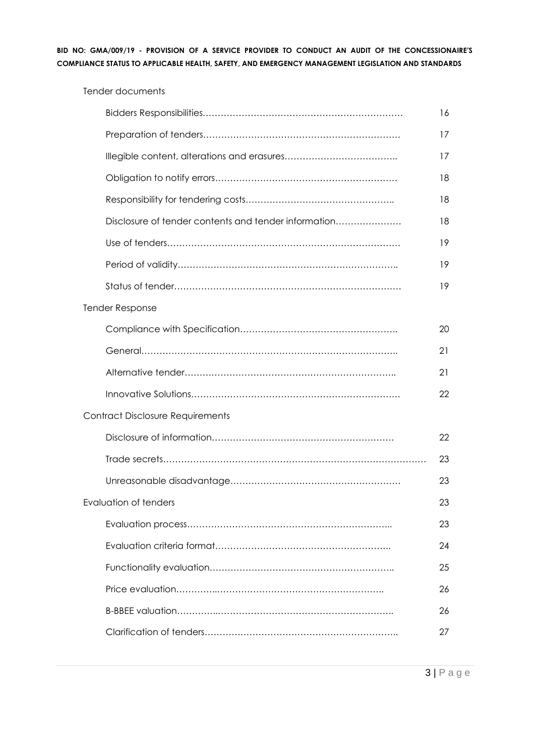|                                                      | 16 |
|------------------------------------------------------|----|
|                                                      | 17 |
|                                                      | 17 |
|                                                      | 18 |
|                                                      | 18 |
| Disclosure of tender contents and tender information | 18 |
|                                                      | 19 |
|                                                      | 19 |
|                                                      | 19 |
| <b>Tender Response</b>                               |    |
|                                                      | 20 |
|                                                      | 21 |
|                                                      | 21 |
|                                                      | 22 |
| <b>Contract Disclosure Requirements</b>              |    |
|                                                      | 22 |
|                                                      | 23 |
|                                                      | 23 |
| <b>Evaluation of tenders</b>                         | 23 |
|                                                      | 23 |
|                                                      | 24 |
|                                                      | 25 |
|                                                      | 26 |
|                                                      | 26 |
|                                                      | 27 |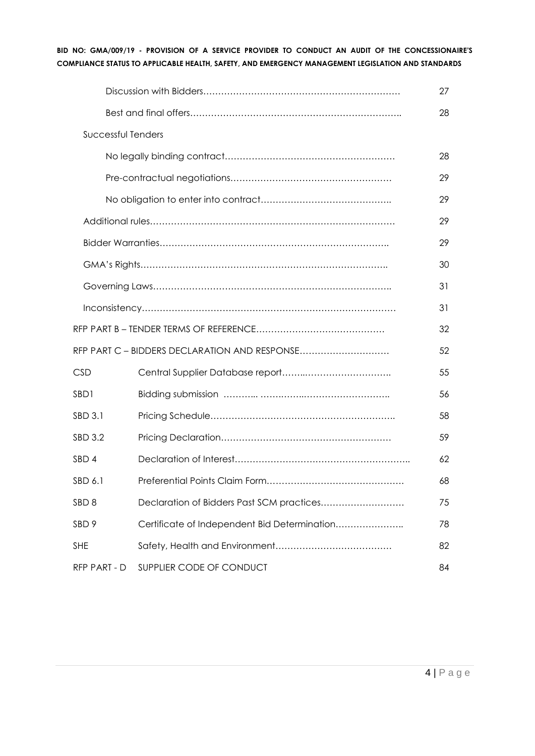|                    |                                               | 27 |
|--------------------|-----------------------------------------------|----|
|                    |                                               | 28 |
| Successful Tenders |                                               |    |
|                    |                                               | 28 |
|                    |                                               | 29 |
|                    |                                               | 29 |
|                    |                                               | 29 |
|                    |                                               | 29 |
|                    |                                               | 30 |
|                    |                                               | 31 |
|                    |                                               | 31 |
|                    |                                               | 32 |
|                    | RFP PART C - BIDDERS DECLARATION AND RESPONSE | 52 |
| <b>CSD</b>         |                                               | 55 |
| SBD1               |                                               | 56 |
| SBD 3.1            |                                               | 58 |
| SBD 3.2            |                                               | 59 |
| SBD 4              |                                               | 62 |
| SBD 6.1            |                                               | 68 |
| SBD <sub>8</sub>   | Declaration of Bidders Past SCM practices     | 75 |
| SBD <sub>9</sub>   | Certificate of Independent Bid Determination  | 78 |
| <b>SHE</b>         |                                               | 82 |
| RFP PART - D       | SUPPLIER CODE OF CONDUCT                      | 84 |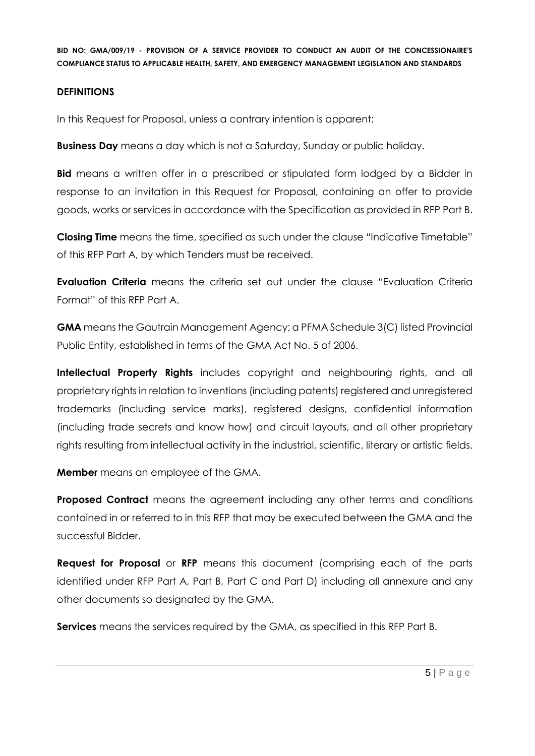#### **DEFINITIONS**

In this Request for Proposal, unless a contrary intention is apparent:

**Business Day** means a day which is not a Saturday, Sunday or public holiday.

**Bid** means a written offer in a prescribed or stipulated form lodged by a Bidder in response to an invitation in this Request for Proposal, containing an offer to provide goods, works or services in accordance with the Specification as provided in RFP Part B.

**Closing Time** means the time, specified as such under the clause "Indicative Timetable" of this RFP Part A, by which Tenders must be received.

**Evaluation Criteria** means the criteria set out under the clause "Evaluation Criteria Format" of this RFP Part A.

**GMA** means the Gautrain Management Agency; a PFMA Schedule 3(C) listed Provincial Public Entity, established in terms of the GMA Act No. 5 of 2006.

**Intellectual Property Rights** includes copyright and neighbouring rights, and all proprietary rights in relation to inventions (including patents) registered and unregistered trademarks (including service marks), registered designs, confidential information (including trade secrets and know how) and circuit layouts, and all other proprietary rights resulting from intellectual activity in the industrial, scientific, literary or artistic fields.

**Member** means an employee of the GMA.

**Proposed Contract** means the agreement including any other terms and conditions contained in or referred to in this RFP that may be executed between the GMA and the successful Bidder.

**Request for Proposal** or **RFP** means this document (comprising each of the parts identified under RFP Part A, Part B, Part C and Part D) including all annexure and any other documents so designated by the GMA.

**Services** means the services required by the GMA, as specified in this RFP Part B.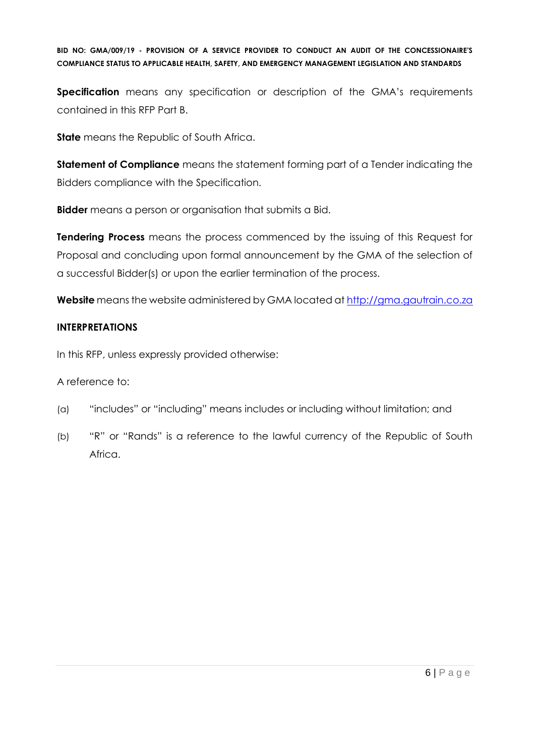**Specification** means any specification or description of the GMA's requirements contained in this RFP Part B.

**State** means the Republic of South Africa.

**Statement of Compliance** means the statement forming part of a Tender indicating the Bidders compliance with the Specification.

**Bidder** means a person or organisation that submits a Bid.

**Tendering Process** means the process commenced by the issuing of this Request for Proposal and concluding upon formal announcement by the GMA of the selection of a successful Bidder(s) or upon the earlier termination of the process.

**Website** means the website administered by GMA located at [http://gma.gautrain.co.za](http://gma.gautrain.co.za/)

# **INTERPRETATIONS**

In this RFP, unless expressly provided otherwise:

A reference to:

- (a) "includes" or "including" means includes or including without limitation; and
- (b) "R" or "Rands" is a reference to the lawful currency of the Republic of South Africa.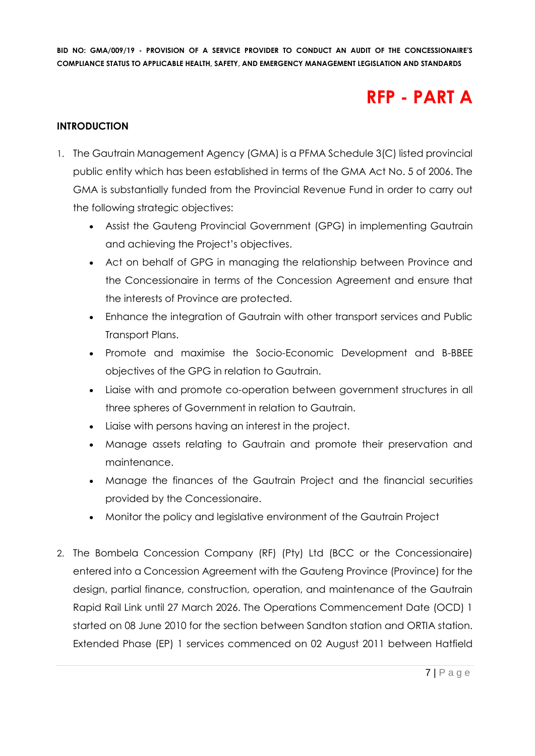# **RFP - PART A**

# **INTRODUCTION**

- 1. The Gautrain Management Agency (GMA) is a PFMA Schedule 3(C) listed provincial public entity which has been established in terms of the GMA Act No. 5 of 2006. The GMA is substantially funded from the Provincial Revenue Fund in order to carry out the following strategic objectives:
	- Assist the Gauteng Provincial Government (GPG) in implementing Gautrain and achieving the Project's objectives.
	- Act on behalf of GPG in managing the relationship between Province and the Concessionaire in terms of the Concession Agreement and ensure that the interests of Province are protected.
	- Enhance the integration of Gautrain with other transport services and Public Transport Plans.
	- Promote and maximise the Socio-Economic Development and B-BBEE objectives of the GPG in relation to Gautrain.
	- Liaise with and promote co-operation between government structures in all three spheres of Government in relation to Gautrain.
	- Liaise with persons having an interest in the project.
	- Manage assets relating to Gautrain and promote their preservation and maintenance.
	- Manage the finances of the Gautrain Project and the financial securities provided by the Concessionaire.
	- Monitor the policy and legislative environment of the Gautrain Project
- 2. The Bombela Concession Company (RF) (Pty) Ltd (BCC or the Concessionaire) entered into a Concession Agreement with the Gauteng Province (Province) for the design, partial finance, construction, operation, and maintenance of the Gautrain Rapid Rail Link until 27 March 2026. The Operations Commencement Date (OCD) 1 started on 08 June 2010 for the section between Sandton station and ORTIA station. Extended Phase (EP) 1 services commenced on 02 August 2011 between Hatfield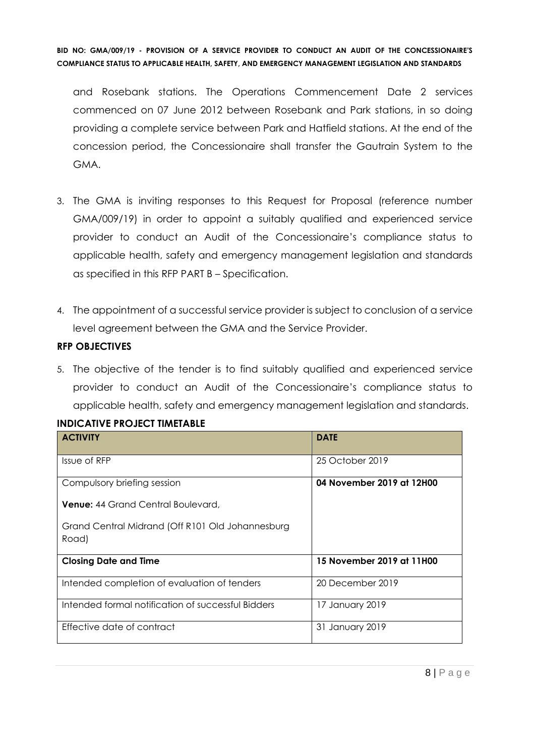and Rosebank stations. The Operations Commencement Date 2 services commenced on 07 June 2012 between Rosebank and Park stations, in so doing providing a complete service between Park and Hatfield stations. At the end of the concession period, the Concessionaire shall transfer the Gautrain System to the GMA.

- 3. The GMA is inviting responses to this Request for Proposal (reference number GMA/009/19) in order to appoint a suitably qualified and experienced service provider to conduct an Audit of the Concessionaire's compliance status to applicable health, safety and emergency management legislation and standards as specified in this RFP PART B – Specification.
- 4. The appointment of a successful service provider is subject to conclusion of a service level agreement between the GMA and the Service Provider.

#### **RFP OBJECTIVES**

5. The objective of the tender is to find suitably qualified and experienced service provider to conduct an Audit of the Concessionaire's compliance status to applicable health, safety and emergency management legislation and standards.

| <b>ACTIVITY</b>                                           | <b>DATE</b>               |
|-----------------------------------------------------------|---------------------------|
| Issue of RFP                                              | 25 October 2019           |
| Compulsory briefing session                               | 04 November 2019 at 12H00 |
| <b>Venue:</b> 44 Grand Central Boulevard,                 |                           |
| Grand Central Midrand (Off R101 Old Johannesburg<br>Road) |                           |
| <b>Closing Date and Time</b>                              | 15 November 2019 at 11H00 |
| Intended completion of evaluation of tenders              | 20 December 2019          |
| Intended formal notification of successful Bidders        | 17 January 2019           |
| Effective date of contract                                | 31 January 2019           |

# **INDICATIVE PROJECT TIMETABLE**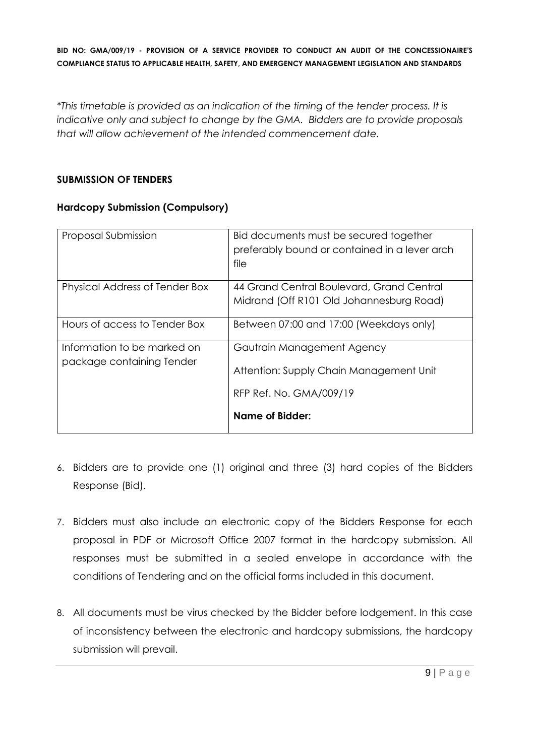*\*This timetable is provided as an indication of the timing of the tender process. It is indicative only and subject to change by the GMA. Bidders are to provide proposals that will allow achievement of the intended commencement date.*

#### **SUBMISSION OF TENDERS**

# **Hardcopy Submission (Compulsory)**

| Proposal Submission                                      | Bid documents must be secured together<br>preferably bound or contained in a lever arch<br>file  |
|----------------------------------------------------------|--------------------------------------------------------------------------------------------------|
| Physical Address of Tender Box                           | 44 Grand Central Boulevard, Grand Central<br>Midrand (Off R101 Old Johannesburg Road)            |
| Hours of access to Tender Box                            | Between 07:00 and 17:00 (Weekdays only)                                                          |
| Information to be marked on<br>package containing Tender | Gautrain Management Agency<br>Attention: Supply Chain Management Unit<br>RFP Ref. No. GMA/009/19 |
|                                                          | Name of Bidder:                                                                                  |

- 6. Bidders are to provide one (1) original and three (3) hard copies of the Bidders Response (Bid).
- 7. Bidders must also include an electronic copy of the Bidders Response for each proposal in PDF or Microsoft Office 2007 format in the hardcopy submission. All responses must be submitted in a sealed envelope in accordance with the conditions of Tendering and on the official forms included in this document.
- 8. All documents must be virus checked by the Bidder before lodgement. In this case of inconsistency between the electronic and hardcopy submissions, the hardcopy submission will prevail.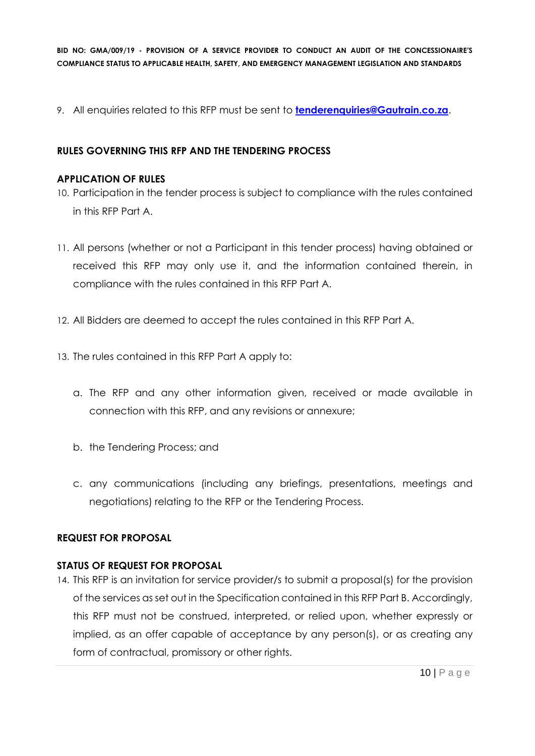9. All enquiries related to this RFP must be sent to **[tenderenquiries@Gautrain.co.za](mailto:tenderenquiries@Gautrain.co.za)**.

# **RULES GOVERNING THIS RFP AND THE TENDERING PROCESS**

#### **APPLICATION OF RULES**

- 10. Participation in the tender process is subject to compliance with the rules contained in this RFP Part A.
- 11. All persons (whether or not a Participant in this tender process) having obtained or received this RFP may only use it, and the information contained therein, in compliance with the rules contained in this RFP Part A.
- 12. All Bidders are deemed to accept the rules contained in this RFP Part A.
- 13. The rules contained in this RFP Part A apply to:
	- a. The RFP and any other information given, received or made available in connection with this RFP, and any revisions or annexure;
	- b. the Tendering Process; and
	- c. any communications (including any briefings, presentations, meetings and negotiations) relating to the RFP or the Tendering Process.

#### **REQUEST FOR PROPOSAL**

#### **STATUS OF REQUEST FOR PROPOSAL**

14. This RFP is an invitation for service provider/s to submit a proposal(s) for the provision of the services as set out in the Specification contained in this RFP Part B. Accordingly, this RFP must not be construed, interpreted, or relied upon, whether expressly or implied, as an offer capable of acceptance by any person(s), or as creating any form of contractual, promissory or other rights.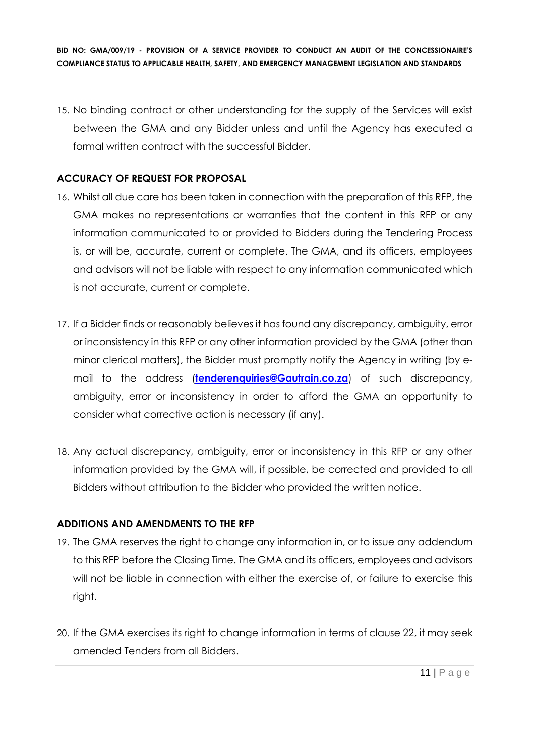15. No binding contract or other understanding for the supply of the Services will exist between the GMA and any Bidder unless and until the Agency has executed a formal written contract with the successful Bidder.

# **ACCURACY OF REQUEST FOR PROPOSAL**

- 16. Whilst all due care has been taken in connection with the preparation of this RFP, the GMA makes no representations or warranties that the content in this RFP or any information communicated to or provided to Bidders during the Tendering Process is, or will be, accurate, current or complete. The GMA, and its officers, employees and advisors will not be liable with respect to any information communicated which is not accurate, current or complete.
- 17. If a Bidder finds or reasonably believes it has found any discrepancy, ambiguity, error or inconsistency in this RFP or any other information provided by the GMA (other than minor clerical matters), the Bidder must promptly notify the Agency in writing (by email to the address (**[tenderenquiries@Gautrain.co.za](mailto:tenderenquiries@Gautrain.co.za)**) of such discrepancy, ambiguity, error or inconsistency in order to afford the GMA an opportunity to consider what corrective action is necessary (if any).
- 18. Any actual discrepancy, ambiguity, error or inconsistency in this RFP or any other information provided by the GMA will, if possible, be corrected and provided to all Bidders without attribution to the Bidder who provided the written notice.

# **ADDITIONS AND AMENDMENTS TO THE RFP**

- 19. The GMA reserves the right to change any information in, or to issue any addendum to this RFP before the Closing Time. The GMA and its officers, employees and advisors will not be liable in connection with either the exercise of, or failure to exercise this right.
- 20. If the GMA exercises its right to change information in terms of clause 22, it may seek amended Tenders from all Bidders.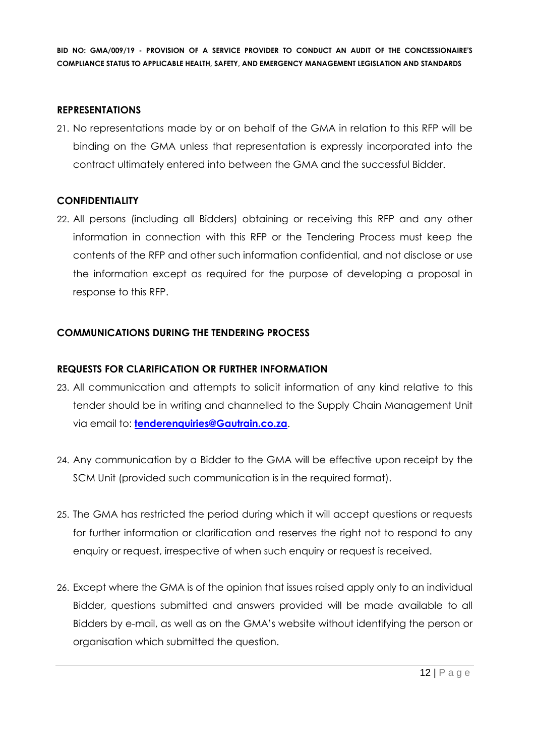#### **REPRESENTATIONS**

21. No representations made by or on behalf of the GMA in relation to this RFP will be binding on the GMA unless that representation is expressly incorporated into the contract ultimately entered into between the GMA and the successful Bidder.

#### **CONFIDENTIALITY**

22. All persons (including all Bidders) obtaining or receiving this RFP and any other information in connection with this RFP or the Tendering Process must keep the contents of the RFP and other such information confidential, and not disclose or use the information except as required for the purpose of developing a proposal in response to this RFP.

#### **COMMUNICATIONS DURING THE TENDERING PROCESS**

# **REQUESTS FOR CLARIFICATION OR FURTHER INFORMATION**

- 23. All communication and attempts to solicit information of any kind relative to this tender should be in writing and channelled to the Supply Chain Management Unit via email to: **[tenderenquiries@Gautrain.co.za](mailto:tenderenquiries@gautrainpo.co.za)**.
- 24. Any communication by a Bidder to the GMA will be effective upon receipt by the SCM Unit (provided such communication is in the required format).
- 25. The GMA has restricted the period during which it will accept questions or requests for further information or clarification and reserves the right not to respond to any enquiry or request, irrespective of when such enquiry or request is received.
- 26. Except where the GMA is of the opinion that issues raised apply only to an individual Bidder, questions submitted and answers provided will be made available to all Bidders by e-mail, as well as on the GMA's website without identifying the person or organisation which submitted the question.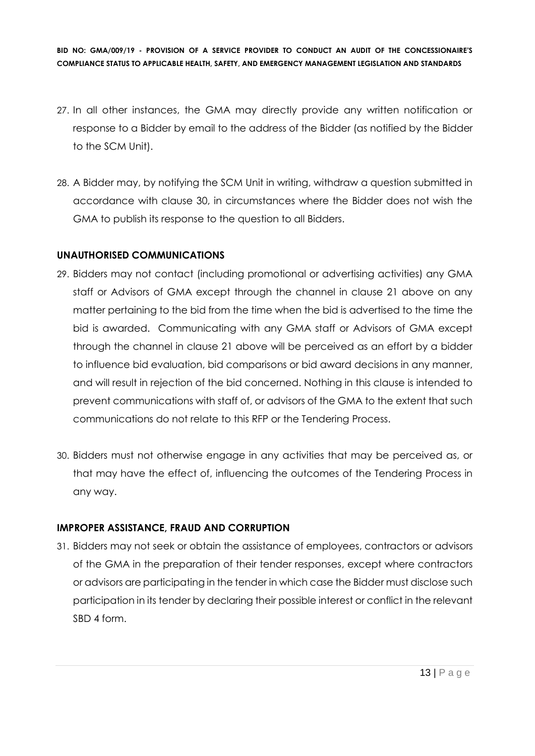- 27. In all other instances, the GMA may directly provide any written notification or response to a Bidder by email to the address of the Bidder (as notified by the Bidder to the SCM Unit).
- 28. A Bidder may, by notifying the SCM Unit in writing, withdraw a question submitted in accordance with clause 30, in circumstances where the Bidder does not wish the GMA to publish its response to the question to all Bidders.

#### **UNAUTHORISED COMMUNICATIONS**

- 29. Bidders may not contact (including promotional or advertising activities) any GMA staff or Advisors of GMA except through the channel in clause 21 above on any matter pertaining to the bid from the time when the bid is advertised to the time the bid is awarded. Communicating with any GMA staff or Advisors of GMA except through the channel in clause 21 above will be perceived as an effort by a bidder to influence bid evaluation, bid comparisons or bid award decisions in any manner, and will result in rejection of the bid concerned. Nothing in this clause is intended to prevent communications with staff of, or advisors of the GMA to the extent that such communications do not relate to this RFP or the Tendering Process.
- 30. Bidders must not otherwise engage in any activities that may be perceived as, or that may have the effect of, influencing the outcomes of the Tendering Process in any way.

#### **IMPROPER ASSISTANCE, FRAUD AND CORRUPTION**

31. Bidders may not seek or obtain the assistance of employees, contractors or advisors of the GMA in the preparation of their tender responses, except where contractors or advisors are participating in the tender in which case the Bidder must disclose such participation in its tender by declaring their possible interest or conflict in the relevant SBD 4 form.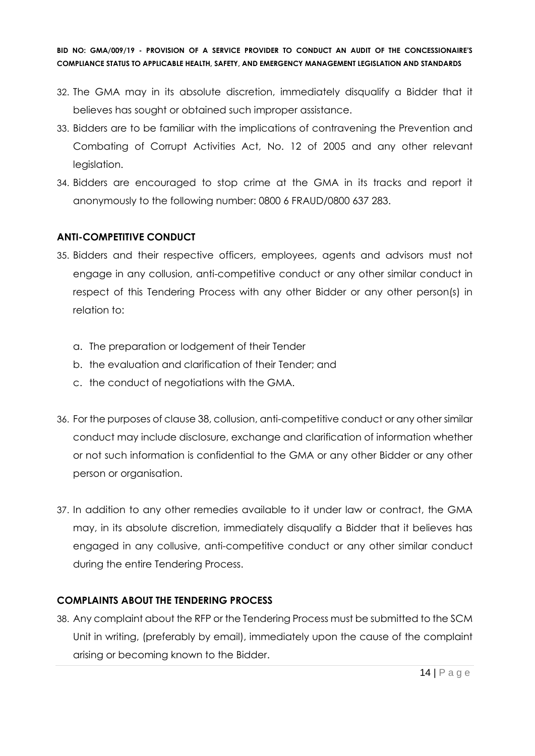- 32. The GMA may in its absolute discretion, immediately disqualify a Bidder that it believes has sought or obtained such improper assistance.
- 33. Bidders are to be familiar with the implications of contravening the Prevention and Combating of Corrupt Activities Act, No. 12 of 2005 and any other relevant legislation.
- 34. Bidders are encouraged to stop crime at the GMA in its tracks and report it anonymously to the following number: 0800 6 FRAUD/0800 637 283.

# **ANTI-COMPETITIVE CONDUCT**

- 35. Bidders and their respective officers, employees, agents and advisors must not engage in any collusion, anti-competitive conduct or any other similar conduct in respect of this Tendering Process with any other Bidder or any other person(s) in relation to:
	- a. The preparation or lodgement of their Tender
	- b. the evaluation and clarification of their Tender; and
	- c. the conduct of negotiations with the GMA.
- 36. For the purposes of clause 38, collusion, anti-competitive conduct or any other similar conduct may include disclosure, exchange and clarification of information whether or not such information is confidential to the GMA or any other Bidder or any other person or organisation.
- 37. In addition to any other remedies available to it under law or contract, the GMA may, in its absolute discretion, immediately disqualify a Bidder that it believes has engaged in any collusive, anti-competitive conduct or any other similar conduct during the entire Tendering Process.

# **COMPLAINTS ABOUT THE TENDERING PROCESS**

38. Any complaint about the RFP or the Tendering Process must be submitted to the SCM Unit in writing, (preferably by email), immediately upon the cause of the complaint arising or becoming known to the Bidder.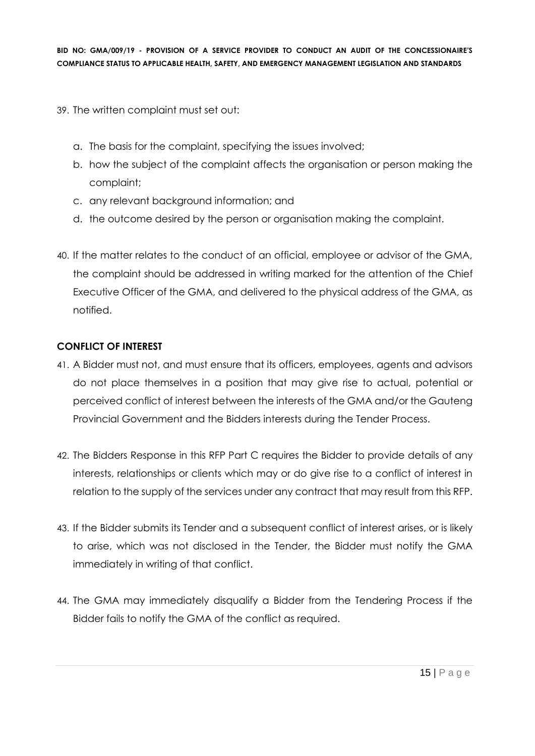- 39. The written complaint must set out:
	- a. The basis for the complaint, specifying the issues involved;
	- b. how the subject of the complaint affects the organisation or person making the complaint;
	- c. any relevant background information; and
	- d. the outcome desired by the person or organisation making the complaint.
- 40. If the matter relates to the conduct of an official, employee or advisor of the GMA, the complaint should be addressed in writing marked for the attention of the Chief Executive Officer of the GMA, and delivered to the physical address of the GMA, as notified.

# **CONFLICT OF INTEREST**

- 41. A Bidder must not, and must ensure that its officers, employees, agents and advisors do not place themselves in a position that may give rise to actual, potential or perceived conflict of interest between the interests of the GMA and/or the Gauteng Provincial Government and the Bidders interests during the Tender Process.
- 42. The Bidders Response in this RFP Part C requires the Bidder to provide details of any interests, relationships or clients which may or do give rise to a conflict of interest in relation to the supply of the services under any contract that may result from this RFP.
- 43. If the Bidder submits its Tender and a subsequent conflict of interest arises, or is likely to arise, which was not disclosed in the Tender, the Bidder must notify the GMA immediately in writing of that conflict.
- 44. The GMA may immediately disqualify a Bidder from the Tendering Process if the Bidder fails to notify the GMA of the conflict as required.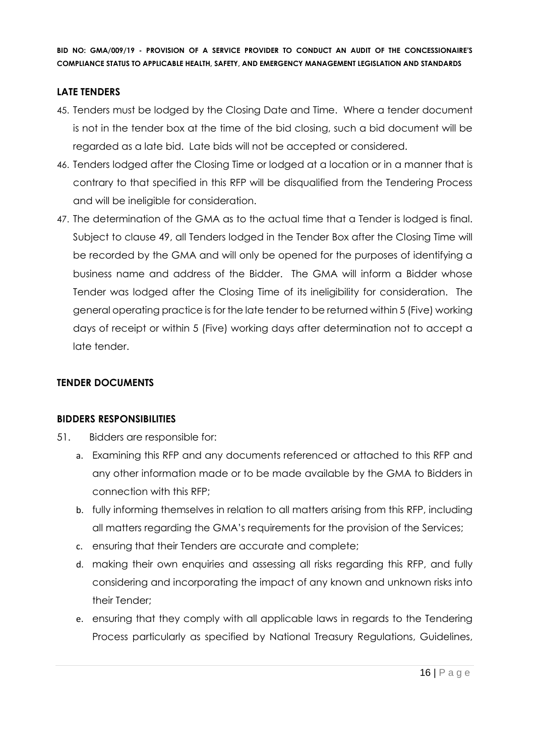#### **LATE TENDERS**

- 45. Tenders must be lodged by the Closing Date and Time. Where a tender document is not in the tender box at the time of the bid closing, such a bid document will be regarded as a late bid. Late bids will not be accepted or considered.
- 46. Tenders lodged after the Closing Time or lodged at a location or in a manner that is contrary to that specified in this RFP will be disqualified from the Tendering Process and will be ineligible for consideration.
- 47. The determination of the GMA as to the actual time that a Tender is lodged is final. Subject to clause 49, all Tenders lodged in the Tender Box after the Closing Time will be recorded by the GMA and will only be opened for the purposes of identifying a business name and address of the Bidder. The GMA will inform a Bidder whose Tender was lodged after the Closing Time of its ineligibility for consideration. The general operating practice is for the late tender to be returned within 5 (Five) working days of receipt or within 5 (Five) working days after determination not to accept a late tender.

# **TENDER DOCUMENTS**

#### **BIDDERS RESPONSIBILITIES**

- 51. Bidders are responsible for:
	- a. Examining this RFP and any documents referenced or attached to this RFP and any other information made or to be made available by the GMA to Bidders in connection with this RFP;
	- b. fully informing themselves in relation to all matters arising from this RFP, including all matters regarding the GMA's requirements for the provision of the Services;
	- c. ensuring that their Tenders are accurate and complete;
	- d. making their own enquiries and assessing all risks regarding this RFP, and fully considering and incorporating the impact of any known and unknown risks into their Tender;
	- e. ensuring that they comply with all applicable laws in regards to the Tendering Process particularly as specified by National Treasury Regulations, Guidelines,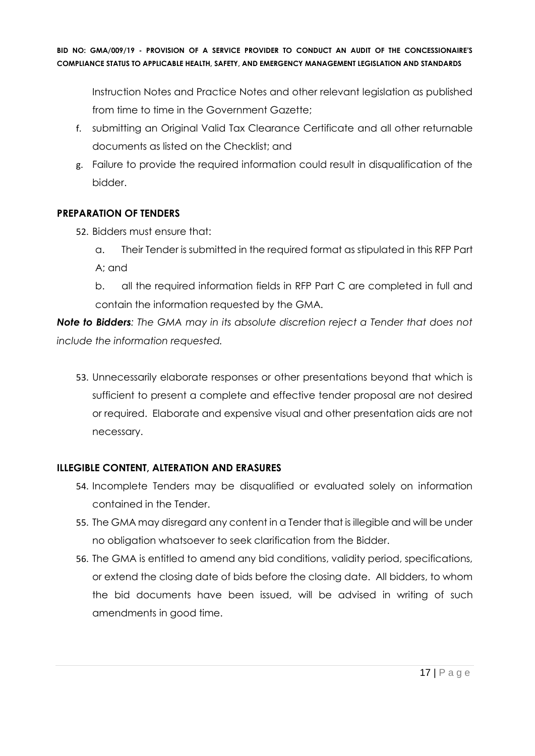Instruction Notes and Practice Notes and other relevant legislation as published from time to time in the Government Gazette;

- f. submitting an Original Valid Tax Clearance Certificate and all other returnable documents as listed on the Checklist; and
- g. Failure to provide the required information could result in disqualification of the bidder.

# **PREPARATION OF TENDERS**

- 52. Bidders must ensure that:
	- a. Their Tender is submitted in the required format as stipulated in this RFP Part A; and
	- b. all the required information fields in RFP Part C are completed in full and contain the information requested by the GMA.

*Note to Bidders: The GMA may in its absolute discretion reject a Tender that does not include the information requested.*

53. Unnecessarily elaborate responses or other presentations beyond that which is sufficient to present a complete and effective tender proposal are not desired or required. Elaborate and expensive visual and other presentation aids are not necessary.

# **ILLEGIBLE CONTENT, ALTERATION AND ERASURES**

- 54. Incomplete Tenders may be disqualified or evaluated solely on information contained in the Tender.
- 55. The GMA may disregard any content in a Tender that is illegible and will be under no obligation whatsoever to seek clarification from the Bidder.
- 56. The GMA is entitled to amend any bid conditions, validity period, specifications, or extend the closing date of bids before the closing date. All bidders, to whom the bid documents have been issued, will be advised in writing of such amendments in good time.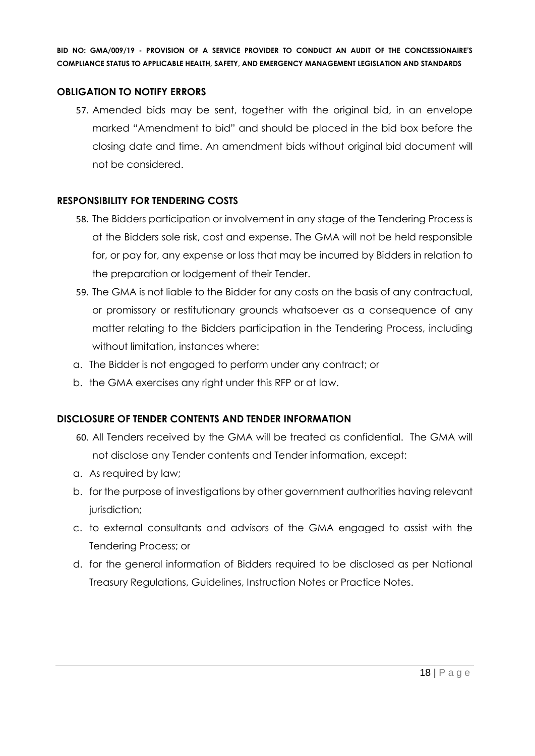#### **OBLIGATION TO NOTIFY ERRORS**

57. Amended bids may be sent, together with the original bid, in an envelope marked "Amendment to bid" and should be placed in the bid box before the closing date and time. An amendment bids without original bid document will not be considered.

#### **RESPONSIBILITY FOR TENDERING COSTS**

- 58. The Bidders participation or involvement in any stage of the Tendering Process is at the Bidders sole risk, cost and expense. The GMA will not be held responsible for, or pay for, any expense or loss that may be incurred by Bidders in relation to the preparation or lodgement of their Tender.
- 59. The GMA is not liable to the Bidder for any costs on the basis of any contractual, or promissory or restitutionary grounds whatsoever as a consequence of any matter relating to the Bidders participation in the Tendering Process, including without limitation, instances where:
- a. The Bidder is not engaged to perform under any contract; or
- b. the GMA exercises any right under this RFP or at law.

#### **DISCLOSURE OF TENDER CONTENTS AND TENDER INFORMATION**

- 60. All Tenders received by the GMA will be treated as confidential. The GMA will not disclose any Tender contents and Tender information, except:
- a. As required by law;
- b. for the purpose of investigations by other government authorities having relevant jurisdiction;
- c. to external consultants and advisors of the GMA engaged to assist with the Tendering Process; or
- d. for the general information of Bidders required to be disclosed as per National Treasury Regulations, Guidelines, Instruction Notes or Practice Notes.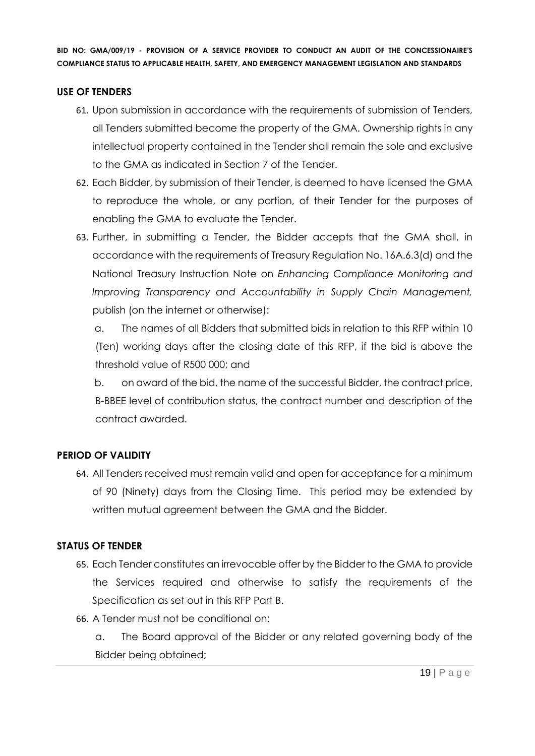#### **USE OF TENDERS**

- 61. Upon submission in accordance with the requirements of submission of Tenders, all Tenders submitted become the property of the GMA. Ownership rights in any intellectual property contained in the Tender shall remain the sole and exclusive to the GMA as indicated in Section 7 of the Tender.
- 62. Each Bidder, by submission of their Tender, is deemed to have licensed the GMA to reproduce the whole, or any portion, of their Tender for the purposes of enabling the GMA to evaluate the Tender.
- 63. Further, in submitting a Tender, the Bidder accepts that the GMA shall, in accordance with the requirements of Treasury Regulation No. 16A.6.3(d) and the National Treasury Instruction Note on *Enhancing Compliance Monitoring and Improving Transparency and Accountability in Supply Chain Management,*  publish (on the internet or otherwise):

a. The names of all Bidders that submitted bids in relation to this RFP within 10 (Ten) working days after the closing date of this RFP, if the bid is above the threshold value of R500 000; and

b. on award of the bid, the name of the successful Bidder, the contract price, B-BBEE level of contribution status, the contract number and description of the contract awarded.

#### **PERIOD OF VALIDITY**

64. All Tenders received must remain valid and open for acceptance for a minimum of 90 (Ninety) days from the Closing Time. This period may be extended by written mutual agreement between the GMA and the Bidder.

#### **STATUS OF TENDER**

- 65. Each Tender constitutes an irrevocable offer by the Bidder to the GMA to provide the Services required and otherwise to satisfy the requirements of the Specification as set out in this RFP Part B.
- 66. A Tender must not be conditional on:

a. The Board approval of the Bidder or any related governing body of the Bidder being obtained;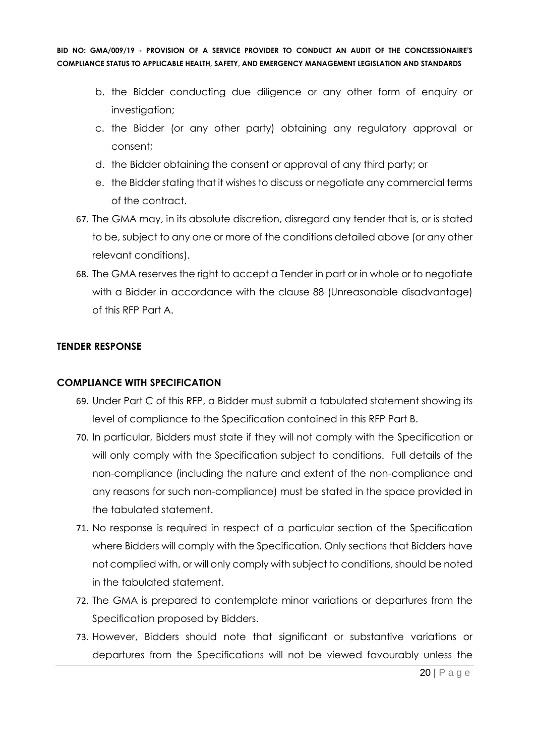- b. the Bidder conducting due diligence or any other form of enquiry or investigation;
- c. the Bidder (or any other party) obtaining any regulatory approval or consent;
- d. the Bidder obtaining the consent or approval of any third party; or
- e. the Bidder stating that it wishes to discuss or negotiate any commercial terms of the contract.
- 67. The GMA may, in its absolute discretion, disregard any tender that is, or is stated to be, subject to any one or more of the conditions detailed above (or any other relevant conditions).
- 68. The GMA reserves the right to accept a Tender in part or in whole or to negotiate with a Bidder in accordance with the clause 88 (Unreasonable disadvantage) of this RFP Part A.

#### **TENDER RESPONSE**

#### **COMPLIANCE WITH SPECIFICATION**

- 69. Under Part C of this RFP, a Bidder must submit a tabulated statement showing its level of compliance to the Specification contained in this RFP Part B.
- 70. In particular, Bidders must state if they will not comply with the Specification or will only comply with the Specification subject to conditions. Full details of the non-compliance (including the nature and extent of the non-compliance and any reasons for such non-compliance) must be stated in the space provided in the tabulated statement.
- 71. No response is required in respect of a particular section of the Specification where Bidders will comply with the Specification. Only sections that Bidders have not complied with, or will only comply with subject to conditions, should be noted in the tabulated statement.
- 72. The GMA is prepared to contemplate minor variations or departures from the Specification proposed by Bidders.
- 73. However, Bidders should note that significant or substantive variations or departures from the Specifications will not be viewed favourably unless the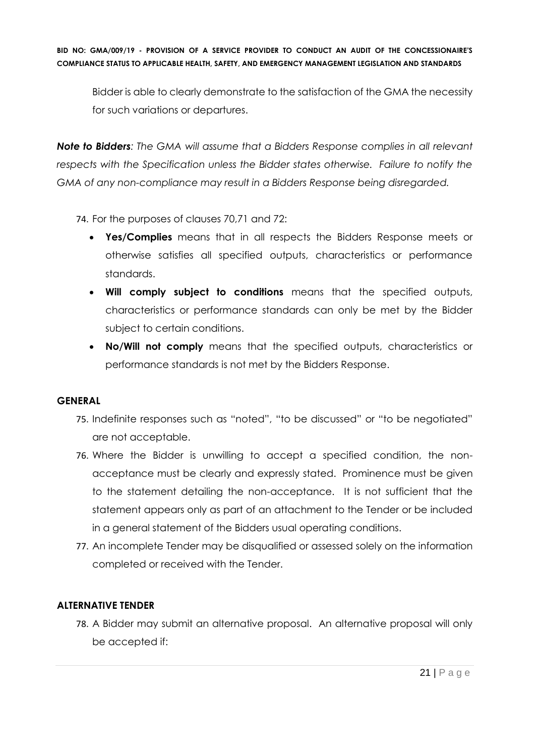Bidder is able to clearly demonstrate to the satisfaction of the GMA the necessity for such variations or departures.

*Note to Bidders: The GMA will assume that a Bidders Response complies in all relevant respects with the Specification unless the Bidder states otherwise. Failure to notify the GMA of any non-compliance may result in a Bidders Response being disregarded.*

74. For the purposes of clauses 70,71 and 72:

- **Yes/Complies** means that in all respects the Bidders Response meets or otherwise satisfies all specified outputs, characteristics or performance standards.
- **Will comply subject to conditions** means that the specified outputs, characteristics or performance standards can only be met by the Bidder subject to certain conditions.
- **No/Will not comply** means that the specified outputs, characteristics or performance standards is not met by the Bidders Response.

#### **GENERAL**

- 75. Indefinite responses such as "noted", "to be discussed" or "to be negotiated" are not acceptable.
- 76. Where the Bidder is unwilling to accept a specified condition, the nonacceptance must be clearly and expressly stated. Prominence must be given to the statement detailing the non-acceptance. It is not sufficient that the statement appears only as part of an attachment to the Tender or be included in a general statement of the Bidders usual operating conditions.
- 77. An incomplete Tender may be disqualified or assessed solely on the information completed or received with the Tender.

# **ALTERNATIVE TENDER**

78. A Bidder may submit an alternative proposal. An alternative proposal will only be accepted if: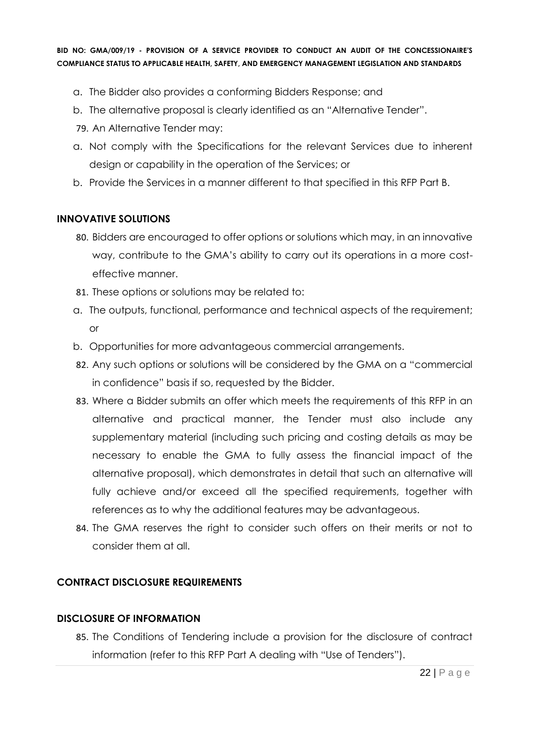- a. The Bidder also provides a conforming Bidders Response; and
- b. The alternative proposal is clearly identified as an "Alternative Tender".
- 79. An Alternative Tender may:
- a. Not comply with the Specifications for the relevant Services due to inherent design or capability in the operation of the Services; or
- b. Provide the Services in a manner different to that specified in this RFP Part B.

#### **INNOVATIVE SOLUTIONS**

- 80. Bidders are encouraged to offer options or solutions which may, in an innovative way, contribute to the GMA's ability to carry out its operations in a more costeffective manner.
- 81. These options or solutions may be related to:
- a. The outputs, functional, performance and technical aspects of the requirement; or
- b. Opportunities for more advantageous commercial arrangements.
- 82. Any such options or solutions will be considered by the GMA on a "commercial in confidence" basis if so, requested by the Bidder.
- 83. Where a Bidder submits an offer which meets the requirements of this RFP in an alternative and practical manner, the Tender must also include any supplementary material (including such pricing and costing details as may be necessary to enable the GMA to fully assess the financial impact of the alternative proposal), which demonstrates in detail that such an alternative will fully achieve and/or exceed all the specified requirements, together with references as to why the additional features may be advantageous.
- 84. The GMA reserves the right to consider such offers on their merits or not to consider them at all.

#### **CONTRACT DISCLOSURE REQUIREMENTS**

#### **DISCLOSURE OF INFORMATION**

85. The Conditions of Tendering include a provision for the disclosure of contract information (refer to this RFP Part A dealing with "Use of Tenders").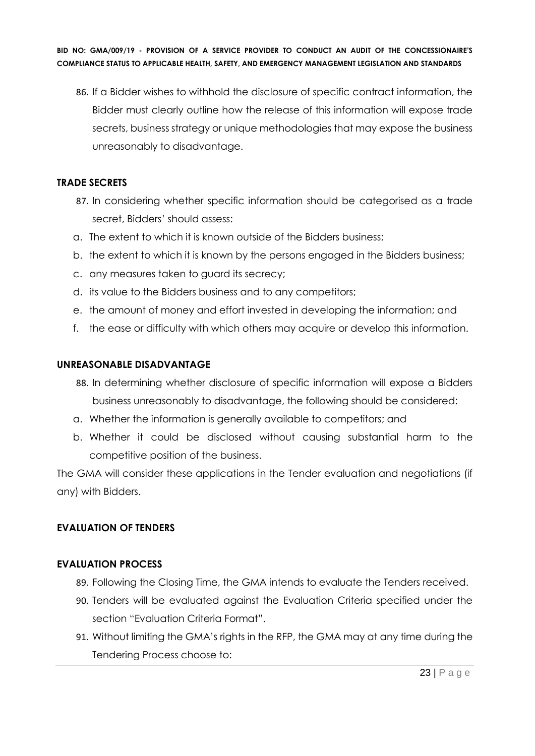86. If a Bidder wishes to withhold the disclosure of specific contract information, the Bidder must clearly outline how the release of this information will expose trade secrets, business strategy or unique methodologies that may expose the business unreasonably to disadvantage.

#### **TRADE SECRETS**

- 87. In considering whether specific information should be categorised as a trade secret, Bidders' should assess:
- a. The extent to which it is known outside of the Bidders business;
- b. the extent to which it is known by the persons engaged in the Bidders business;
- c. any measures taken to guard its secrecy;
- d. its value to the Bidders business and to any competitors;
- e. the amount of money and effort invested in developing the information; and
- f. the ease or difficulty with which others may acquire or develop this information.

# **UNREASONABLE DISADVANTAGE**

- 88. In determining whether disclosure of specific information will expose a Bidders business unreasonably to disadvantage, the following should be considered:
- a. Whether the information is generally available to competitors; and
- b. Whether it could be disclosed without causing substantial harm to the competitive position of the business.

The GMA will consider these applications in the Tender evaluation and negotiations (if any) with Bidders.

# **EVALUATION OF TENDERS**

# **EVALUATION PROCESS**

- 89. Following the Closing Time, the GMA intends to evaluate the Tenders received.
- 90. Tenders will be evaluated against the Evaluation Criteria specified under the section "Evaluation Criteria Format".
- 91. Without limiting the GMA's rights in the RFP, the GMA may at any time during the Tendering Process choose to: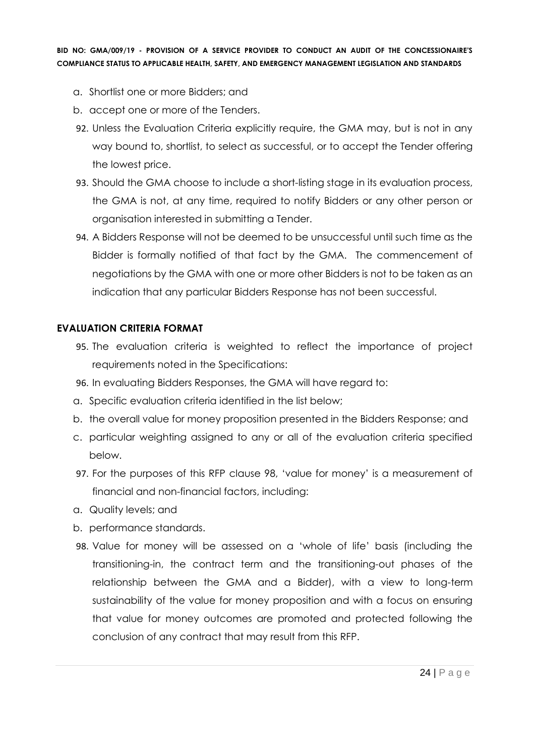- a. Shortlist one or more Bidders; and
- b. accept one or more of the Tenders.
- 92. Unless the Evaluation Criteria explicitly require, the GMA may, but is not in any way bound to, shortlist, to select as successful, or to accept the Tender offering the lowest price.
- 93. Should the GMA choose to include a short-listing stage in its evaluation process, the GMA is not, at any time, required to notify Bidders or any other person or organisation interested in submitting a Tender.
- 94. A Bidders Response will not be deemed to be unsuccessful until such time as the Bidder is formally notified of that fact by the GMA. The commencement of negotiations by the GMA with one or more other Bidders is not to be taken as an indication that any particular Bidders Response has not been successful.

#### **EVALUATION CRITERIA FORMAT**

- 95. The evaluation criteria is weighted to reflect the importance of project requirements noted in the Specifications:
- 96. In evaluating Bidders Responses, the GMA will have regard to:
- a. Specific evaluation criteria identified in the list below;
- b. the overall value for money proposition presented in the Bidders Response; and
- c. particular weighting assigned to any or all of the evaluation criteria specified below.
- 97. For the purposes of this RFP clause 98, 'value for money' is a measurement of financial and non-financial factors, including:
- a. Quality levels; and
- b. performance standards.
- 98. Value for money will be assessed on a 'whole of life' basis (including the transitioning-in, the contract term and the transitioning-out phases of the relationship between the GMA and a Bidder), with a view to long-term sustainability of the value for money proposition and with a focus on ensuring that value for money outcomes are promoted and protected following the conclusion of any contract that may result from this RFP.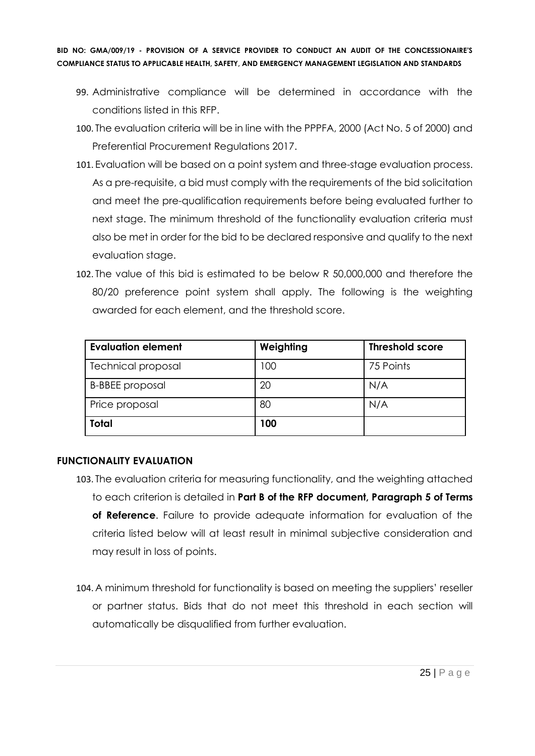- 99. Administrative compliance will be determined in accordance with the conditions listed in this RFP.
- 100. The evaluation criteria will be in line with the PPPFA, 2000 (Act No. 5 of 2000) and Preferential Procurement Regulations 2017.
- 101. Evaluation will be based on a point system and three-stage evaluation process. As a pre-requisite, a bid must comply with the requirements of the bid solicitation and meet the pre-qualification requirements before being evaluated further to next stage. The minimum threshold of the functionality evaluation criteria must also be met in order for the bid to be declared responsive and qualify to the next evaluation stage.
- 102. The value of this bid is estimated to be below R 50,000,000 and therefore the 80/20 preference point system shall apply. The following is the weighting awarded for each element, and the threshold score.

| <b>Evaluation element</b> | Weighting | <b>Threshold score</b> |
|---------------------------|-----------|------------------------|
| <b>Technical proposal</b> | 100       | 75 Points              |
| <b>B-BBEE</b> proposal    | 20        | N/A                    |
| Price proposal            | 80        | N/A                    |
| <b>Total</b>              | 100       |                        |

#### **FUNCTIONALITY EVALUATION**

- 103. The evaluation criteria for measuring functionality, and the weighting attached to each criterion is detailed in **Part B of the RFP document, Paragraph 5 of Terms of Reference**. Failure to provide adequate information for evaluation of the criteria listed below will at least result in minimal subjective consideration and may result in loss of points.
- 104. A minimum threshold for functionality is based on meeting the suppliers' reseller or partner status. Bids that do not meet this threshold in each section will automatically be disqualified from further evaluation.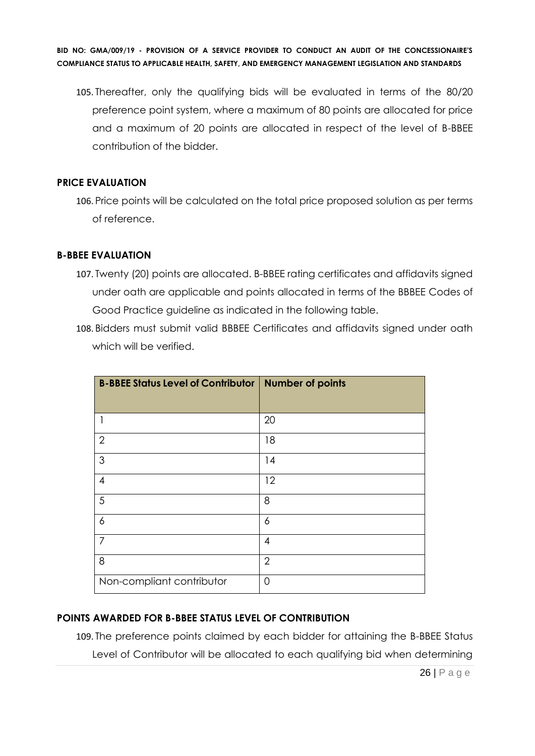105. Thereafter, only the qualifying bids will be evaluated in terms of the 80/20 preference point system, where a maximum of 80 points are allocated for price and a maximum of 20 points are allocated in respect of the level of B-BBEE contribution of the bidder.

#### **PRICE EVALUATION**

106. Price points will be calculated on the total price proposed solution as per terms of reference.

#### **B-BBEE EVALUATION**

- 107. Twenty (20) points are allocated. B-BBEE rating certificates and affidavits signed under oath are applicable and points allocated in terms of the BBBEE Codes of Good Practice guideline as indicated in the following table.
- 108. Bidders must submit valid BBBEE Certificates and affidavits signed under oath which will be verified.

| <b>B-BBEE Status Level of Contributor   Number of points</b> |                |
|--------------------------------------------------------------|----------------|
|                                                              |                |
|                                                              | 20             |
| $\overline{2}$                                               | 18             |
| 3                                                            | 14             |
| $\overline{4}$                                               | 12             |
| 5                                                            | 8              |
| 6                                                            | 6              |
| $\overline{7}$                                               | 4              |
| 8                                                            | $\overline{2}$ |
| Non-compliant contributor                                    | 0              |

#### **POINTS AWARDED FOR B-BBEE STATUS LEVEL OF CONTRIBUTION**

109. The preference points claimed by each bidder for attaining the B-BBEE Status Level of Contributor will be allocated to each qualifying bid when determining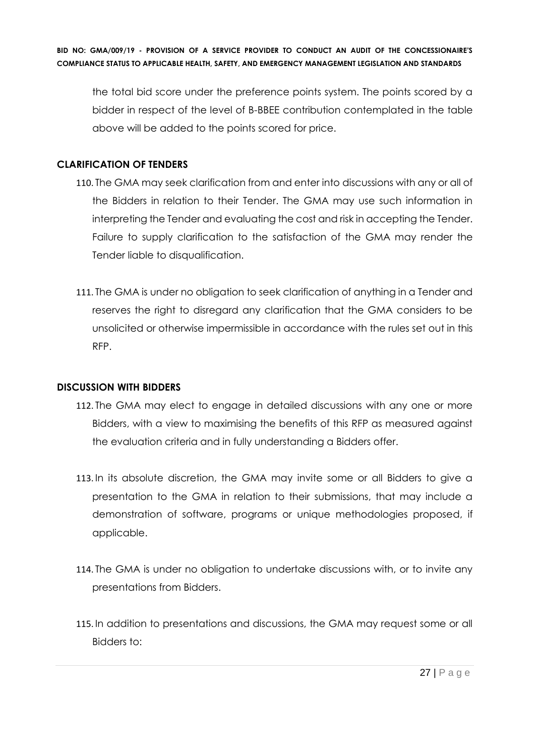the total bid score under the preference points system. The points scored by a bidder in respect of the level of B-BBEE contribution contemplated in the table above will be added to the points scored for price.

#### **CLARIFICATION OF TENDERS**

- 110. The GMA may seek clarification from and enter into discussions with any or all of the Bidders in relation to their Tender. The GMA may use such information in interpreting the Tender and evaluating the cost and risk in accepting the Tender. Failure to supply clarification to the satisfaction of the GMA may render the Tender liable to disqualification.
- 111. The GMA is under no obligation to seek clarification of anything in a Tender and reserves the right to disregard any clarification that the GMA considers to be unsolicited or otherwise impermissible in accordance with the rules set out in this RFP.

#### **DISCUSSION WITH BIDDERS**

- 112. The GMA may elect to engage in detailed discussions with any one or more Bidders, with a view to maximising the benefits of this RFP as measured against the evaluation criteria and in fully understanding a Bidders offer.
- 113. In its absolute discretion, the GMA may invite some or all Bidders to give a presentation to the GMA in relation to their submissions, that may include a demonstration of software, programs or unique methodologies proposed, if applicable.
- 114. The GMA is under no obligation to undertake discussions with, or to invite any presentations from Bidders.
- 115. In addition to presentations and discussions, the GMA may request some or all Bidders to: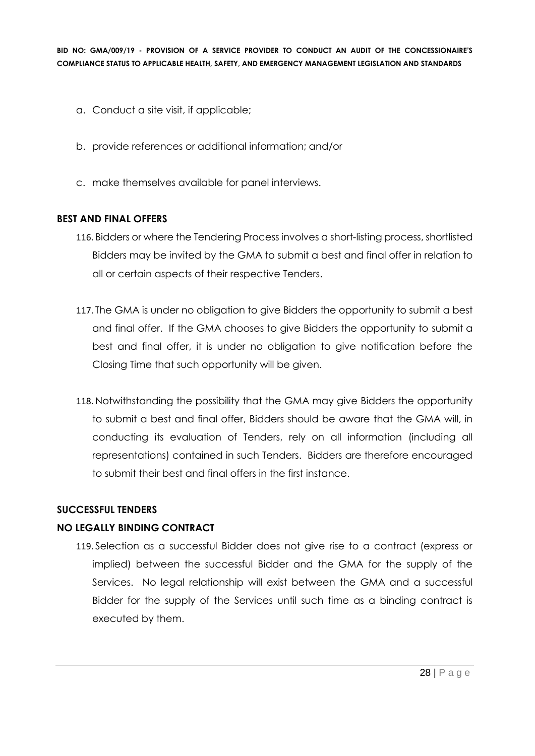- a. Conduct a site visit, if applicable;
- b. provide references or additional information; and/or
- c. make themselves available for panel interviews.

#### **BEST AND FINAL OFFERS**

- 116. Bidders or where the Tendering Process involves a short-listing process, shortlisted Bidders may be invited by the GMA to submit a best and final offer in relation to all or certain aspects of their respective Tenders.
- 117. The GMA is under no obligation to give Bidders the opportunity to submit a best and final offer. If the GMA chooses to give Bidders the opportunity to submit a best and final offer, it is under no obligation to give notification before the Closing Time that such opportunity will be given.
- 118. Notwithstanding the possibility that the GMA may give Bidders the opportunity to submit a best and final offer, Bidders should be aware that the GMA will, in conducting its evaluation of Tenders, rely on all information (including all representations) contained in such Tenders. Bidders are therefore encouraged to submit their best and final offers in the first instance.

#### **SUCCESSFUL TENDERS**

#### **NO LEGALLY BINDING CONTRACT**

119. Selection as a successful Bidder does not give rise to a contract (express or implied) between the successful Bidder and the GMA for the supply of the Services. No legal relationship will exist between the GMA and a successful Bidder for the supply of the Services until such time as a binding contract is executed by them.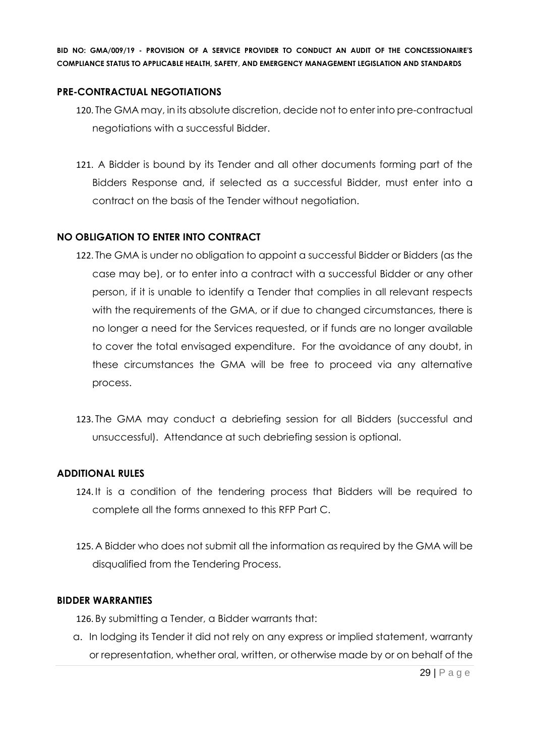#### **PRE-CONTRACTUAL NEGOTIATIONS**

- 120. The GMA may, in its absolute discretion, decide not to enter into pre-contractual negotiations with a successful Bidder.
- 121. A Bidder is bound by its Tender and all other documents forming part of the Bidders Response and, if selected as a successful Bidder, must enter into a contract on the basis of the Tender without negotiation.

#### **NO OBLIGATION TO ENTER INTO CONTRACT**

- 122. The GMA is under no obligation to appoint a successful Bidder or Bidders (as the case may be), or to enter into a contract with a successful Bidder or any other person, if it is unable to identify a Tender that complies in all relevant respects with the requirements of the GMA, or if due to changed circumstances, there is no longer a need for the Services requested, or if funds are no longer available to cover the total envisaged expenditure. For the avoidance of any doubt, in these circumstances the GMA will be free to proceed via any alternative process.
- 123. The GMA may conduct a debriefing session for all Bidders (successful and unsuccessful). Attendance at such debriefing session is optional.

#### **ADDITIONAL RULES**

- 124. It is a condition of the tendering process that Bidders will be required to complete all the forms annexed to this RFP Part C.
- 125. A Bidder who does not submit all the information as required by the GMA will be disqualified from the Tendering Process.

#### **BIDDER WARRANTIES**

126. By submitting a Tender, a Bidder warrants that:

a. In lodging its Tender it did not rely on any express or implied statement, warranty or representation, whether oral, written, or otherwise made by or on behalf of the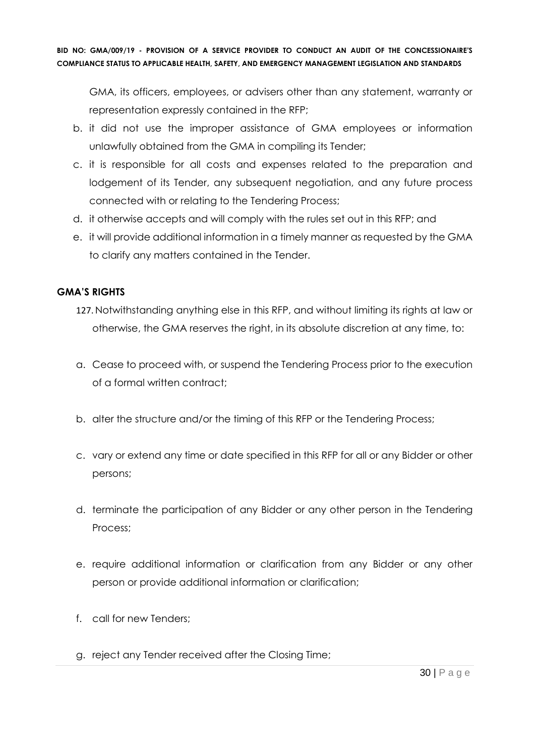GMA, its officers, employees, or advisers other than any statement, warranty or representation expressly contained in the RFP;

- b. it did not use the improper assistance of GMA employees or information unlawfully obtained from the GMA in compiling its Tender;
- c. it is responsible for all costs and expenses related to the preparation and lodgement of its Tender, any subsequent negotiation, and any future process connected with or relating to the Tendering Process;
- d. it otherwise accepts and will comply with the rules set out in this RFP; and
- e. it will provide additional information in a timely manner as requested by the GMA to clarify any matters contained in the Tender.

# **GMA'S RIGHTS**

- 127. Notwithstanding anything else in this RFP, and without limiting its rights at law or otherwise, the GMA reserves the right, in its absolute discretion at any time, to:
- a. Cease to proceed with, or suspend the Tendering Process prior to the execution of a formal written contract;
- b. alter the structure and/or the timing of this RFP or the Tendering Process;
- c. vary or extend any time or date specified in this RFP for all or any Bidder or other persons;
- d. terminate the participation of any Bidder or any other person in the Tendering Process;
- e. require additional information or clarification from any Bidder or any other person or provide additional information or clarification;
- f. call for new Tenders;
- g. reject any Tender received after the Closing Time;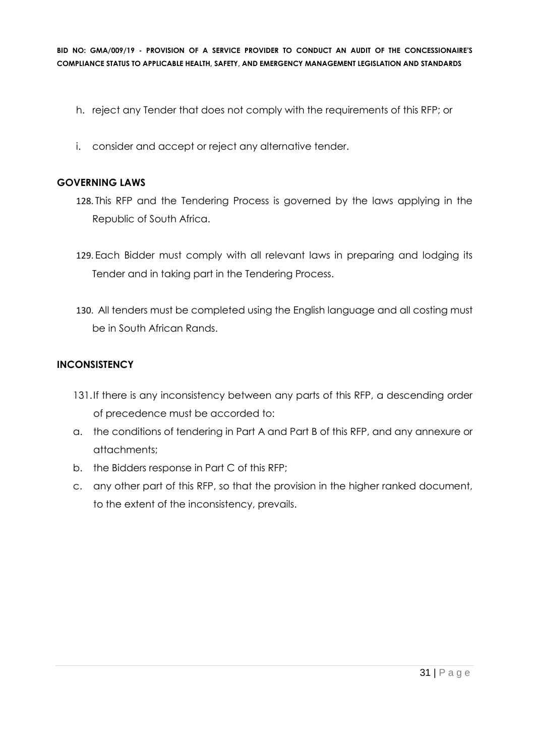- h. reject any Tender that does not comply with the requirements of this RFP; or
- i. consider and accept or reject any alternative tender.

#### **GOVERNING LAWS**

- 128. This RFP and the Tendering Process is governed by the laws applying in the Republic of South Africa.
- 129. Each Bidder must comply with all relevant laws in preparing and lodging its Tender and in taking part in the Tendering Process.
- 130. All tenders must be completed using the English language and all costing must be in South African Rands.

#### **INCONSISTENCY**

- 131.If there is any inconsistency between any parts of this RFP, a descending order of precedence must be accorded to:
- a. the conditions of tendering in Part A and Part B of this RFP, and any annexure or attachments;
- b. the Bidders response in Part C of this RFP;
- c. any other part of this RFP, so that the provision in the higher ranked document, to the extent of the inconsistency, prevails.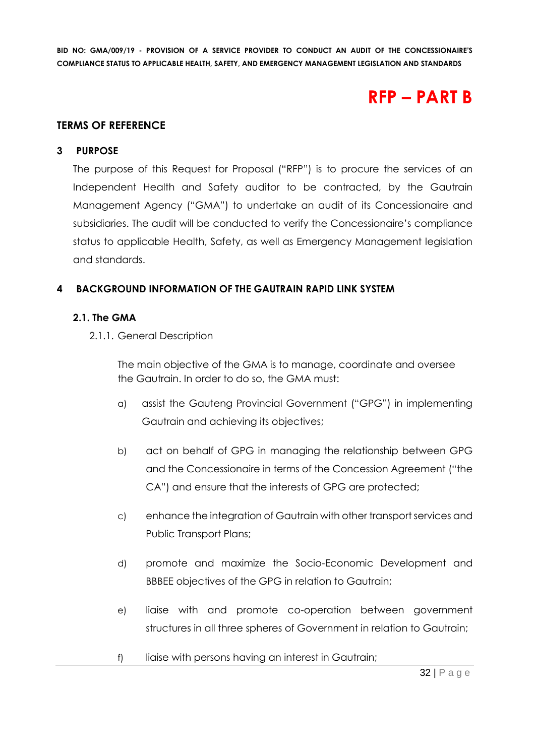# **RFP – PART B**

#### **TERMS OF REFERENCE**

#### **3 PURPOSE**

The purpose of this Request for Proposal ("RFP") is to procure the services of an Independent Health and Safety auditor to be contracted, by the Gautrain Management Agency ("GMA") to undertake an audit of its Concessionaire and subsidiaries. The audit will be conducted to verify the Concessionaire's compliance status to applicable Health, Safety, as well as Emergency Management legislation and standards.

#### **4 BACKGROUND INFORMATION OF THE GAUTRAIN RAPID LINK SYSTEM**

#### **2.1. The GMA**

2.1.1. General Description

The main objective of the GMA is to manage, coordinate and oversee the Gautrain. In order to do so, the GMA must:

- a) assist the Gauteng Provincial Government ("GPG") in implementing Gautrain and achieving its objectives;
- b) act on behalf of GPG in managing the relationship between GPG and the Concessionaire in terms of the Concession Agreement ("the CA") and ensure that the interests of GPG are protected;
- c) enhance the integration of Gautrain with other transport services and Public Transport Plans;
- d) promote and maximize the Socio-Economic Development and BBBEE objectives of the GPG in relation to Gautrain;
- e) liaise with and promote co-operation between government structures in all three spheres of Government in relation to Gautrain;
- f) liaise with persons having an interest in Gautrain;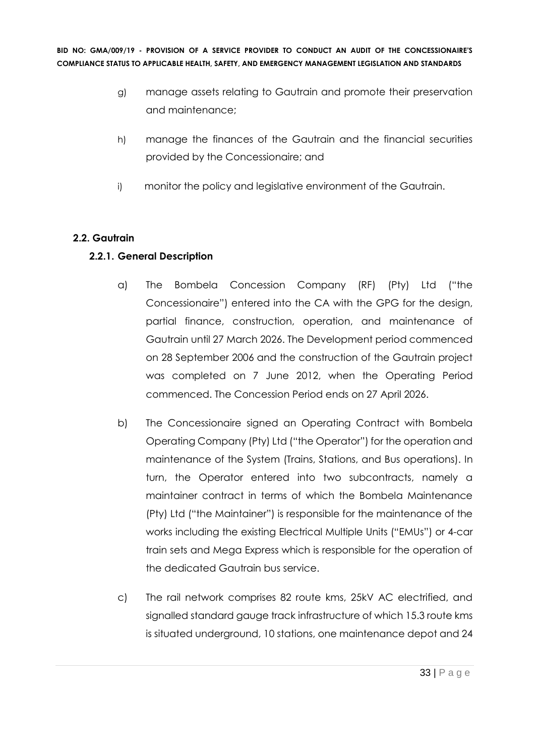- g) manage assets relating to Gautrain and promote their preservation and maintenance;
- h) manage the finances of the Gautrain and the financial securities provided by the Concessionaire; and
- i) monitor the policy and legislative environment of the Gautrain.

# **2.2. Gautrain**

# **2.2.1. General Description**

- a) The Bombela Concession Company (RF) (Pty) Ltd ("the Concessionaire") entered into the CA with the GPG for the design, partial finance, construction, operation, and maintenance of Gautrain until 27 March 2026. The Development period commenced on 28 September 2006 and the construction of the Gautrain project was completed on 7 June 2012, when the Operating Period commenced. The Concession Period ends on 27 April 2026.
- b) The Concessionaire signed an Operating Contract with Bombela Operating Company (Pty) Ltd ("the Operator") for the operation and maintenance of the System (Trains, Stations, and Bus operations). In turn, the Operator entered into two subcontracts, namely a maintainer contract in terms of which the Bombela Maintenance (Pty) Ltd ("the Maintainer") is responsible for the maintenance of the works including the existing Electrical Multiple Units ("EMUs") or 4-car train sets and Mega Express which is responsible for the operation of the dedicated Gautrain bus service.
- c) The rail network comprises 82 route kms, 25kV AC electrified, and signalled standard gauge track infrastructure of which 15.3 route kms is situated underground, 10 stations, one maintenance depot and 24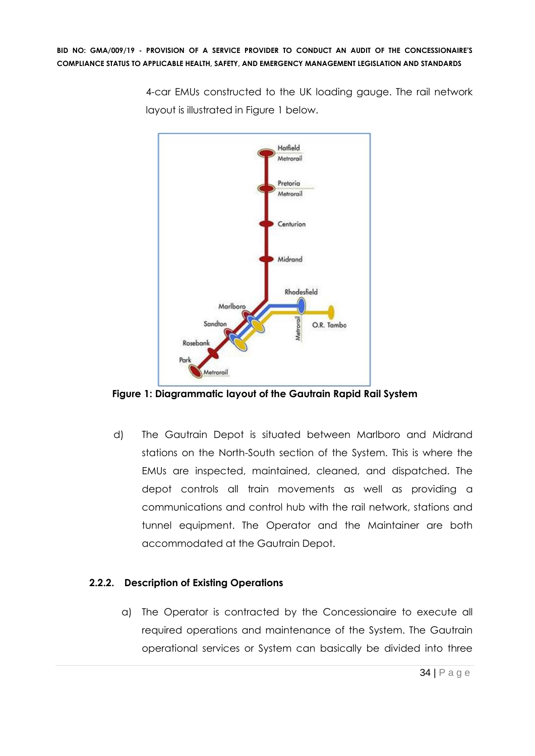4-car EMUs constructed to the UK loading gauge. The rail network layout is illustrated in Figure 1 below.



**Figure 1: Diagrammatic layout of the Gautrain Rapid Rail System**

d) The Gautrain Depot is situated between Marlboro and Midrand stations on the North-South section of the System. This is where the EMUs are inspected, maintained, cleaned, and dispatched. The depot controls all train movements as well as providing a communications and control hub with the rail network, stations and tunnel equipment. The Operator and the Maintainer are both accommodated at the Gautrain Depot.

# **2.2.2. Description of Existing Operations**

a) The Operator is contracted by the Concessionaire to execute all required operations and maintenance of the System. The Gautrain operational services or System can basically be divided into three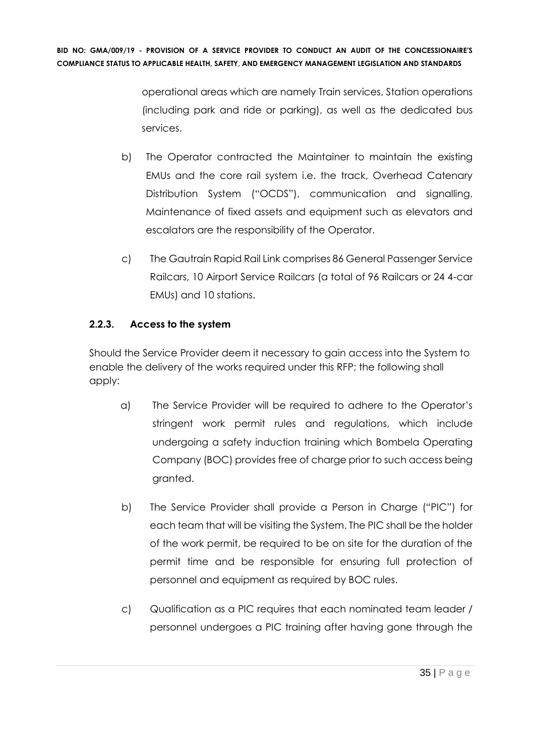> operational areas which are namely Train services, Station operations (including park and ride or parking), as well as the dedicated bus services.

- b) The Operator contracted the Maintainer to maintain the existing EMUs and the core rail system i.e. the track, Overhead Catenary Distribution System ("OCDS"), communication and signalling. Maintenance of fixed assets and equipment such as elevators and escalators are the responsibility of the Operator.
- c) The Gautrain Rapid Rail Link comprises 86 General Passenger Service Railcars, 10 Airport Service Railcars (a total of 96 Railcars or 24 4-car EMUs) and 10 stations.

# **2.2.3. Access to the system**

Should the Service Provider deem it necessary to gain access into the System to enable the delivery of the works required under this RFP; the following shall apply:

- a) The Service Provider will be required to adhere to the Operator's stringent work permit rules and regulations, which include undergoing a safety induction training which Bombela Operating Company (BOC) provides free of charge prior to such access being granted.
- b) The Service Provider shall provide a Person in Charge ("PIC") for each team that will be visiting the System. The PIC shall be the holder of the work permit, be required to be on site for the duration of the permit time and be responsible for ensuring full protection of personnel and equipment as required by BOC rules.
- c) Qualification as a PIC requires that each nominated team leader / personnel undergoes a PIC training after having gone through the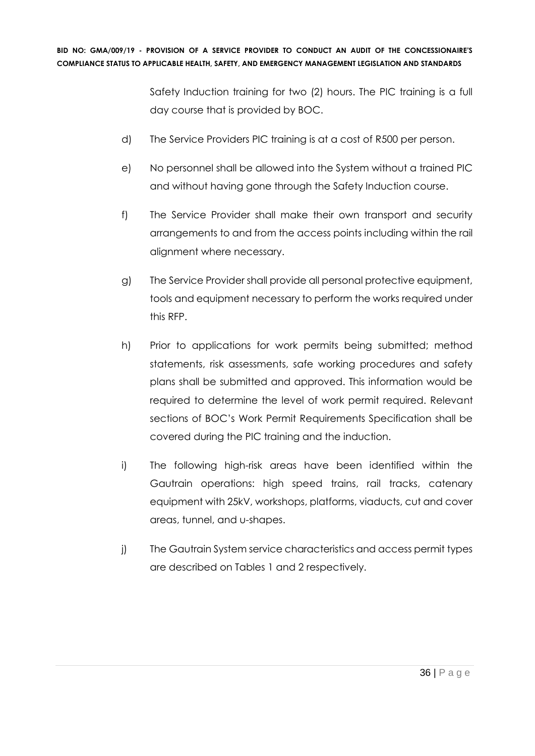Safety Induction training for two (2) hours. The PIC training is a full day course that is provided by BOC.

- d) The Service Providers PIC training is at a cost of R500 per person.
- e) No personnel shall be allowed into the System without a trained PIC and without having gone through the Safety Induction course.
- f) The Service Provider shall make their own transport and security arrangements to and from the access points including within the rail alignment where necessary.
- g) The Service Provider shall provide all personal protective equipment, tools and equipment necessary to perform the works required under this RFP.
- h) Prior to applications for work permits being submitted; method statements, risk assessments, safe working procedures and safety plans shall be submitted and approved. This information would be required to determine the level of work permit required. Relevant sections of BOC's Work Permit Requirements Specification shall be covered during the PIC training and the induction.
- i) The following high-risk areas have been identified within the Gautrain operations: high speed trains, rail tracks, catenary equipment with 25kV, workshops, platforms, viaducts, cut and cover areas, tunnel, and u-shapes.
- j) The Gautrain System service characteristics and access permit types are described on Tables 1 and 2 respectively.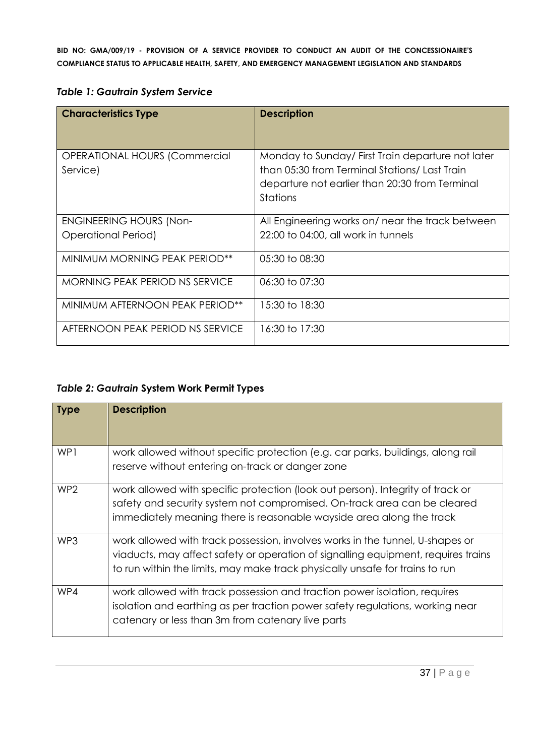| <b>Characteristics Type</b>                      | <b>Description</b>                                                                                                                                             |
|--------------------------------------------------|----------------------------------------------------------------------------------------------------------------------------------------------------------------|
| <b>OPERATIONAL HOURS (Commercial</b><br>Service) | Monday to Sunday/First Train departure not later<br>than 05:30 from Terminal Stations/Last Train<br>departure not earlier than 20:30 from Terminal<br>Stations |
| <b>ENGINEERING HOURS (Non-</b>                   | All Engineering works on/ near the track between                                                                                                               |
| <b>Operational Period)</b>                       | 22:00 to 04:00, all work in tunnels                                                                                                                            |
| MINIMUM MORNING PEAK PERIOD**                    | 05:30 to 08:30                                                                                                                                                 |
| <b>MORNING PEAK PERIOD NS SERVICE</b>            | 06:30 to 07:30                                                                                                                                                 |
| MINIMUM AFTERNOON PEAK PERIOD**                  | 15:30 to 18:30                                                                                                                                                 |
| AFTERNOON PEAK PERIOD NS SERVICE                 | 16:30 to 17:30                                                                                                                                                 |

# *Table 2: Gautrain* **System Work Permit Types**

| <b>Type</b>     | <b>Description</b>                                                                                                                                                                                                                                 |
|-----------------|----------------------------------------------------------------------------------------------------------------------------------------------------------------------------------------------------------------------------------------------------|
| WP1             | work allowed without specific protection (e.g. car parks, buildings, along rail<br>reserve without entering on-track or danger zone                                                                                                                |
| WP <sub>2</sub> | work allowed with specific protection (look out person). Integrity of track or<br>safety and security system not compromised. On-track area can be cleared<br>immediately meaning there is reasonable wayside area along the track                 |
| WP3             | work allowed with track possession, involves works in the tunnel, U-shapes or<br>viaducts, may affect safety or operation of signalling equipment, requires trains<br>to run within the limits, may make track physically unsafe for trains to run |
| WP4             | work allowed with track possession and traction power isolation, requires<br>isolation and earthing as per traction power safety regulations, working near<br>catenary or less than 3m from catenary live parts                                    |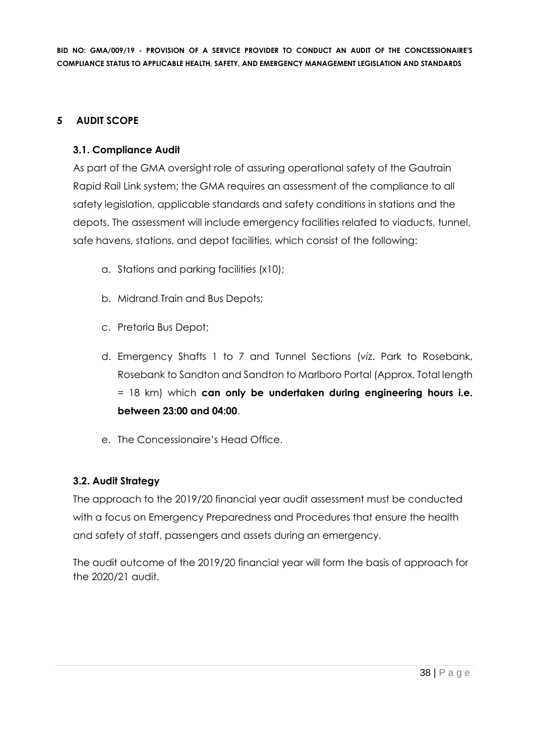### **5 AUDIT SCOPE**

# **3.1. Compliance Audit**

As part of the GMA oversight role of assuring operational safety of the Gautrain Rapid Rail Link system; the GMA requires an assessment of the compliance to all safety legislation, applicable standards and safety conditions in stations and the depots. The assessment will include emergency facilities related to viaducts, tunnel, safe havens, stations, and depot facilities, which consist of the following:

- a. Stations and parking facilities (x10);
- b. Midrand Train and Bus Depots;
- c. Pretoria Bus Depot;
- d. Emergency Shafts 1 to 7 and Tunnel Sections (*viz*. Park to Rosebank, Rosebank to Sandton and Sandton to Marlboro Portal (Approx. Total length = 18 km) which **can only be undertaken during engineering hours i.e. between 23:00 and 04:00**.
- e. The Concessionaire's Head Office.

# **3.2. Audit Strategy**

The approach to the 2019/20 financial year audit assessment must be conducted with a focus on Emergency Preparedness and Procedures that ensure the health and safety of staff, passengers and assets during an emergency.

The audit outcome of the 2019/20 financial year will form the basis of approach for the 2020/21 audit.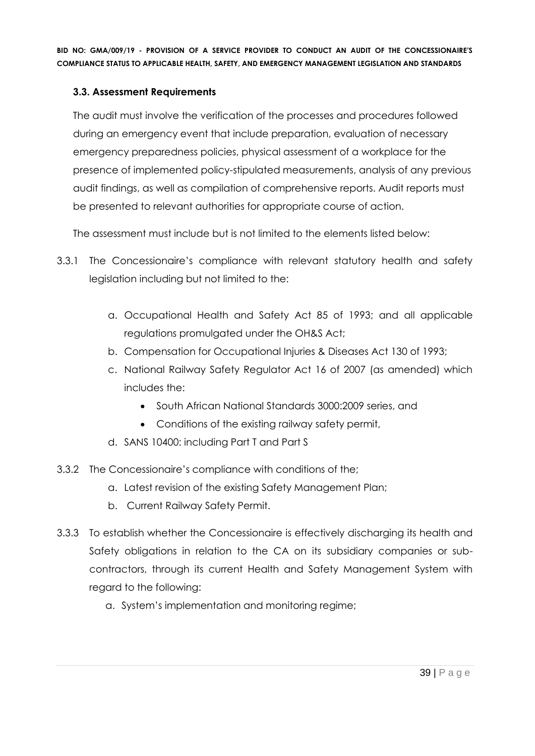# **3.3. Assessment Requirements**

The audit must involve the verification of the processes and procedures followed during an emergency event that include preparation, evaluation of necessary emergency preparedness policies, physical assessment of a workplace for the presence of implemented policy-stipulated measurements, analysis of any previous audit findings, as well as compilation of comprehensive reports. Audit reports must be presented to relevant authorities for appropriate course of action.

The assessment must include but is not limited to the elements listed below:

- 3.3.1 The Concessionaire's compliance with relevant statutory health and safety legislation including but not limited to the:
	- a. Occupational Health and Safety Act 85 of 1993; and all applicable regulations promulgated under the OH&S Act;
	- b. Compensation for Occupational Injuries & Diseases Act 130 of 1993;
	- c. National Railway Safety Regulator Act 16 of 2007 (as amended) which includes the:
		- South African National Standards 3000:2009 series, and
		- Conditions of the existing railway safety permit,
	- d. SANS 10400: including Part T and Part S
- 3.3.2 The Concessionaire's compliance with conditions of the;
	- a. Latest revision of the existing Safety Management Plan;
	- b. Current Railway Safety Permit.
- 3.3.3 To establish whether the Concessionaire is effectively discharging its health and Safety obligations in relation to the CA on its subsidiary companies or subcontractors, through its current Health and Safety Management System with regard to the following:
	- a. System's implementation and monitoring regime;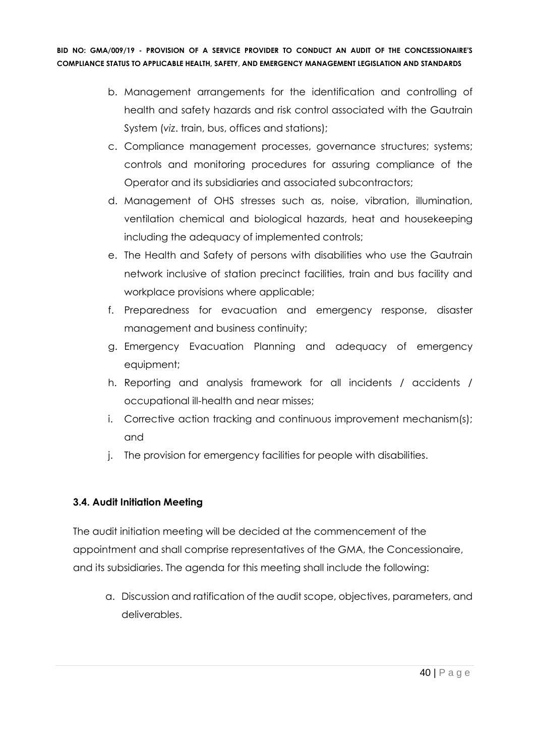- b. Management arrangements for the identification and controlling of health and safety hazards and risk control associated with the Gautrain System (*viz*. train, bus, offices and stations);
- c. Compliance management processes, governance structures; systems; controls and monitoring procedures for assuring compliance of the Operator and its subsidiaries and associated subcontractors;
- d. Management of OHS stresses such as, noise, vibration, illumination, ventilation chemical and biological hazards, heat and housekeeping including the adequacy of implemented controls;
- e. The Health and Safety of persons with disabilities who use the Gautrain network inclusive of station precinct facilities, train and bus facility and workplace provisions where applicable;
- f. Preparedness for evacuation and emergency response, disaster management and business continuity;
- g. Emergency Evacuation Planning and adequacy of emergency equipment;
- h. Reporting and analysis framework for all incidents / accidents / occupational ill-health and near misses;
- i. Corrective action tracking and continuous improvement mechanism(s); and
- j. The provision for emergency facilities for people with disabilities.

# **3.4. Audit Initiation Meeting**

The audit initiation meeting will be decided at the commencement of the appointment and shall comprise representatives of the GMA, the Concessionaire, and its subsidiaries. The agenda for this meeting shall include the following:

a. Discussion and ratification of the audit scope, objectives, parameters, and deliverables.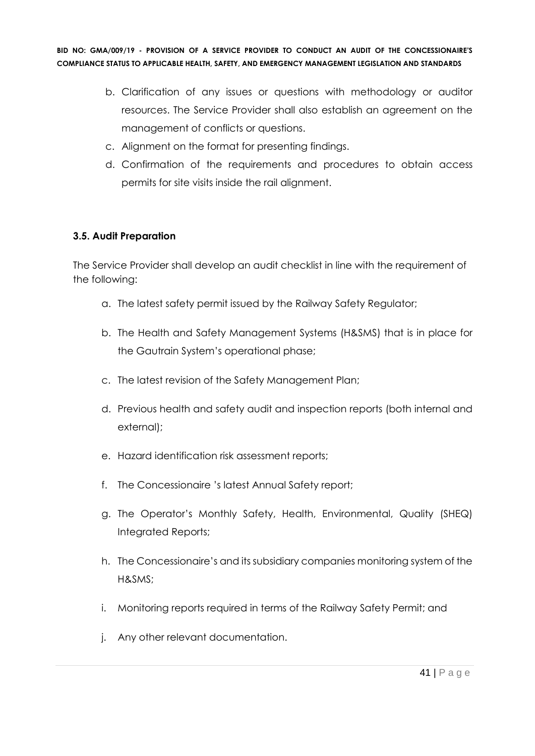- b. Clarification of any issues or questions with methodology or auditor resources. The Service Provider shall also establish an agreement on the management of conflicts or questions.
- c. Alignment on the format for presenting findings.
- d. Confirmation of the requirements and procedures to obtain access permits for site visits inside the rail alignment.

# **3.5. Audit Preparation**

The Service Provider shall develop an audit checklist in line with the requirement of the following:

- a. The latest safety permit issued by the Railway Safety Regulator;
- b. The Health and Safety Management Systems (H&SMS) that is in place for the Gautrain System's operational phase;
- c. The latest revision of the Safety Management Plan;
- d. Previous health and safety audit and inspection reports (both internal and external);
- e. Hazard identification risk assessment reports;
- f. The Concessionaire 's latest Annual Safety report;
- g. The Operator's Monthly Safety, Health, Environmental, Quality (SHEQ) Integrated Reports;
- h. The Concessionaire's and its subsidiary companies monitoring system of the H&SMS;
- i. Monitoring reports required in terms of the Railway Safety Permit; and
- j. Any other relevant documentation.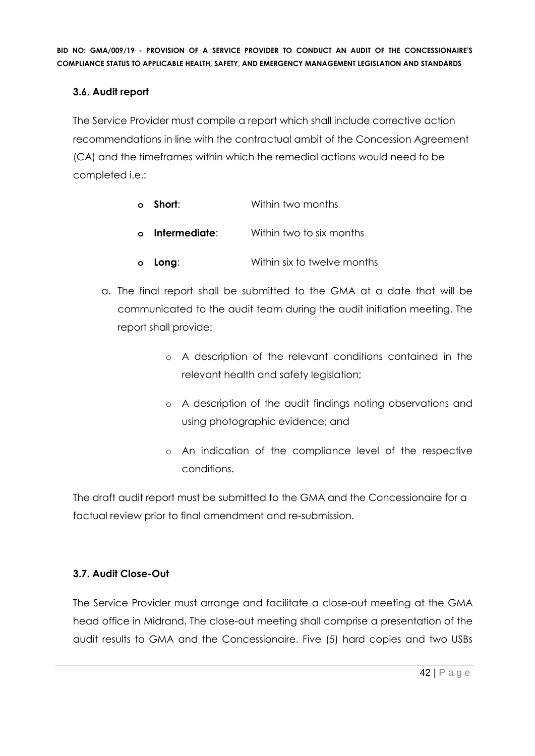# **3.6. Audit report**

The Service Provider must compile a report which shall include corrective action recommendations in line with the contractual ambit of the Concession Agreement (CA) and the timeframes within which the remedial actions would need to be completed i.e.:

- **o Short**: Within two months
- **o Intermediate**: Within two to six months
- **o Long**: Within six to twelve months
- a. The final report shall be submitted to the GMA at a date that will be communicated to the audit team during the audit initiation meeting. The report shall provide:
	- o A description of the relevant conditions contained in the relevant health and safety legislation;
	- o A description of the audit findings noting observations and using photographic evidence; and
	- o An indication of the compliance level of the respective conditions.

The draft audit report must be submitted to the GMA and the Concessionaire for a factual review prior to final amendment and re-submission.

# **3.7. Audit Close-Out**

The Service Provider must arrange and facilitate a close-out meeting at the GMA head office in Midrand. The close-out meeting shall comprise a presentation of the audit results to GMA and the Concessionaire. Five (5) hard copies and two USBs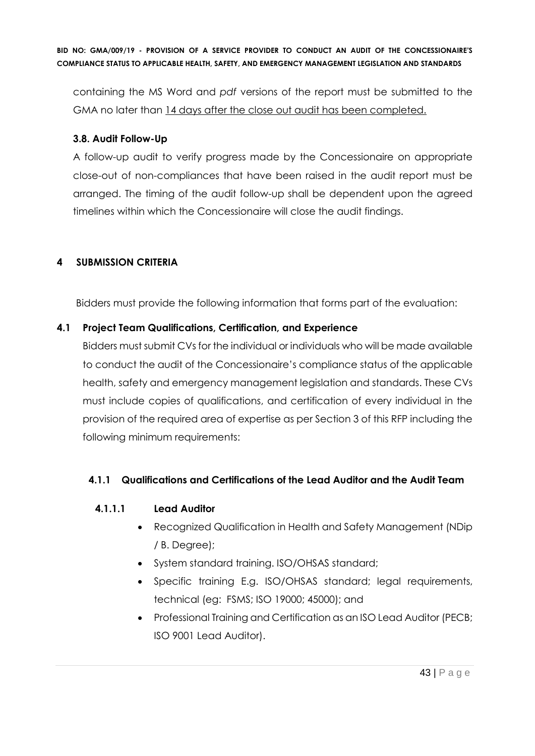containing the MS Word and *pdf* versions of the report must be submitted to the GMA no later than 14 days after the close out audit has been completed.

# **3.8. Audit Follow-Up**

A follow-up audit to verify progress made by the Concessionaire on appropriate close-out of non-compliances that have been raised in the audit report must be arranged. The timing of the audit follow-up shall be dependent upon the agreed timelines within which the Concessionaire will close the audit findings.

# **4 SUBMISSION CRITERIA**

Bidders must provide the following information that forms part of the evaluation:

# **4.1 Project Team Qualifications, Certification, and Experience**

Bidders must submit CVs for the individual or individuals who will be made available to conduct the audit of the Concessionaire's compliance status of the applicable health, safety and emergency management legislation and standards. These CVs must include copies of qualifications, and certification of every individual in the provision of the required area of expertise as per Section 3 of this RFP including the following minimum requirements:

# **4.1.1 Qualifications and Certifications of the Lead Auditor and the Audit Team**

#### **4.1.1.1 Lead Auditor**

- Recognized Qualification in Health and Safety Management (NDip / B. Degree);
- System standard training. ISO/OHSAS standard;
- Specific training E.g. ISO/OHSAS standard; legal requirements, technical (eg: FSMS; ISO 19000; 45000); and
- Professional Training and Certification as an ISO Lead Auditor (PECB; ISO 9001 Lead Auditor).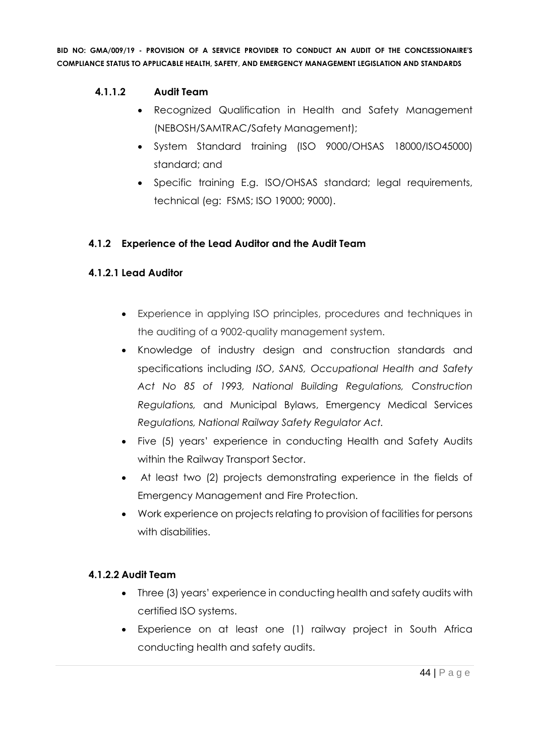# **4.1.1.2 Audit Team**

- Recognized Qualification in Health and Safety Management (NEBOSH/SAMTRAC/Safety Management);
- System Standard training (ISO 9000/OHSAS 18000/ISO45000) standard; and
- Specific training E.g. ISO/OHSAS standard; legal requirements, technical (eg: FSMS; ISO 19000; 9000).

# **4.1.2 Experience of the Lead Auditor and the Audit Team**

# **4.1.2.1 Lead Auditor**

- Experience in applying ISO principles, procedures and techniques in the auditing of a 9002-quality management system.
- Knowledge of industry design and construction standards and specifications including *ISO*, *SANS, Occupational Health and Safety Act No 85 of 1993, National Building Regulations, Construction Regulations,* and Municipal Bylaws, Emergency Medical Services *Regulations, National Railway Safety Regulator Act.*
- Five (5) years' experience in conducting Health and Safety Audits within the Railway Transport Sector.
- At least two (2) projects demonstrating experience in the fields of Emergency Management and Fire Protection.
- Work experience on projects relating to provision of facilities for persons with disabilities.

#### **4.1.2.2 Audit Team**

- Three (3) years' experience in conducting health and safety audits with certified ISO systems.
- Experience on at least one (1) railway project in South Africa conducting health and safety audits.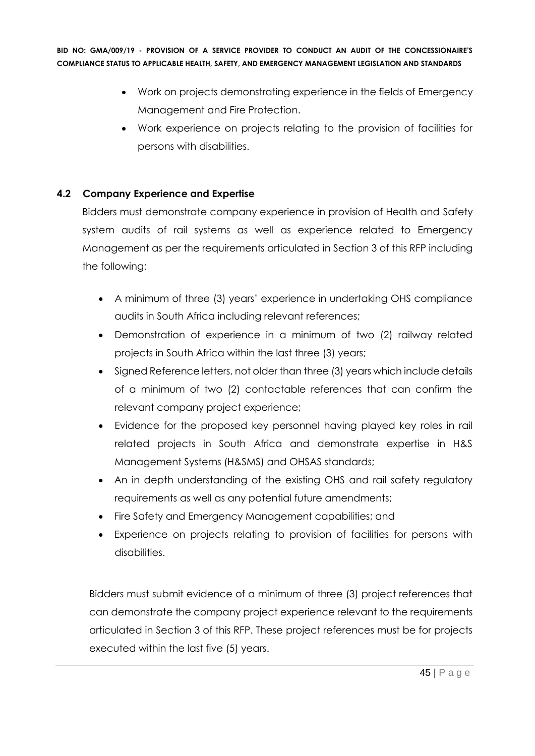- Work on projects demonstrating experience in the fields of Emergency Management and Fire Protection.
- Work experience on projects relating to the provision of facilities for persons with disabilities.

# **4.2 Company Experience and Expertise**

Bidders must demonstrate company experience in provision of Health and Safety system audits of rail systems as well as experience related to Emergency Management as per the requirements articulated in Section 3 of this RFP including the following:

- A minimum of three (3) years' experience in undertaking OHS compliance audits in South Africa including relevant references;
- Demonstration of experience in a minimum of two (2) railway related projects in South Africa within the last three (3) years;
- Signed Reference letters, not older than three (3) years which include details of a minimum of two (2) contactable references that can confirm the relevant company project experience;
- Evidence for the proposed key personnel having played key roles in rail related projects in South Africa and demonstrate expertise in H&S Management Systems (H&SMS) and OHSAS standards;
- An in depth understanding of the existing OHS and rail safety regulatory requirements as well as any potential future amendments;
- Fire Safety and Emergency Management capabilities; and
- Experience on projects relating to provision of facilities for persons with disabilities.

Bidders must submit evidence of a minimum of three (3) project references that can demonstrate the company project experience relevant to the requirements articulated in Section 3 of this RFP. These project references must be for projects executed within the last five (5) years.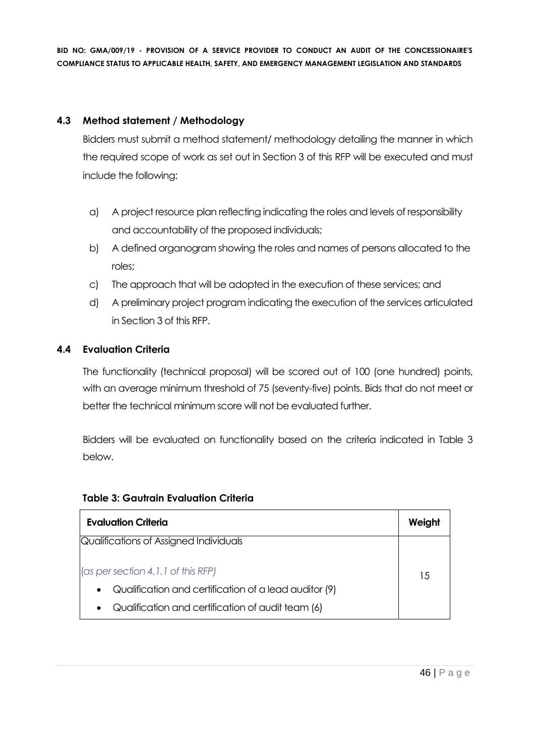# **4.3 Method statement / Methodology**

Bidders must submit a method statement/ methodology detailing the manner in which the required scope of work as set out in Section 3 of this RFP will be executed and must include the following:

- a) A project resource plan reflecting indicating the roles and levels of responsibility and accountability of the proposed individuals;
- b) A defined organogram showing the roles and names of persons allocated to the roles;
- c) The approach that will be adopted in the execution of these services; and
- d) A preliminary project program indicating the execution of the services articulated in Section 3 of this RFP.

# **4.4 Evaluation Criteria**

The functionality (technical proposal) will be scored out of 100 (one hundred) points, with an average minimum threshold of 75 (seventy-five) points. Bids that do not meet or better the technical minimum score will not be evaluated further.

Bidders will be evaluated on functionality based on the criteria indicated in Table 3 below.

| <b>Evaluation Criteria</b>                                         | Weight |
|--------------------------------------------------------------------|--------|
| Qualifications of Assigned Individuals                             |        |
| (as per section 4.1.1 of this RFP)                                 | 15     |
| Qualification and certification of a lead auditor (9)<br>$\bullet$ |        |
| Qualification and certification of audit team (6)                  |        |

#### **Table 3: Gautrain Evaluation Criteria**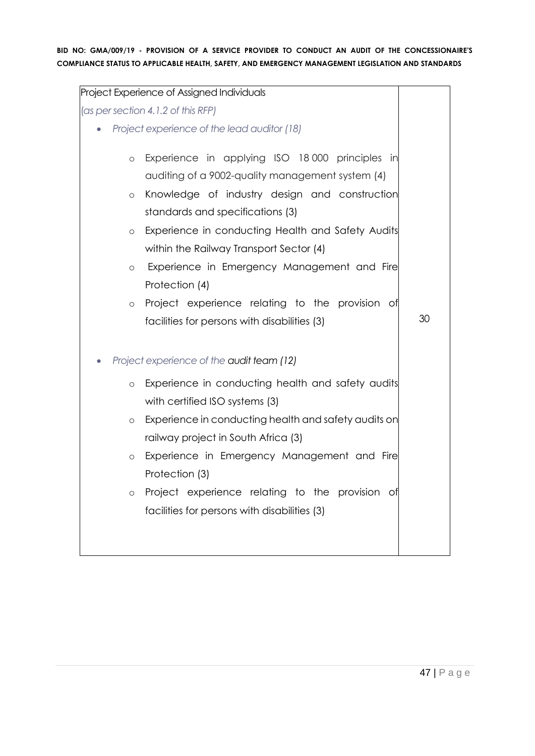| Project Experience of Assigned Individuals                      |    |
|-----------------------------------------------------------------|----|
| (as per section 4.1.2 of this RFP)                              |    |
| Project experience of the lead auditor (18)                     |    |
|                                                                 |    |
| Experience in applying ISO 18000 principles in<br>$\circ$       |    |
| auditing of a 9002-quality management system (4)                |    |
| Knowledge of industry design and construction<br>$\circ$        |    |
| standards and specifications (3)                                |    |
| Experience in conducting Health and Safety Audits<br>$\circ$    |    |
| within the Railway Transport Sector (4)                         |    |
| Experience in Emergency Management and Fire<br>$\circ$          |    |
| Protection (4)                                                  |    |
| Project experience relating to the provision of<br>$\circ$      |    |
| facilities for persons with disabilities (3)                    | 30 |
|                                                                 |    |
| Project experience of the audit team (12)                       |    |
| Experience in conducting health and safety audits<br>$\circ$    |    |
| with certified ISO systems (3)                                  |    |
| Experience in conducting health and safety audits on<br>$\circ$ |    |
| railway project in South Africa (3)                             |    |
| Experience in Emergency Management and Fire<br>$\circ$          |    |
| Protection (3)                                                  |    |
| Project experience relating to the provision of<br>$\circ$      |    |
| facilities for persons with disabilities (3)                    |    |
|                                                                 |    |
|                                                                 |    |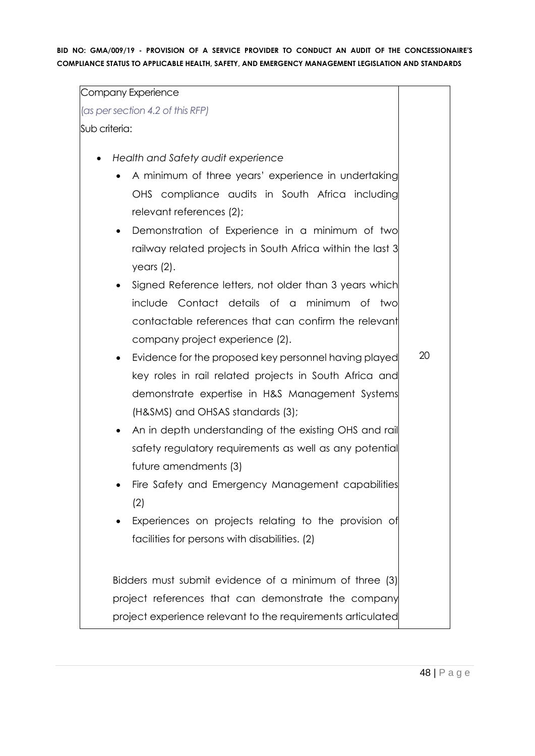Company Experience (*as per section 4.2 of this RFP)* Sub criteria: • *Health and Safety audit experience* • A minimum of three years' experience in undertaking OHS compliance audits in South Africa including relevant references (2); • Demonstration of Experience in a minimum of two railway related projects in South Africa within the last 3 years (2). • Signed Reference letters, not older than 3 years which include Contact details of a minimum of two contactable references that can confirm the relevant company project experience (2). • Evidence for the proposed key personnel having played key roles in rail related projects in South Africa and demonstrate expertise in H&S Management Systems (H&SMS) and OHSAS standards (3); • An in depth understanding of the existing OHS and rail safety regulatory requirements as well as any potential future amendments (3) • Fire Safety and Emergency Management capabilities (2) • Experiences on projects relating to the provision of facilities for persons with disabilities. (2) Bidders must submit evidence of a minimum of three (3) project references that can demonstrate the company project experience relevant to the requirements articulated 20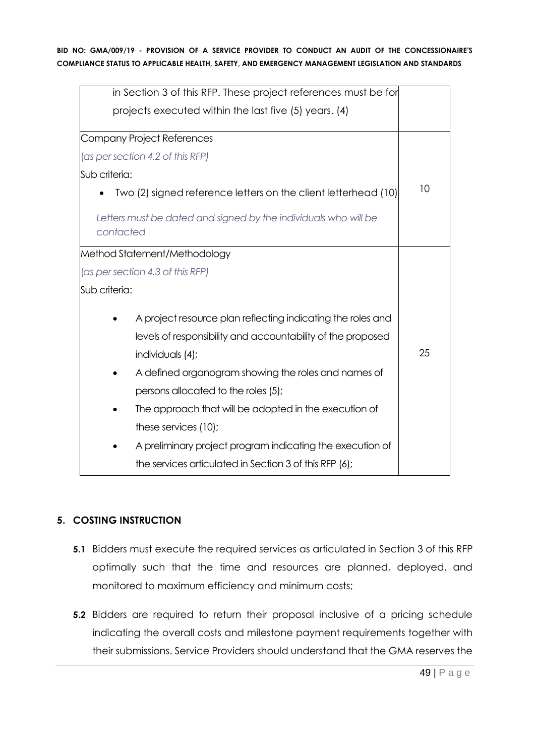| in Section 3 of this RFP. These project references must be for               |    |
|------------------------------------------------------------------------------|----|
| projects executed within the last five (5) years. (4)                        |    |
| Company Project References                                                   |    |
| (as per section 4.2 of this RFP)                                             |    |
| Sub criteria:                                                                |    |
| Two (2) signed reference letters on the client letterhead (10)               | 10 |
| Letters must be dated and signed by the individuals who will be<br>contacted |    |
| Method Statement/Methodology                                                 |    |
| (as per section 4.3 of this RFP)                                             |    |
| Sub criteria:                                                                |    |
| A project resource plan reflecting indicating the roles and                  |    |
| levels of responsibility and accountability of the proposed                  |    |
| individuals (4);                                                             | 25 |
| A defined organogram showing the roles and names of                          |    |
| persons allocated to the roles (5);                                          |    |
| The approach that will be adopted in the execution of                        |    |
| these services (10);                                                         |    |
| A preliminary project program indicating the execution of                    |    |
| the services articulated in Section 3 of this RFP (6);                       |    |

# **5. COSTING INSTRUCTION**

- **5.1** Bidders must execute the required services as articulated in Section 3 of this RFP optimally such that the time and resources are planned, deployed, and monitored to maximum efficiency and minimum costs;
- **5.2** Bidders are required to return their proposal inclusive of a pricing schedule indicating the overall costs and milestone payment requirements together with their submissions. Service Providers should understand that the GMA reserves the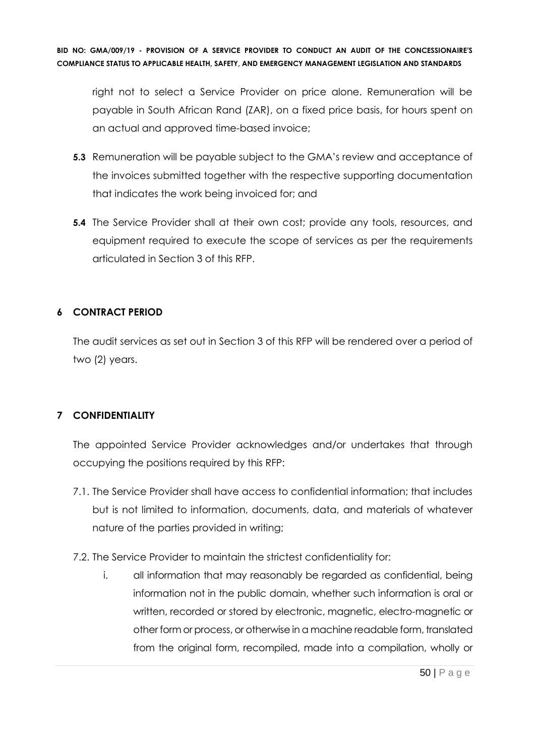right not to select a Service Provider on price alone. Remuneration will be payable in South African Rand (ZAR), on a fixed price basis, for hours spent on an actual and approved time-based invoice;

- **5.3** Remuneration will be payable subject to the GMA's review and acceptance of the invoices submitted together with the respective supporting documentation that indicates the work being invoiced for; and
- **5.4** The Service Provider shall at their own cost; provide any tools, resources, and equipment required to execute the scope of services as per the requirements articulated in Section 3 of this RFP.

# **6 CONTRACT PERIOD**

The audit services as set out in Section 3 of this RFP will be rendered over a period of two (2) years.

# **7 CONFIDENTIALITY**

The appointed Service Provider acknowledges and/or undertakes that through occupying the positions required by this RFP:

- 7.1. The Service Provider shall have access to confidential information; that includes but is not limited to information, documents, data, and materials of whatever nature of the parties provided in writing;
- 7.2. The Service Provider to maintain the strictest confidentiality for:
	- i. all information that may reasonably be regarded as confidential, being information not in the public domain, whether such information is oral or written, recorded or stored by electronic, magnetic, electro-magnetic or other form or process, or otherwise in a machine readable form, translated from the original form, recompiled, made into a compilation, wholly or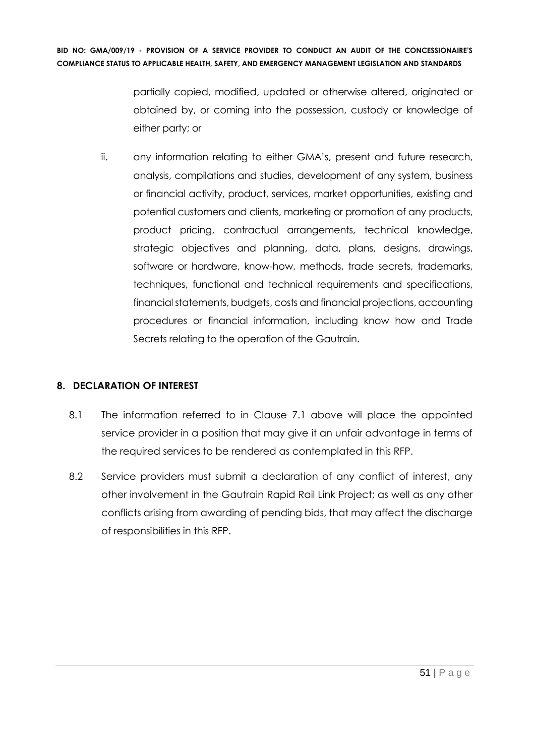> partially copied, modified, updated or otherwise altered, originated or obtained by, or coming into the possession, custody or knowledge of either party; or

ii. any information relating to either GMA's, present and future research, analysis, compilations and studies, development of any system, business or financial activity, product, services, market opportunities, existing and potential customers and clients, marketing or promotion of any products, product pricing, contractual arrangements, technical knowledge, strategic objectives and planning, data, plans, designs, drawings, software or hardware, know-how, methods, trade secrets, trademarks, techniques, functional and technical requirements and specifications, financial statements, budgets, costs and financial projections, accounting procedures or financial information, including know how and Trade Secrets relating to the operation of the Gautrain.

#### **8. DECLARATION OF INTEREST**

- 8.1 The information referred to in Clause 7.1 above will place the appointed service provider in a position that may give it an unfair advantage in terms of the required services to be rendered as contemplated in this RFP.
- 8.2 Service providers must submit a declaration of any conflict of interest, any other involvement in the Gautrain Rapid Rail Link Project; as well as any other conflicts arising from awarding of pending bids, that may affect the discharge of responsibilities in this RFP.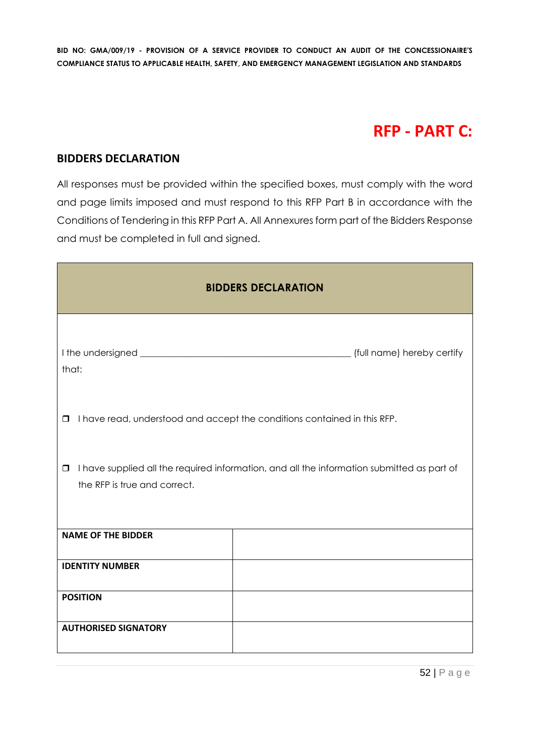# **RFP - PART C:**

#### **BIDDERS DECLARATION**

All responses must be provided within the specified boxes, must comply with the word and page limits imposed and must respond to this RFP Part B in accordance with the Conditions of Tendering in this RFP Part A. All Annexures form part of the Bidders Response and must be completed in full and signed.

| <b>BIDDERS DECLARATION</b>                                                                                                           |                                                                          |  |  |  |  |
|--------------------------------------------------------------------------------------------------------------------------------------|--------------------------------------------------------------------------|--|--|--|--|
| that:                                                                                                                                |                                                                          |  |  |  |  |
| $\Box$                                                                                                                               | I have read, understood and accept the conditions contained in this RFP. |  |  |  |  |
| I have supplied all the required information, and all the information submitted as part of<br>$\Box$<br>the RFP is true and correct. |                                                                          |  |  |  |  |
| <b>NAME OF THE BIDDER</b>                                                                                                            |                                                                          |  |  |  |  |
| <b>IDENTITY NUMBER</b>                                                                                                               |                                                                          |  |  |  |  |
| <b>POSITION</b>                                                                                                                      |                                                                          |  |  |  |  |
| <b>AUTHORISED SIGNATORY</b>                                                                                                          |                                                                          |  |  |  |  |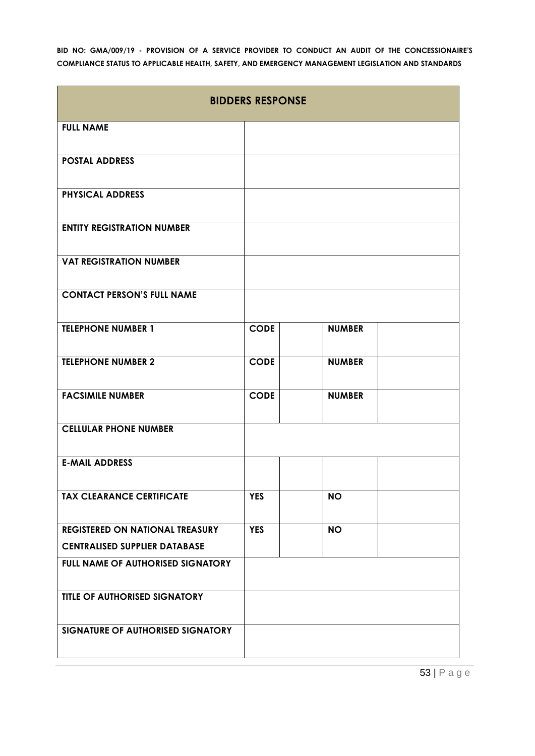| <b>BIDDERS RESPONSE</b>                |             |               |  |  |
|----------------------------------------|-------------|---------------|--|--|
| <b>FULL NAME</b>                       |             |               |  |  |
| <b>POSTAL ADDRESS</b>                  |             |               |  |  |
| <b>PHYSICAL ADDRESS</b>                |             |               |  |  |
| <b>ENTITY REGISTRATION NUMBER</b>      |             |               |  |  |
| <b>VAT REGISTRATION NUMBER</b>         |             |               |  |  |
| <b>CONTACT PERSON'S FULL NAME</b>      |             |               |  |  |
| <b>TELEPHONE NUMBER 1</b>              | <b>CODE</b> | <b>NUMBER</b> |  |  |
| <b>TELEPHONE NUMBER 2</b>              | <b>CODE</b> | <b>NUMBER</b> |  |  |
| <b>FACSIMILE NUMBER</b>                | <b>CODE</b> | <b>NUMBER</b> |  |  |
| <b>CELLULAR PHONE NUMBER</b>           |             |               |  |  |
| <b>E-MAIL ADDRESS</b>                  |             |               |  |  |
| <b>TAX CLEARANCE CERTIFICATE</b>       | <b>YES</b>  | <b>NO</b>     |  |  |
| <b>REGISTERED ON NATIONAL TREASURY</b> | <b>YES</b>  | <b>NO</b>     |  |  |
| <b>CENTRALISED SUPPLIER DATABASE</b>   |             |               |  |  |
| FULL NAME OF AUTHORISED SIGNATORY      |             |               |  |  |
| TITLE OF AUTHORISED SIGNATORY          |             |               |  |  |
| SIGNATURE OF AUTHORISED SIGNATORY      |             |               |  |  |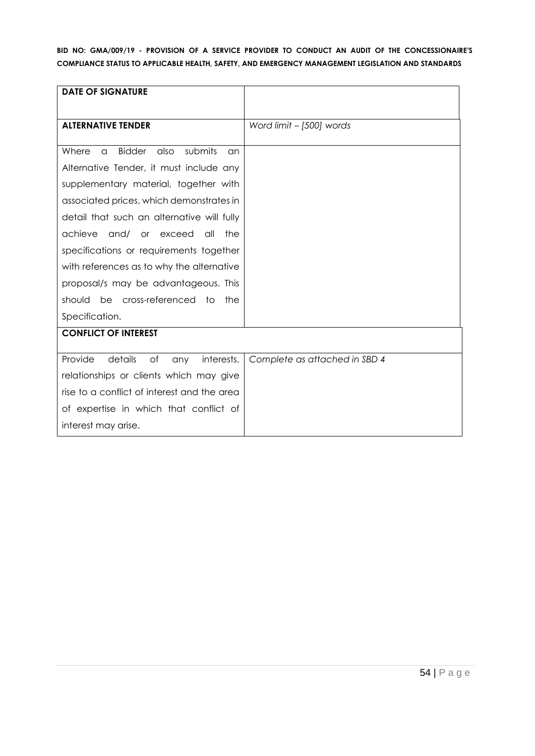| <b>DATE OF SIGNATURE</b>                             |                               |
|------------------------------------------------------|-------------------------------|
|                                                      |                               |
| <b>ALTERNATIVE TENDER</b>                            | Word limit - [500] words      |
|                                                      |                               |
| <b>Bidder</b><br>also<br>submits<br>Where<br>a<br>an |                               |
| Alternative Tender, it must include any              |                               |
| supplementary material, together with                |                               |
| associated prices, which demonstrates in             |                               |
| detail that such an alternative will fully           |                               |
| achieve<br>and/ or exceed<br>all<br>the              |                               |
| specifications or requirements together              |                               |
| with references as to why the alternative            |                               |
| proposal/s may be advantageous. This                 |                               |
| should be cross-referenced to<br>the                 |                               |
| Specification.                                       |                               |
| <b>CONFLICT OF INTEREST</b>                          |                               |
|                                                      |                               |
| Provide<br>details<br>of<br>interests,<br>any        | Complete as attached in SBD 4 |
| relationships or clients which may give              |                               |
| rise to a conflict of interest and the area          |                               |
| of expertise in which that conflict of               |                               |
| interest may arise.                                  |                               |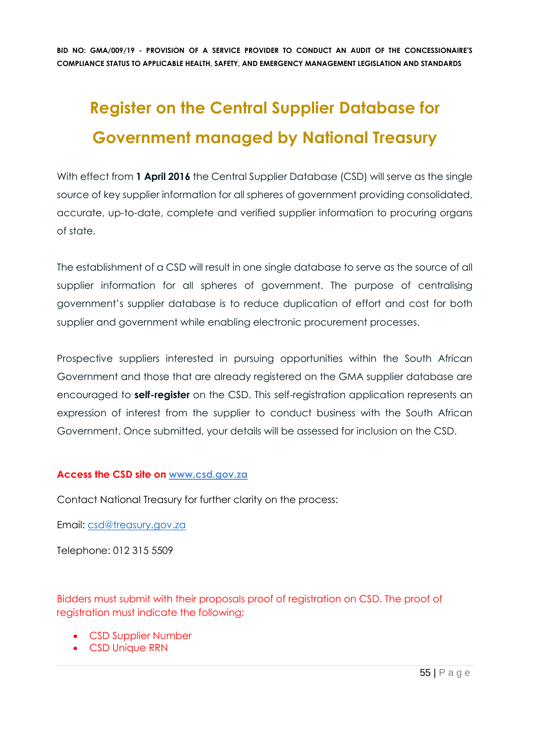# **Register on the Central Supplier Database for Government managed by National Treasury**

With effect from 1 April 2016 the Central Supplier Database (CSD) will serve as the single source of key supplier information for all spheres of government providing consolidated, accurate, up-to-date, complete and verified supplier information to procuring organs of state.

The establishment of a CSD will result in one single database to serve as the source of all supplier information for all spheres of government. The purpose of centralising government's supplier database is to reduce duplication of effort and cost for both supplier and government while enabling electronic procurement processes.

Prospective suppliers interested in pursuing opportunities within the South African Government and those that are already registered on the GMA supplier database are encouraged to **self-register** on the CSD. This self-registration application represents an expression of interest from the supplier to conduct business with the South African Government. Once submitted, your details will be assessed for inclusion on the CSD.

#### **Access the CSD site on [www.csd.gov.za](http://www.csd.gov.za/)**

Contact National Treasury for further clarity on the process:

Email: [csd@treasury.gov.za](mailto:csd@treasury.gov.za)

Telephone: 012 315 5509

Bidders must submit with their proposals proof of registration on CSD. The proof of registration must indicate the following:

- CSD Supplier Number
- CSD Unique RRN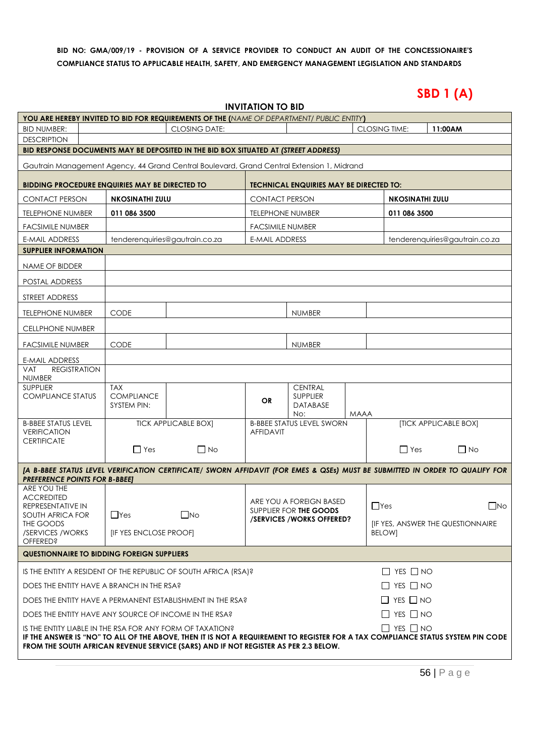# **SBD 1 (A)**

| <b>INVITATION TO BID</b>                    |
|---------------------------------------------|
| <b>S OF THE (</b> NAME OF DEPARTMENT/ PUBLI |

| YOU ARE HEREBY INVITED TO BID FOR REQUIREMENTS OF THE (NAME OF DEPARTMENT/ PUBLIC ENTITY)                                                                                                                              |                                                                   |                             |                         |                                                   |      |                                         |                                |              |
|------------------------------------------------------------------------------------------------------------------------------------------------------------------------------------------------------------------------|-------------------------------------------------------------------|-----------------------------|-------------------------|---------------------------------------------------|------|-----------------------------------------|--------------------------------|--------------|
| <b>BID NUMBER:</b>                                                                                                                                                                                                     |                                                                   | <b>CLOSING DATE:</b>        |                         |                                                   |      | <b>CLOSING TIME:</b>                    | 11:00AM                        |              |
| <b>DESCRIPTION</b>                                                                                                                                                                                                     |                                                                   |                             |                         |                                                   |      |                                         |                                |              |
| BID RESPONSE DOCUMENTS MAY BE DEPOSITED IN THE BID BOX SITUATED AT (STREET ADDRESS)                                                                                                                                    |                                                                   |                             |                         |                                                   |      |                                         |                                |              |
| Gautrain Management Agency, 44 Grand Central Boulevard, Grand Central Extension 1, Midrand                                                                                                                             |                                                                   |                             |                         |                                                   |      |                                         |                                |              |
| <b>BIDDING PROCEDURE ENQUIRIES MAY BE DIRECTED TO</b>                                                                                                                                                                  |                                                                   |                             |                         | <b>TECHNICAL ENQUIRIES MAY BE DIRECTED TO:</b>    |      |                                         |                                |              |
| <b>CONTACT PERSON</b>                                                                                                                                                                                                  | <b>NKOSINATHI ZULU</b>                                            |                             | <b>CONTACT PERSON</b>   |                                                   |      | <b>NKOSINATHI ZULU</b>                  |                                |              |
| <b>TELEPHONE NUMBER</b>                                                                                                                                                                                                | 011 086 3500                                                      |                             | <b>TELEPHONE NUMBER</b> |                                                   |      | 011 086 3500                            |                                |              |
| <b>FACSIMILE NUMBER</b>                                                                                                                                                                                                |                                                                   |                             | <b>FACSIMILE NUMBER</b> |                                                   |      |                                         |                                |              |
| <b>E-MAIL ADDRESS</b>                                                                                                                                                                                                  | tenderenquiries@gautrain.co.za                                    |                             | <b>E-MAIL ADDRESS</b>   |                                                   |      |                                         | tenderenquiries@gautrain.co.za |              |
| <b>SUPPLIER INFORMATION</b>                                                                                                                                                                                            |                                                                   |                             |                         |                                                   |      |                                         |                                |              |
| NAME OF BIDDER                                                                                                                                                                                                         |                                                                   |                             |                         |                                                   |      |                                         |                                |              |
| POSTAL ADDRESS                                                                                                                                                                                                         |                                                                   |                             |                         |                                                   |      |                                         |                                |              |
| STREET ADDRESS                                                                                                                                                                                                         |                                                                   |                             |                         |                                                   |      |                                         |                                |              |
| <b>TELEPHONE NUMBER</b>                                                                                                                                                                                                | <b>CODE</b>                                                       |                             |                         | <b>NUMBER</b>                                     |      |                                         |                                |              |
| CELLPHONE NUMBER                                                                                                                                                                                                       |                                                                   |                             |                         |                                                   |      |                                         |                                |              |
| <b>FACSIMILE NUMBER</b>                                                                                                                                                                                                | <b>CODE</b>                                                       |                             |                         | <b>NUMBER</b>                                     |      |                                         |                                |              |
| <b>E-MAIL ADDRESS</b>                                                                                                                                                                                                  |                                                                   |                             |                         |                                                   |      |                                         |                                |              |
| <b>VAT</b><br><b>REGISTRATION</b><br><b>NUMBER</b>                                                                                                                                                                     |                                                                   |                             |                         |                                                   |      |                                         |                                |              |
| <b>SUPPLIER</b>                                                                                                                                                                                                        | <b>TAX</b>                                                        |                             |                         | <b>CENTRAL</b>                                    |      |                                         |                                |              |
| <b>COMPLIANCE STATUS</b>                                                                                                                                                                                               | <b>COMPLIANCE</b>                                                 |                             | <b>OR</b>               | <b>SUPPLIER</b>                                   |      |                                         |                                |              |
|                                                                                                                                                                                                                        | SYSTEM PIN:                                                       |                             |                         | DATABASE<br>No:                                   | MAAA |                                         |                                |              |
| <b>B-BBEE STATUS LEVEL</b>                                                                                                                                                                                             |                                                                   | <b>TICK APPLICABLE BOX]</b> |                         | <b>B-BBEE STATUS LEVEL SWORN</b>                  |      |                                         | [TICK APPLICABLE BOX]          |              |
| <b>VERIFICATION</b><br><b>CERTIFICATE</b>                                                                                                                                                                              |                                                                   |                             | <b>AFFIDAVIT</b>        |                                                   |      |                                         |                                |              |
|                                                                                                                                                                                                                        | $\Box$ Yes                                                        | $\Box$ No                   |                         |                                                   |      | $\Box$ Yes                              | $\Box$ No                      |              |
| [A B-BBEE STATUS LEVEL VERIFICATION CERTIFICATE/ SWORN AFFIDAVIT (FOR EMES & QSEs) MUST BE SUBMITTED IN ORDER TO QUALIFY FOR                                                                                           |                                                                   |                             |                         |                                                   |      |                                         |                                |              |
| <b>PREFERENCE POINTS FOR B-BBEET</b>                                                                                                                                                                                   |                                                                   |                             |                         |                                                   |      |                                         |                                |              |
| ARE YOU THE<br><b>ACCREDITED</b>                                                                                                                                                                                       |                                                                   |                             |                         |                                                   |      |                                         |                                |              |
| REPRESENTATIVE IN                                                                                                                                                                                                      |                                                                   |                             |                         | ARE YOU A FOREIGN BASED<br>SUPPLIER FOR THE GOODS |      | $\Box$ Yes                              |                                | $\square$ No |
| SOUTH AFRICA FOR<br>THE GOODS                                                                                                                                                                                          | $\Box$ Yes                                                        | $\Box$ No                   |                         | /SERVICES/WORKS OFFERED?                          |      | <b>IF YES, ANSWER THE QUESTIONNAIRE</b> |                                |              |
| /SERVICES/WORKS                                                                                                                                                                                                        | <b>IF YES ENCLOSE PROOFI</b>                                      |                             |                         |                                                   |      | <b>BELOWI</b>                           |                                |              |
| <b>OFFERED?</b>                                                                                                                                                                                                        |                                                                   |                             |                         |                                                   |      |                                         |                                |              |
| <b>QUESTIONNAIRE TO BIDDING FOREIGN SUPPLIERS</b>                                                                                                                                                                      |                                                                   |                             |                         |                                                   |      |                                         |                                |              |
| IS THE ENTITY A RESIDENT OF THE REPUBLIC OF SOUTH AFRICA (RSA)?                                                                                                                                                        |                                                                   |                             |                         |                                                   |      | $\Box$ YES $\Box$ NO                    |                                |              |
|                                                                                                                                                                                                                        | $\Box$ YES $\Box$ NO<br>DOES THE ENTITY HAVE A BRANCH IN THE RSA? |                             |                         |                                                   |      |                                         |                                |              |
| DOES THE ENTITY HAVE A PERMANENT ESTABLISHMENT IN THE RSA?                                                                                                                                                             |                                                                   |                             |                         |                                                   |      | $\Box$ YES $\Box$ NO                    |                                |              |
| DOES THE ENTITY HAVE ANY SOURCE OF INCOME IN THE RSA?                                                                                                                                                                  |                                                                   |                             |                         |                                                   |      | $\Box$ YES $\Box$ NO                    |                                |              |
| $\Box$ YES $\Box$ NO<br>IS THE ENTITY LIABLE IN THE RSA FOR ANY FORM OF TAXATION?                                                                                                                                      |                                                                   |                             |                         |                                                   |      |                                         |                                |              |
| IF THE ANSWER IS "NO" TO ALL OF THE ABOVE, THEN IT IS NOT A REQUIREMENT TO REGISTER FOR A TAX COMPLIANCE STATUS SYSTEM PIN CODE<br>FROM THE SOUTH AFRICAN REVENUE SERVICE (SARS) AND IF NOT REGISTER AS PER 2.3 BELOW. |                                                                   |                             |                         |                                                   |      |                                         |                                |              |
|                                                                                                                                                                                                                        |                                                                   |                             |                         |                                                   |      |                                         |                                |              |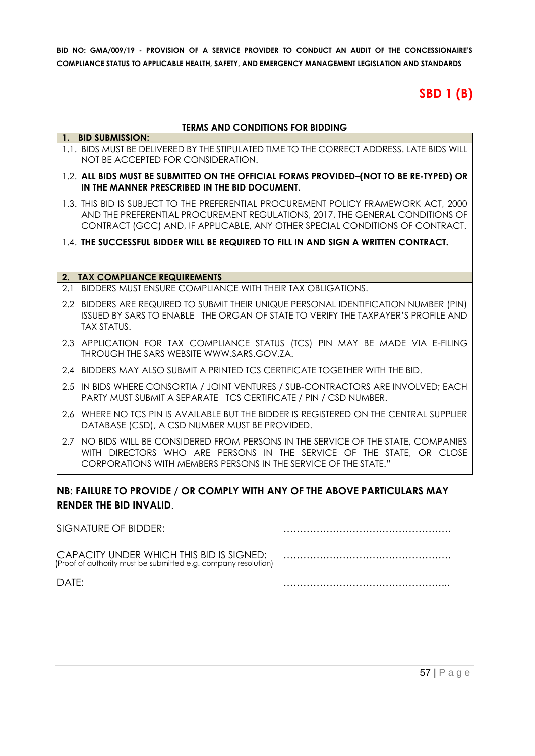# **SBD 1 (B)**

#### **TERMS AND CONDITIONS FOR BIDDING**

#### **1. BID SUBMISSION:** 1.1. BIDS MUST BE DELIVERED BY THE STIPULATED TIME TO THE CORRECT ADDRESS. LATE BIDS WILL NOT BE ACCEPTED FOR CONSIDERATION.

#### 1.2. **ALL BIDS MUST BE SUBMITTED ON THE OFFICIAL FORMS PROVIDED–(NOT TO BE RE-TYPED) OR IN THE MANNER PRESCRIBED IN THE BID DOCUMENT.**

- 1.3. THIS BID IS SUBJECT TO THE PREFERENTIAL PROCUREMENT POLICY FRAMEWORK ACT, 2000 AND THE PREFERENTIAL PROCUREMENT REGULATIONS, 2017, THE GENERAL CONDITIONS OF CONTRACT (GCC) AND, IF APPLICABLE, ANY OTHER SPECIAL CONDITIONS OF CONTRACT.
- 1.4. **THE SUCCESSFUL BIDDER WILL BE REQUIRED TO FILL IN AND SIGN A WRITTEN CONTRACT.**

#### **2. TAX COMPLIANCE REQUIREMENTS**

- 2.1 BIDDERS MUST ENSURE COMPLIANCE WITH THEIR TAX OBLIGATIONS.
- 2.2 BIDDERS ARE REQUIRED TO SUBMIT THEIR UNIQUE PERSONAL IDENTIFICATION NUMBER (PIN) ISSUED BY SARS TO ENABLE THE ORGAN OF STATE TO VERIFY THE TAXPAYER'S PROFILE AND TAX STATUS.
- 2.3 APPLICATION FOR TAX COMPLIANCE STATUS (TCS) PIN MAY BE MADE VIA E-FILING THROUGH THE SARS WEBSITE [WWW.SARS.GOV.ZA.](http://www.sars.gov.za/)
- 2.4 BIDDERS MAY ALSO SUBMIT A PRINTED TCS CERTIFICATE TOGETHER WITH THE BID.
- 2.5 IN BIDS WHERE CONSORTIA / JOINT VENTURES / SUB-CONTRACTORS ARE INVOLVED; EACH PARTY MUST SUBMIT A SEPARATE TCS CERTIFICATE / PIN / CSD NUMBER.
- 2.6 WHERE NO TCS PIN IS AVAILABLE BUT THE BIDDER IS REGISTERED ON THE CENTRAL SUPPLIER DATABASE (CSD), A CSD NUMBER MUST BE PROVIDED.
- 2.7 NO BIDS WILL BE CONSIDERED FROM PERSONS IN THE SERVICE OF THE STATE, COMPANIES WITH DIRECTORS WHO ARE PERSONS IN THE SERVICE OF THE STATE, OR CLOSE CORPORATIONS WITH MEMBERS PERSONS IN THE SERVICE OF THE STATE."

#### **NB: FAILURE TO PROVIDE / OR COMPLY WITH ANY OF THE ABOVE PARTICULARS MAY RENDER THE BID INVALID**.

| SIGNATURE OF BIDDER:                                                                                       |  |
|------------------------------------------------------------------------------------------------------------|--|
| CAPACITY UNDER WHICH THIS BID IS SIGNED:<br>(Proof of authority must be submitted e.g. company resolution) |  |
| DATF:                                                                                                      |  |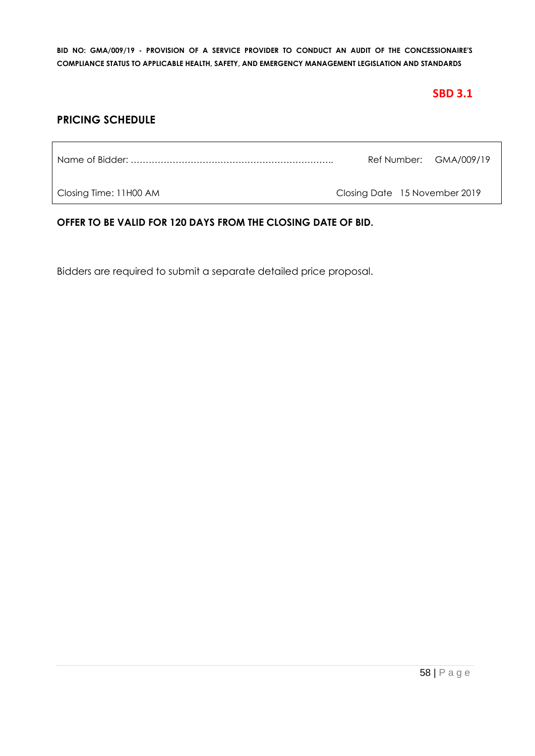# **SBD 3.1**

# **PRICING SCHEDULE**

|                        |                               | Ref Number: GMA/009/19 |
|------------------------|-------------------------------|------------------------|
| Closing Time: 11H00 AM | Closing Date 15 November 2019 |                        |

#### **OFFER TO BE VALID FOR 120 DAYS FROM THE CLOSING DATE OF BID.**

Bidders are required to submit a separate detailed price proposal.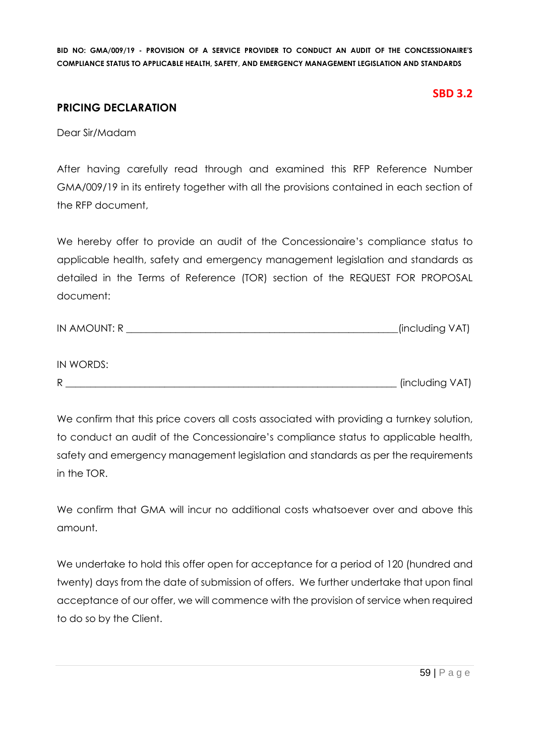#### **SBD 3.2**

# **PRICING DECLARATION**

Dear Sir/Madam

After having carefully read through and examined this RFP Reference Number GMA/009/19 in its entirety together with all the provisions contained in each section of the RFP document,

We hereby offer to provide an audit of the Concessionaire's compliance status to applicable health, safety and emergency management legislation and standards as detailed in the Terms of Reference (TOR) section of the REQUEST FOR PROPOSAL document:

| IN WORDS: |                 |
|-----------|-----------------|
| R         | (including VAT) |

We confirm that this price covers all costs associated with providing a turnkey solution, to conduct an audit of the Concessionaire's compliance status to applicable health, safety and emergency management legislation and standards as per the requirements in the TOR.

We confirm that GMA will incur no additional costs whatsoever over and above this amount.

We undertake to hold this offer open for acceptance for a period of 120 (hundred and twenty) days from the date of submission of offers. We further undertake that upon final acceptance of our offer, we will commence with the provision of service when required to do so by the Client.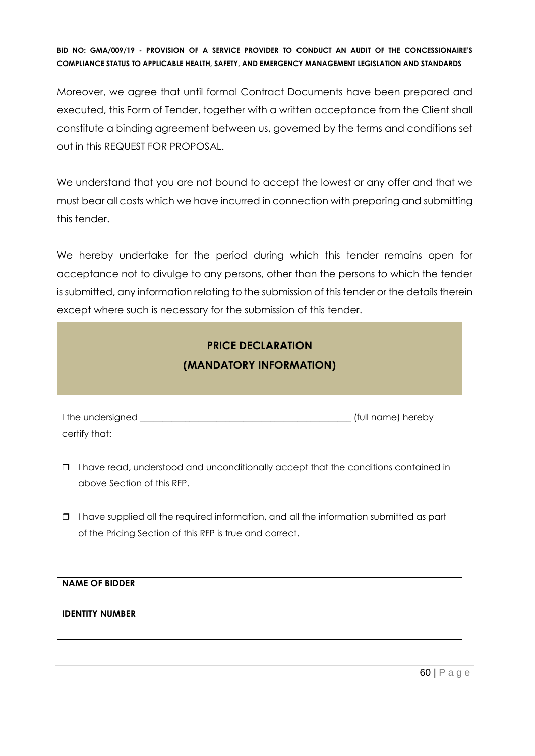Moreover, we agree that until formal Contract Documents have been prepared and executed, this Form of Tender, together with a written acceptance from the Client shall constitute a binding agreement between us, governed by the terms and conditions set out in this REQUEST FOR PROPOSAL.

We understand that you are not bound to accept the lowest or any offer and that we must bear all costs which we have incurred in connection with preparing and submitting this tender.

We hereby undertake for the period during which this tender remains open for acceptance not to divulge to any persons, other than the persons to which the tender is submitted, any information relating to the submission of this tender or the details therein except where such is necessary for the submission of this tender.

| <b>PRICE DECLARATION</b><br>(MANDATORY INFORMATION)                                                                                                          |  |  |  |  |
|--------------------------------------------------------------------------------------------------------------------------------------------------------------|--|--|--|--|
| certify that:                                                                                                                                                |  |  |  |  |
| I have read, understood and unconditionally accept that the conditions contained in<br>$\Box$<br>above Section of this RFP.                                  |  |  |  |  |
| I have supplied all the required information, and all the information submitted as part<br>$\Box$<br>of the Pricing Section of this RFP is true and correct. |  |  |  |  |
| <b>NAME OF BIDDER</b>                                                                                                                                        |  |  |  |  |
| <b>IDENTITY NUMBER</b>                                                                                                                                       |  |  |  |  |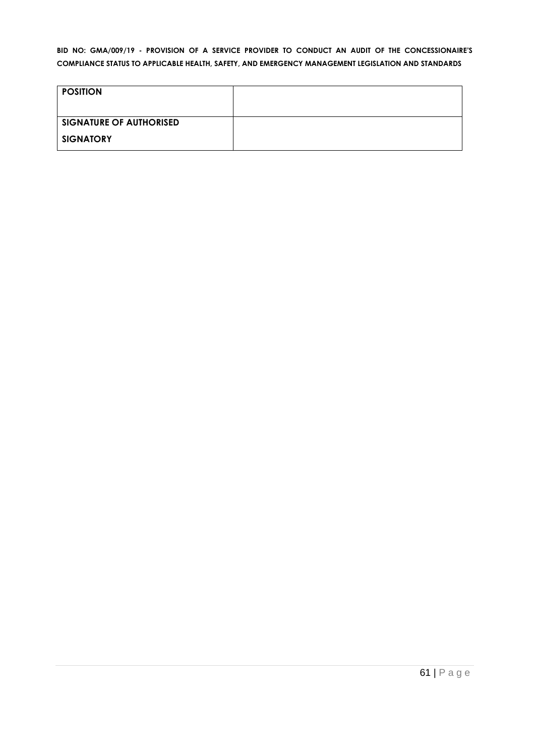| <b>POSITION</b>                |  |
|--------------------------------|--|
|                                |  |
| <b>SIGNATURE OF AUTHORISED</b> |  |
| <b>SIGNATORY</b>               |  |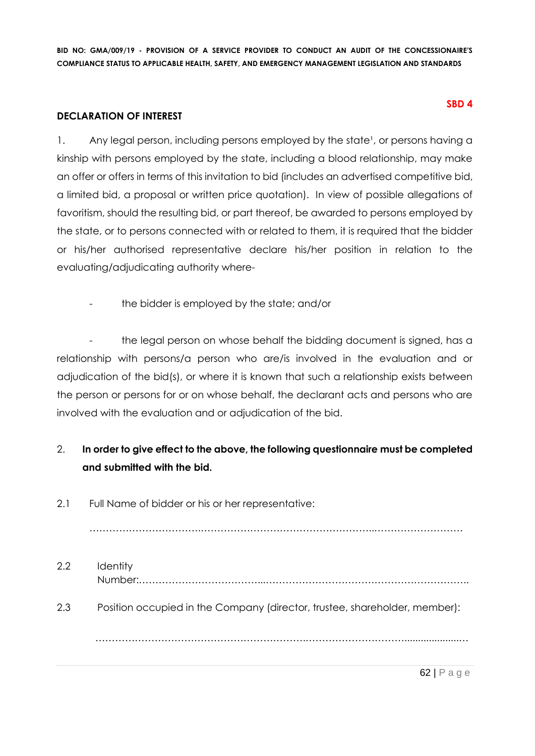#### **DECLARATION OF INTEREST**

1. Any legal person, including persons employed by the state<sup>1</sup>, or persons having a kinship with persons employed by the state, including a blood relationship, may make an offer or offers in terms of this invitation to bid (includes an advertised competitive bid, a limited bid, a proposal or written price quotation). In view of possible allegations of favoritism, should the resulting bid, or part thereof, be awarded to persons employed by the state, or to persons connected with or related to them, it is required that the bidder or his/her authorised representative declare his/her position in relation to the evaluating/adjudicating authority where-

the bidder is employed by the state; and/or

the legal person on whose behalf the bidding document is signed, has a relationship with persons/a person who are/is involved in the evaluation and or adjudication of the bid(s), or where it is known that such a relationship exists between the person or persons for or on whose behalf, the declarant acts and persons who are involved with the evaluation and or adjudication of the bid.

# 2. **In order to give effect to the above, the following questionnaire must be completed and submitted with the bid.**

2.1 Full Name of bidder or his or her representative:

…………………………….……………………………………………..………………………

2.2 Identity Number:………………………………...…………………………………………………….. 2.3 Position occupied in the Company (director, trustee, shareholder, member): ……………………………………………………….…………………………....................…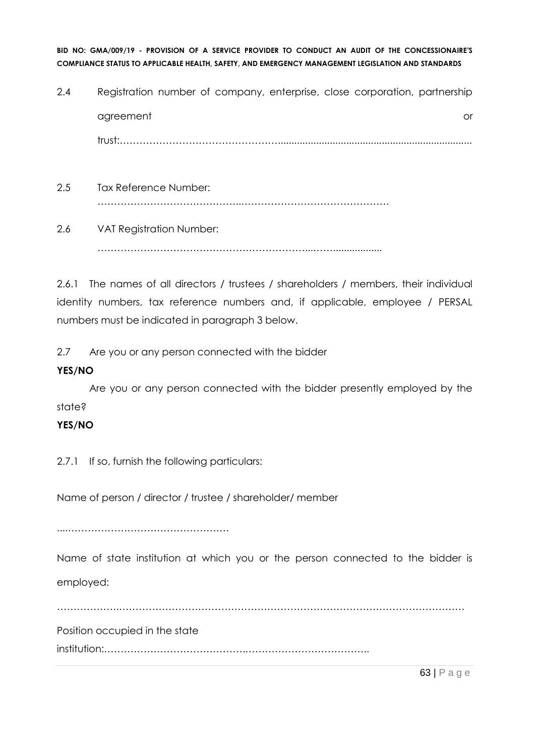- 2.4 Registration number of company, enterprise, close corporation, partnership agreement or and a structure or an analysis of the structure or an analysis of the structure or or  $\alpha$ trust:…………………………………………....................................................................... 2.5 Tax Reference Number:
	- ……………………………………..………………………………………
- 2.6 VAT Registration Number: ………………………………………………………...……..................

2.6.1 The names of all directors / trustees / shareholders / members, their individual identity numbers, tax reference numbers and, if applicable, employee / PERSAL numbers must be indicated in paragraph 3 below.

2.7 Are you or any person connected with the bidder

# **YES/NO**

Are you or any person connected with the bidder presently employed by the state?

# **YES/NO**

2.7.1 If so, furnish the following particulars:

Name of person / director / trustee / shareholder/ member

....………………………………………….

Name of state institution at which you or the person connected to the bidder is employed:

……………….……………………………………………………………………………………………

Position occupied in the state

institution:…………………………………….………………………………..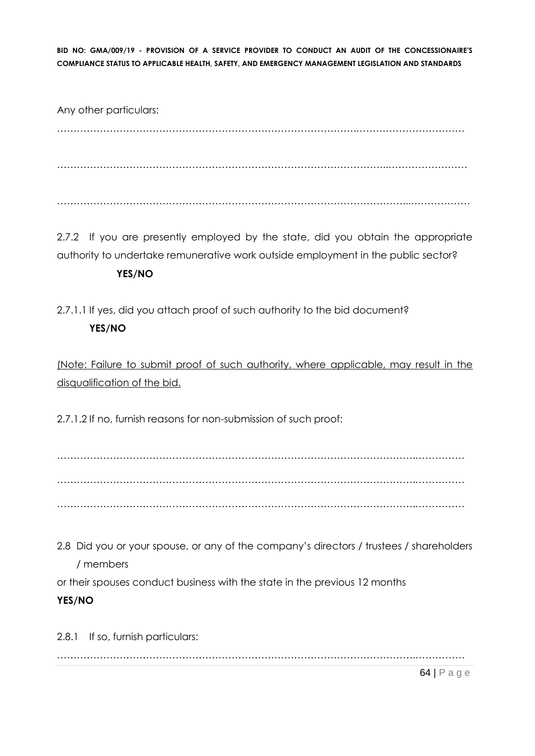Any other particulars: ……………………………………………………………………………….…………………………… ………………………………………………………………………………………..…………………… ……………………………………………………………………………………………...………………

2.7.2 If you are presently employed by the state, did you obtain the appropriate authority to undertake remunerative work outside employment in the public sector?

# **YES/NO**

2.7.1.1 If yes, did you attach proof of such authority to the bid document? **YES/NO**

(Note: Failure to submit proof of such authority, where applicable, may result in the disqualification of the bid.

2.7.1.2 If no, furnish reasons for non-submission of such proof:

……………………………………………………………………………………………….…………… ……………………………………………………………………………………………….…………… ……………………………………………………………………………………………….……………

2.8 Did you or your spouse, or any of the company's directors / trustees / shareholders / members

or their spouses conduct business with the state in the previous 12 months

# **YES/NO**

2.8.1 If so, furnish particulars: ……………………………………………………………………………………………….……………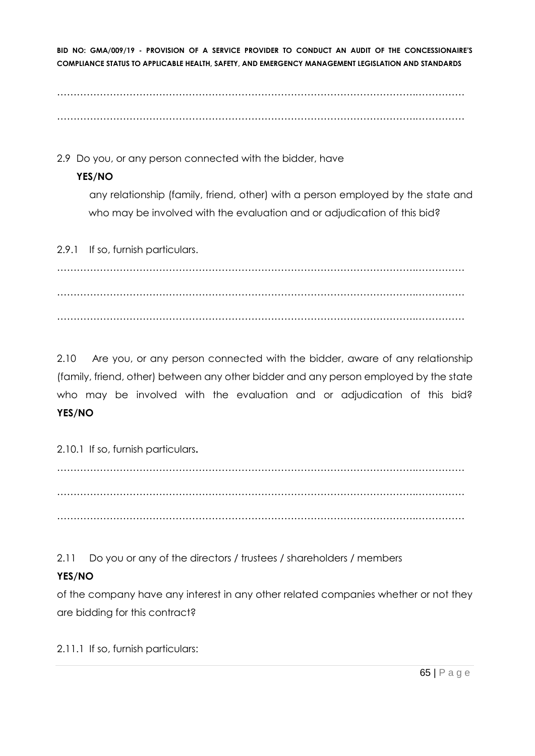……………………………………………………………………………………………….…………… ……………………………………………………………………………………………….……………

2.9 Do you, or any person connected with the bidder, have

# **YES/NO**

any relationship (family, friend, other) with a person employed by the state and who may be involved with the evaluation and or adjudication of this bid?

2.9.1 If so, furnish particulars.

……………………………………………………………………………………………….…………… ……………………………………………………………………………………………….…………… ……………………………………………………………………………………………….……………

2.10 Are you, or any person connected with the bidder, aware of any relationship (family, friend, other) between any other bidder and any person employed by the state who may be involved with the evaluation and or adjudication of this bid? **YES/NO**

2.10.1 If so, furnish particulars**.**

……………………………………………………………………………………………….…………… ……………………………………………………………………………………………….…………… ……………………………………………………………………………………………….……………

2.11 Do you or any of the directors / trustees / shareholders / members

# **YES/NO**

of the company have any interest in any other related companies whether or not they are bidding for this contract?

2.11.1 If so, furnish particulars: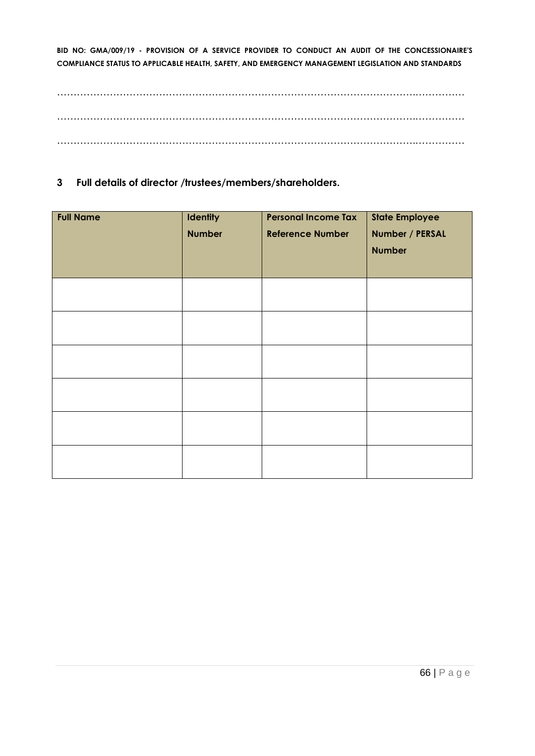……………………………………………………………………………………………….…………… ……………………………………………………………………………………………….…………… ……………………………………………………………………………………………….……………

#### **3 Full details of director /trustees/members/shareholders.**

| <b>Full Name</b> | <b>Identity</b><br><b>Number</b> | <b>Personal Income Tax</b><br><b>Reference Number</b> | <b>State Employee</b><br>Number / PERSAL<br><b>Number</b> |
|------------------|----------------------------------|-------------------------------------------------------|-----------------------------------------------------------|
|                  |                                  |                                                       |                                                           |
|                  |                                  |                                                       |                                                           |
|                  |                                  |                                                       |                                                           |
|                  |                                  |                                                       |                                                           |
|                  |                                  |                                                       |                                                           |
|                  |                                  |                                                       |                                                           |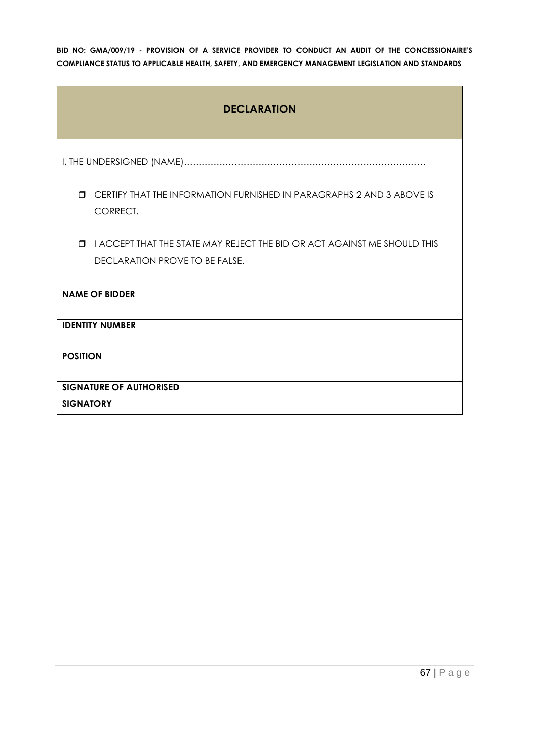| <b>DECLARATION</b>             |                                                                          |  |  |  |
|--------------------------------|--------------------------------------------------------------------------|--|--|--|
|                                |                                                                          |  |  |  |
| $\Box$<br>CORRECT.             | CERTIFY THAT THE INFORMATION FURNISHED IN PARAGRAPHS 2 AND 3 ABOVE IS    |  |  |  |
| $\Box$                         | I ACCEPT THAT THE STATE MAY REJECT THE BID OR ACT AGAINST ME SHOULD THIS |  |  |  |
| DECLARATION PROVE TO BE FALSE. |                                                                          |  |  |  |
| <b>NAME OF BIDDER</b>          |                                                                          |  |  |  |
| <b>IDENTITY NUMBER</b>         |                                                                          |  |  |  |
| <b>POSITION</b>                |                                                                          |  |  |  |
| <b>SIGNATURE OF AUTHORISED</b> |                                                                          |  |  |  |
| <b>SIGNATORY</b>               |                                                                          |  |  |  |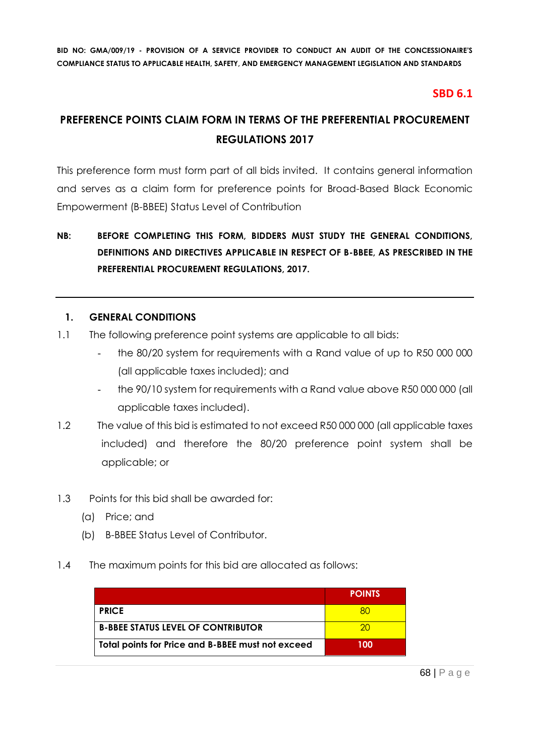# **SBD 6.1**

# **PREFERENCE POINTS CLAIM FORM IN TERMS OF THE PREFERENTIAL PROCUREMENT REGULATIONS 2017**

This preference form must form part of all bids invited. It contains general information and serves as a claim form for preference points for Broad-Based Black Economic Empowerment (B-BBEE) Status Level of Contribution

# **NB: BEFORE COMPLETING THIS FORM, BIDDERS MUST STUDY THE GENERAL CONDITIONS, DEFINITIONS AND DIRECTIVES APPLICABLE IN RESPECT OF B-BBEE, AS PRESCRIBED IN THE PREFERENTIAL PROCUREMENT REGULATIONS, 2017.**

#### **1. GENERAL CONDITIONS**

- 1.1 The following preference point systems are applicable to all bids:
	- the 80/20 system for requirements with a Rand value of up to R50 000 000 (all applicable taxes included); and
	- the 90/10 system for requirements with a Rand value above R50 000 000 (all applicable taxes included).
- 1.2 The value of this bid is estimated to not exceed R50 000 000 (all applicable taxes included) and therefore the 80/20 preference point system shall be applicable; or
- 1.3 Points for this bid shall be awarded for:
	- (a) Price; and
	- (b) B-BBEE Status Level of Contributor.
- 1.4 The maximum points for this bid are allocated as follows:

|                                                   | <b>POINTS</b> |
|---------------------------------------------------|---------------|
| <b>PRICE</b>                                      |               |
| <b>B-BBEE STATUS LEVEL OF CONTRIBUTOR</b>         | 20            |
| Total points for Price and B-BBEE must not exceed | 100           |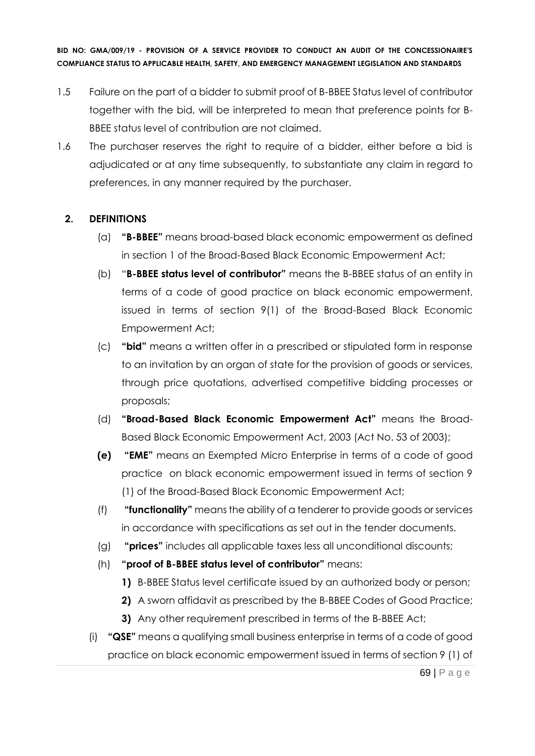- 1.5 Failure on the part of a bidder to submit proof of B-BBEE Status level of contributor together with the bid, will be interpreted to mean that preference points for B-BBEE status level of contribution are not claimed.
- 1.6 The purchaser reserves the right to require of a bidder, either before a bid is adjudicated or at any time subsequently, to substantiate any claim in regard to preferences, in any manner required by the purchaser.

# **2. DEFINITIONS**

- (a) **"B-BBEE"** means broad-based black economic empowerment as defined in section 1 of the Broad-Based Black Economic Empowerment Act;
- (b) "**B-BBEE status level of contributor"** means the B-BBEE status of an entity in terms of a code of good practice on black economic empowerment, issued in terms of section 9(1) of the Broad-Based Black Economic Empowerment Act;
- (c) **"bid"** means a written offer in a prescribed or stipulated form in response to an invitation by an organ of state for the provision of goods or services, through price quotations, advertised competitive bidding processes or proposals;
- (d) **"Broad-Based Black Economic Empowerment Act"** means the Broad-Based Black Economic Empowerment Act, 2003 (Act No. 53 of 2003);
- **(e) "EME"** means an Exempted Micro Enterprise in terms of a code of good practice on black economic empowerment issued in terms of section 9 (1) of the Broad-Based Black Economic Empowerment Act;
- (f) **"functionality"** means the ability of a tenderer to provide goods or services in accordance with specifications as set out in the tender documents.
- (g) **"prices"** includes all applicable taxes less all unconditional discounts;
- (h) **"proof of B-BBEE status level of contributor"** means:
	- **1)** B-BBEE Status level certificate issued by an authorized body or person;
	- **2)** A sworn affidavit as prescribed by the B-BBEE Codes of Good Practice;
	- **3)** Any other requirement prescribed in terms of the B-BBEE Act;
- (i) **"QSE"** means a qualifying small business enterprise in terms of a code of good practice on black economic empowerment issued in terms of section 9 (1) of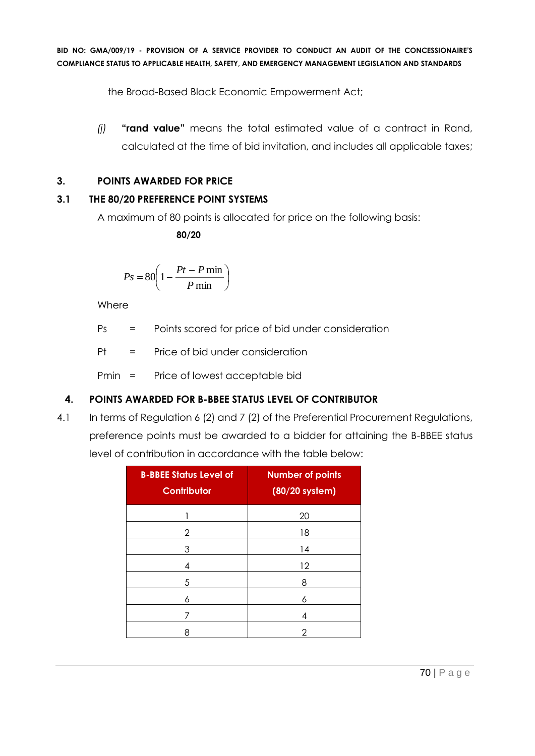the Broad-Based Black Economic Empowerment Act;

*(j)* **"rand value"** means the total estimated value of a contract in Rand, calculated at the time of bid invitation, and includes all applicable taxes;

# **3. POINTS AWARDED FOR PRICE**

# **3.1 THE 80/20 PREFERENCE POINT SYSTEMS**

A maximum of 80 points is allocated for price on the following basis:

 **80/20**

$$
Ps = 80 \left( 1 - \frac{Pt - P \min}{P \min} \right)
$$

Where

Ps = Points scored for price of bid under consideration

Pt = Price of bid under consideration

Pmin = Price of lowest acceptable bid

# **4. POINTS AWARDED FOR B-BBEE STATUS LEVEL OF CONTRIBUTOR**

4.1 In terms of Regulation 6 (2) and 7 (2) of the Preferential Procurement Regulations, preference points must be awarded to a bidder for attaining the B-BBEE status level of contribution in accordance with the table below:

| <b>B-BBEE Status Level of</b><br><b>Contributor</b> | <b>Number of points</b><br>(80/20 system) |
|-----------------------------------------------------|-------------------------------------------|
|                                                     | 20                                        |
| 2                                                   | 18                                        |
| 3                                                   | 14                                        |
| 4                                                   | 12                                        |
| 5                                                   | 8                                         |
| 6                                                   | 6                                         |
|                                                     | 4                                         |
| 8                                                   | 2                                         |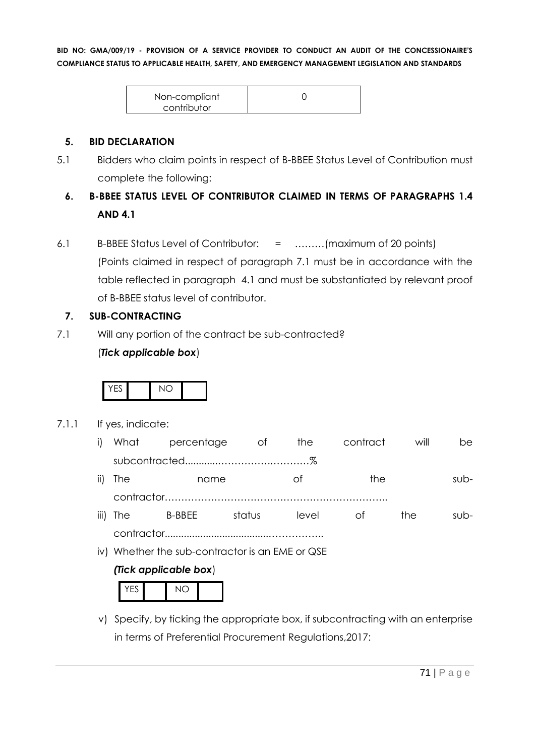| Non-compliant |  |
|---------------|--|
| contributor   |  |

#### **5. BID DECLARATION**

5.1 Bidders who claim points in respect of B-BBEE Status Level of Contribution must complete the following:

# **6. B-BBEE STATUS LEVEL OF CONTRIBUTOR CLAIMED IN TERMS OF PARAGRAPHS 1.4 AND 4.1**

6.1 B-BBEE Status Level of Contributor: = ………(maximum of 20 points) (Points claimed in respect of paragraph 7.1 must be in accordance with the table reflected in paragraph 4.1 and must be substantiated by relevant proof of B-BBEE status level of contributor.

# **7. SUB-CONTRACTING**

7.1 Will any portion of the contract be sub-contracted?

# (*Tick applicable box*)



#### 7.1.1 If yes, indicate:

|          | i) What percentage of the |        |       | contract | will | be.     |
|----------|---------------------------|--------|-------|----------|------|---------|
|          |                           |        |       |          |      |         |
| ii) The  | name                      |        | Ωt    | the      |      | $SUB -$ |
|          |                           |        |       |          |      |         |
| iii) The | B-BBEE                    | status | level | Ot.      | the  | $SUB -$ |

contractor......................................……………..

iv) Whether the sub-contractor is an EME or QSE

# *(Tick applicable box*)

v) Specify, by ticking the appropriate box, if subcontracting with an enterprise in terms of Preferential Procurement Regulations,2017: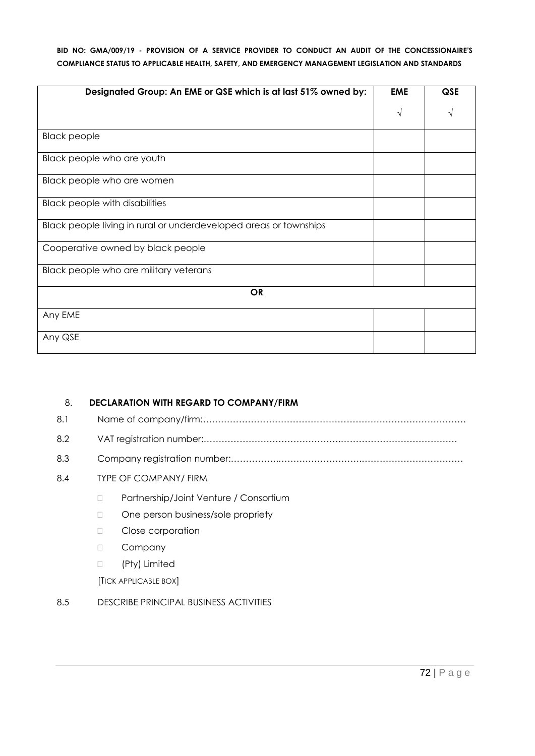| Designated Group: An EME or QSE which is at last 51% owned by:    | <b>EME</b> | QSE |
|-------------------------------------------------------------------|------------|-----|
|                                                                   | V          | V   |
| <b>Black people</b>                                               |            |     |
| Black people who are youth                                        |            |     |
| Black people who are women                                        |            |     |
| <b>Black people with disabilities</b>                             |            |     |
| Black people living in rural or underdeveloped areas or townships |            |     |
| Cooperative owned by black people                                 |            |     |
| Black people who are military veterans                            |            |     |
| <b>OR</b>                                                         |            |     |
| Any EME                                                           |            |     |
| Any QSE                                                           |            |     |

# 8. **DECLARATION WITH REGARD TO COMPANY/FIRM** 8.1 Name of company/firm:……………………………………………………………………………. 8.2 VAT registration number:……………………………………….………………………………… 8.3 Company registration number:…………….……………………….……………………………. 8.4 TYPE OF COMPANY/ FIRM D Partnership/Joint Venture / Consortium One person business/sole propriety D Close corporation D Company (Pty) Limited [TICK APPLICABLE BOX]

8.5 DESCRIBE PRINCIPAL BUSINESS ACTIVITIES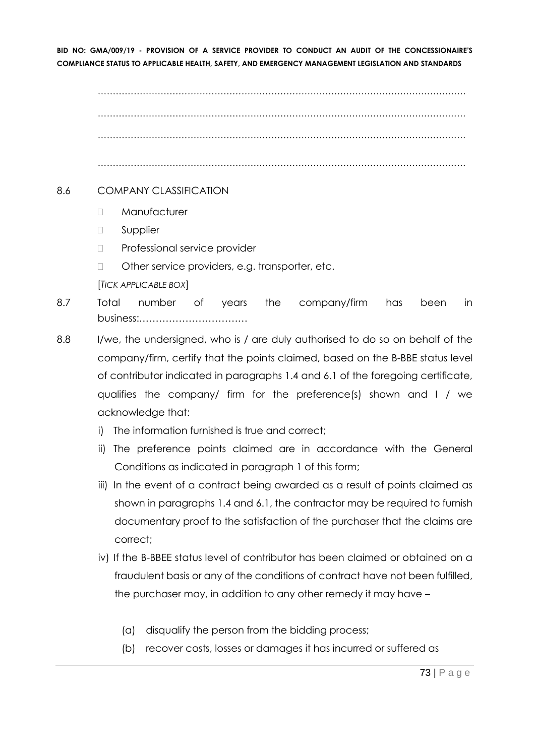…………………………………………………………………………………………………………… …………………………………………………………………………………………………………… ……………………………………………………………………………………………………………

……………………………………………………………………………………………………………

#### 8.6 COMPANY CLASSIFICATION

- D Manufacturer
- **D** Supplier
- D Professional service provider
- □ Other service providers, e.g. transporter, etc.
- [*TICK APPLICABLE BOX*]
- 8.7 Total number of years the company/firm has been in business:……………………………
- 8.8 I/we, the undersigned, who is / are duly authorised to do so on behalf of the company/firm, certify that the points claimed, based on the B-BBE status level of contributor indicated in paragraphs 1.4 and 6.1 of the foregoing certificate, qualifies the company/ firm for the preference(s) shown and I / we acknowledge that:
	- i) The information furnished is true and correct;
	- ii) The preference points claimed are in accordance with the General Conditions as indicated in paragraph 1 of this form;
	- iii) In the event of a contract being awarded as a result of points claimed as shown in paragraphs 1.4 and 6.1, the contractor may be required to furnish documentary proof to the satisfaction of the purchaser that the claims are correct;
	- iv) If the B-BBEE status level of contributor has been claimed or obtained on a fraudulent basis or any of the conditions of contract have not been fulfilled, the purchaser may, in addition to any other remedy it may have –
		- (a) disqualify the person from the bidding process;
		- (b) recover costs, losses or damages it has incurred or suffered as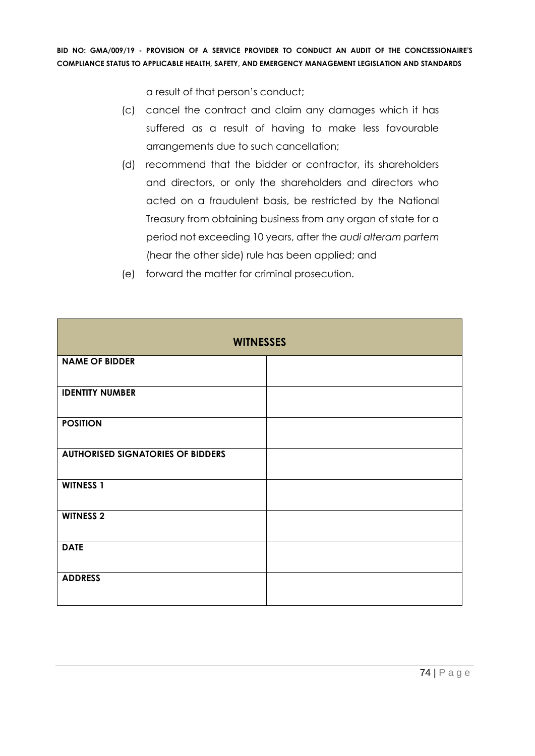a result of that person's conduct;

- (c) cancel the contract and claim any damages which it has suffered as a result of having to make less favourable arrangements due to such cancellation;
- (d) recommend that the bidder or contractor, its shareholders and directors, or only the shareholders and directors who acted on a fraudulent basis, be restricted by the National Treasury from obtaining business from any organ of state for a period not exceeding 10 years, after the *audi alteram partem* (hear the other side) rule has been applied; and
- **WITNESSES NAME OF BIDDER IDENTITY NUMBER POSITION AUTHORISED SIGNATORIES OF BIDDERS WITNESS 1 WITNESS 2 DATE ADDRESS**
- (e) forward the matter for criminal prosecution.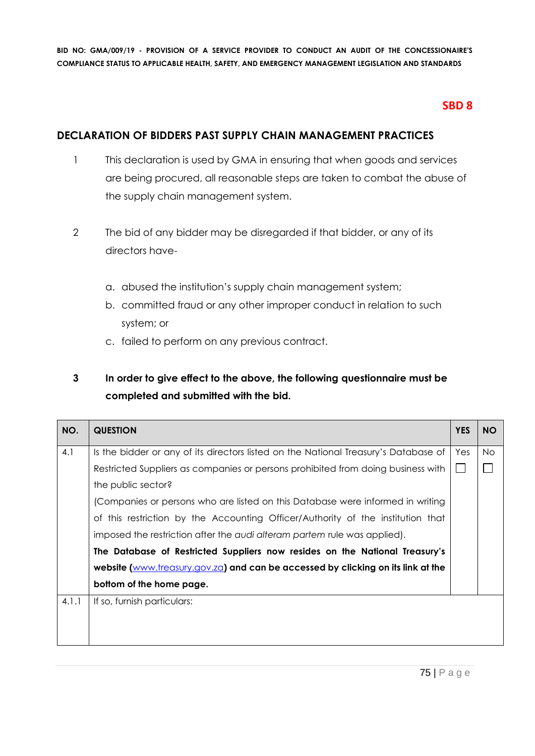# **SBD 8**

## **DECLARATION OF BIDDERS PAST SUPPLY CHAIN MANAGEMENT PRACTICES**

- 1 This declaration is used by GMA in ensuring that when goods and services are being procured, all reasonable steps are taken to combat the abuse of the supply chain management system.
- 2 The bid of any bidder may be disregarded if that bidder, or any of its directors have
	- a. abused the institution's supply chain management system;
	- b. committed fraud or any other improper conduct in relation to such system; or
	- c. failed to perform on any previous contract.

# **3 In order to give effect to the above, the following questionnaire must be completed and submitted with the bid.**

| NO.   | <b>QUESTION</b>                                                                     | <b>YES</b> | <b>NO</b> |
|-------|-------------------------------------------------------------------------------------|------------|-----------|
| 4.1   | Is the bidder or any of its directors listed on the National Treasury's Database of | Yes        | No.       |
|       | Restricted Suppliers as companies or persons prohibited from doing business with    |            |           |
|       | the public sector?                                                                  |            |           |
|       | (Companies or persons who are listed on this Database were informed in writing      |            |           |
|       | of this restriction by the Accounting Officer/Authority of the institution that     |            |           |
|       | imposed the restriction after the audi alteram partem rule was applied).            |            |           |
|       | The Database of Restricted Suppliers now resides on the National Treasury's         |            |           |
|       | website (www.treasury.gov.za) and can be accessed by clicking on its link at the    |            |           |
|       | bottom of the home page.                                                            |            |           |
| 4.1.1 | If so, furnish particulars:                                                         |            |           |
|       |                                                                                     |            |           |
|       |                                                                                     |            |           |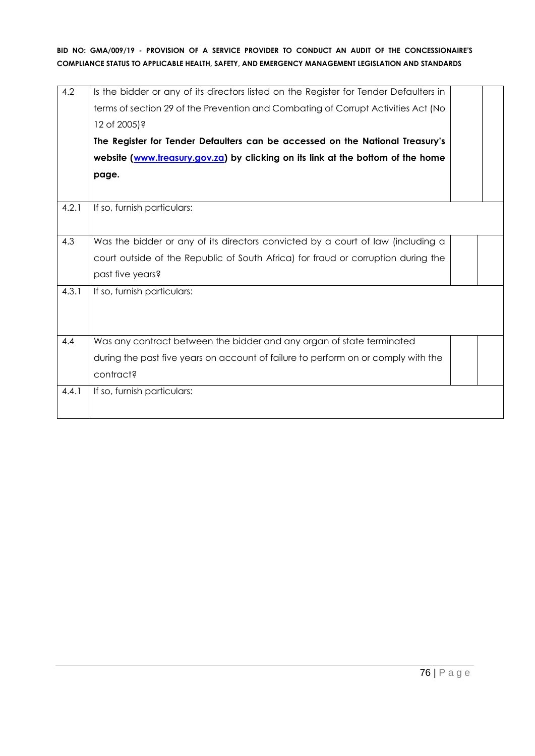| 4.2   | Is the bidder or any of its directors listed on the Register for Tender Defaulters in<br>terms of section 29 of the Prevention and Combating of Corrupt Activities Act (No<br>12 of 2005)?<br>The Register for Tender Defaulters can be accessed on the National Treasury's<br>website (www.treasury.gov.za) by clicking on its link at the bottom of the home<br>page. |  |
|-------|-------------------------------------------------------------------------------------------------------------------------------------------------------------------------------------------------------------------------------------------------------------------------------------------------------------------------------------------------------------------------|--|
| 4.2.1 | If so, furnish particulars:                                                                                                                                                                                                                                                                                                                                             |  |
|       |                                                                                                                                                                                                                                                                                                                                                                         |  |
| 4.3   | Was the bidder or any of its directors convicted by a court of law (including a                                                                                                                                                                                                                                                                                         |  |
|       | court outside of the Republic of South Africa) for fraud or corruption during the                                                                                                                                                                                                                                                                                       |  |
|       | past five years?                                                                                                                                                                                                                                                                                                                                                        |  |
| 4.3.1 | If so, furnish particulars:                                                                                                                                                                                                                                                                                                                                             |  |
|       |                                                                                                                                                                                                                                                                                                                                                                         |  |
| 4.4   |                                                                                                                                                                                                                                                                                                                                                                         |  |
|       | Was any contract between the bidder and any organ of state terminated                                                                                                                                                                                                                                                                                                   |  |
|       | during the past five years on account of failure to perform on or comply with the                                                                                                                                                                                                                                                                                       |  |
|       | contract?                                                                                                                                                                                                                                                                                                                                                               |  |
| 4.4.1 | If so, furnish particulars:                                                                                                                                                                                                                                                                                                                                             |  |
|       |                                                                                                                                                                                                                                                                                                                                                                         |  |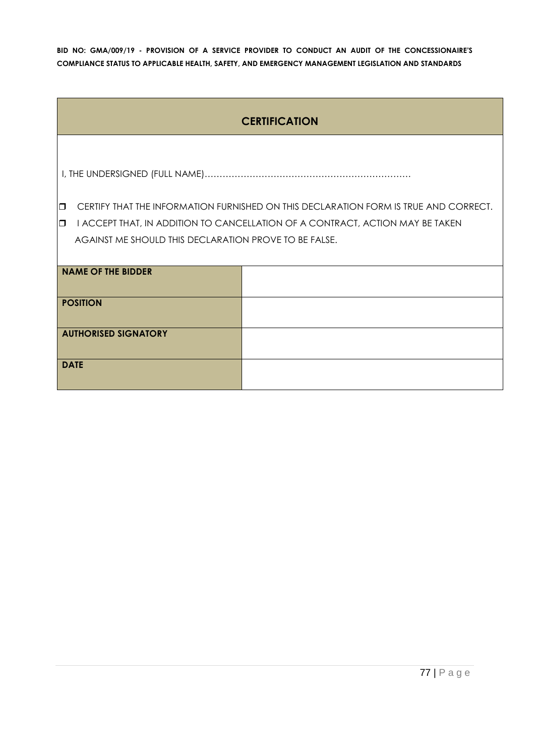| <b>CERTIFICATION</b>                                  |                                                                                      |  |  |
|-------------------------------------------------------|--------------------------------------------------------------------------------------|--|--|
|                                                       |                                                                                      |  |  |
|                                                       |                                                                                      |  |  |
|                                                       |                                                                                      |  |  |
| $\Box$                                                | CERTIFY THAT THE INFORMATION FURNISHED ON THIS DECLARATION FORM IS TRUE AND CORRECT. |  |  |
| $\Box$                                                | I ACCEPT THAT, IN ADDITION TO CANCELLATION OF A CONTRACT, ACTION MAY BE TAKEN        |  |  |
| AGAINST ME SHOULD THIS DECLARATION PROVE TO BE FALSE. |                                                                                      |  |  |
|                                                       |                                                                                      |  |  |
| <b>NAME OF THE BIDDER</b>                             |                                                                                      |  |  |
|                                                       |                                                                                      |  |  |
| <b>POSITION</b>                                       |                                                                                      |  |  |
|                                                       |                                                                                      |  |  |
| <b>AUTHORISED SIGNATORY</b>                           |                                                                                      |  |  |
|                                                       |                                                                                      |  |  |
| <b>DATE</b>                                           |                                                                                      |  |  |
|                                                       |                                                                                      |  |  |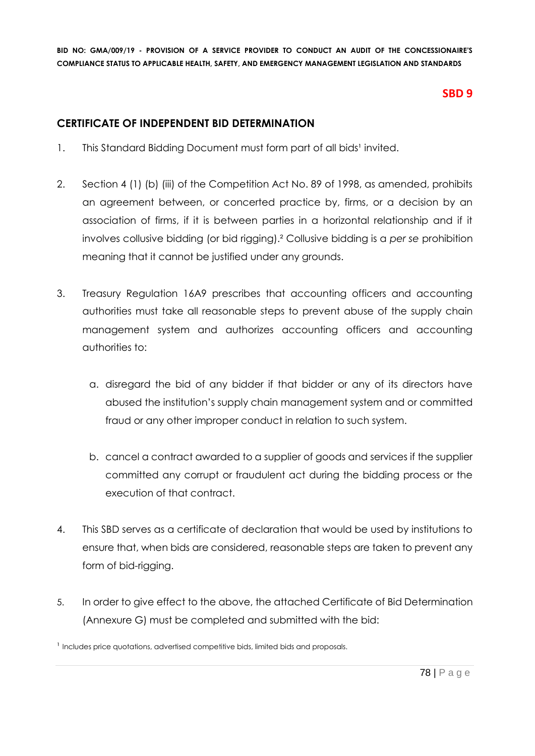## **SBD 9**

### **CERTIFICATE OF INDEPENDENT BID DETERMINATION**

- 1. This Standard Bidding Document must form part of all bids<sup>1</sup> invited.
- 2. Section 4 (1) (b) (iii) of the Competition Act No. 89 of 1998, as amended, prohibits an agreement between, or concerted practice by, firms, or a decision by an association of firms, if it is between parties in a horizontal relationship and if it involves collusive bidding (or bid rigging).² Collusive bidding is a *per se* prohibition meaning that it cannot be justified under any grounds.
- 3. Treasury Regulation 16A9 prescribes that accounting officers and accounting authorities must take all reasonable steps to prevent abuse of the supply chain management system and authorizes accounting officers and accounting authorities to:
	- a. disregard the bid of any bidder if that bidder or any of its directors have abused the institution's supply chain management system and or committed fraud or any other improper conduct in relation to such system.
	- b. cancel a contract awarded to a supplier of goods and services if the supplier committed any corrupt or fraudulent act during the bidding process or the execution of that contract.
- 4. This SBD serves as a certificate of declaration that would be used by institutions to ensure that, when bids are considered, reasonable steps are taken to prevent any form of bid-rigging.
- 5. In order to give effect to the above, the attached Certificate of Bid Determination (Annexure G) must be completed and submitted with the bid:

<sup>&</sup>lt;sup>1</sup> Includes price quotations, advertised competitive bids, limited bids and proposals.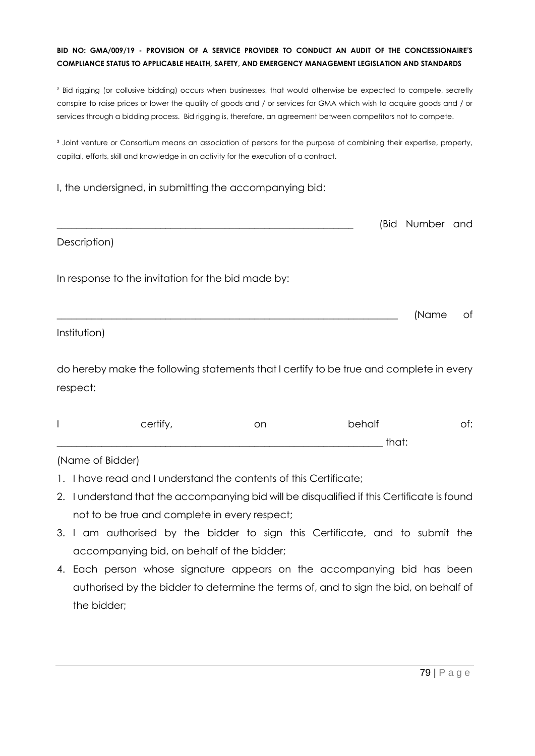² Bid rigging (or collusive bidding) occurs when businesses, that would otherwise be expected to compete, secretly conspire to raise prices or lower the quality of goods and / or services for GMA which wish to acquire goods and / or services through a bidding process. Bid rigging is, therefore, an agreement between competitors not to compete.

<sup>3</sup> Joint venture or Consortium means an association of persons for the purpose of combining their expertise, property, capital, efforts, skill and knowledge in an activity for the execution of a contract.

I, the undersigned, in submitting the accompanying bid:

|                                                    | (Bid Number and |    |
|----------------------------------------------------|-----------------|----|
| Description)                                       |                 |    |
| In response to the invitation for the bid made by: |                 |    |
|                                                    | (Name           | of |
| Institution)                                       |                 |    |

do hereby make the following statements that I certify to be true and complete in every respect:

| certify | on | behalf     | . |
|---------|----|------------|---|
|         |    | +la ∼+<br> |   |

#### (Name of Bidder)

- 1. I have read and I understand the contents of this Certificate;
- 2. I understand that the accompanying bid will be disqualified if this Certificate is found not to be true and complete in every respect;
- 3. I am authorised by the bidder to sign this Certificate, and to submit the accompanying bid, on behalf of the bidder;
- 4. Each person whose signature appears on the accompanying bid has been authorised by the bidder to determine the terms of, and to sign the bid, on behalf of the bidder;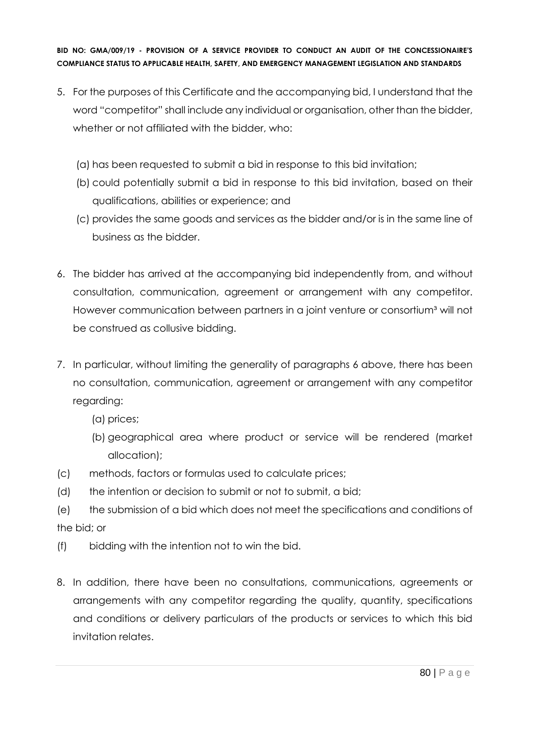- 5. For the purposes of this Certificate and the accompanying bid, I understand that the word "competitor" shall include any individual or organisation, other than the bidder, whether or not affiliated with the bidder, who:
	- (a) has been requested to submit a bid in response to this bid invitation;
	- (b) could potentially submit a bid in response to this bid invitation, based on their qualifications, abilities or experience; and
	- (c) provides the same goods and services as the bidder and/or is in the same line of business as the bidder.
- 6. The bidder has arrived at the accompanying bid independently from, and without consultation, communication, agreement or arrangement with any competitor. However communication between partners in a joint venture or consortium<sup>3</sup> will not be construed as collusive bidding.
- 7. In particular, without limiting the generality of paragraphs 6 above, there has been no consultation, communication, agreement or arrangement with any competitor regarding:
	- (a) prices;
	- (b) geographical area where product or service will be rendered (market allocation);
- (c) methods, factors or formulas used to calculate prices;
- (d) the intention or decision to submit or not to submit, a bid;
- (e) the submission of a bid which does not meet the specifications and conditions of the bid; or
- (f) bidding with the intention not to win the bid.
- 8. In addition, there have been no consultations, communications, agreements or arrangements with any competitor regarding the quality, quantity, specifications and conditions or delivery particulars of the products or services to which this bid invitation relates.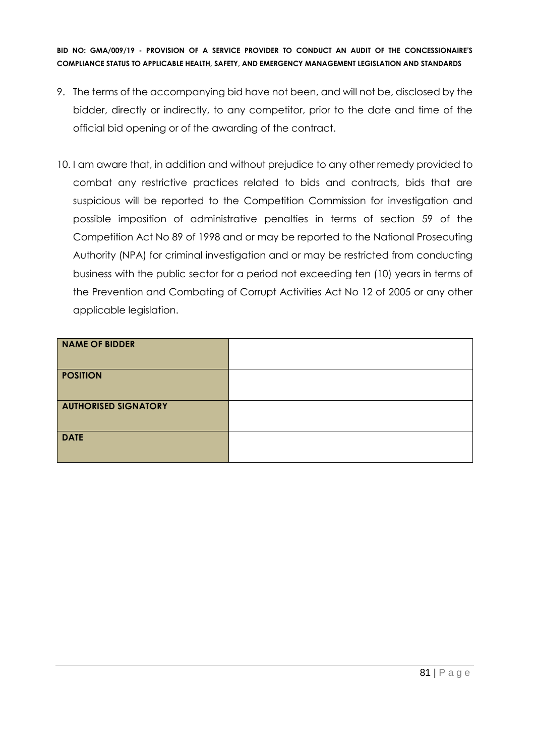- 9. The terms of the accompanying bid have not been, and will not be, disclosed by the bidder, directly or indirectly, to any competitor, prior to the date and time of the official bid opening or of the awarding of the contract.
- 10. I am aware that, in addition and without prejudice to any other remedy provided to combat any restrictive practices related to bids and contracts, bids that are suspicious will be reported to the Competition Commission for investigation and possible imposition of administrative penalties in terms of section 59 of the Competition Act No 89 of 1998 and or may be reported to the National Prosecuting Authority (NPA) for criminal investigation and or may be restricted from conducting business with the public sector for a period not exceeding ten (10) years in terms of the Prevention and Combating of Corrupt Activities Act No 12 of 2005 or any other applicable legislation.

| <b>NAME OF BIDDER</b>       |  |
|-----------------------------|--|
| <b>POSITION</b>             |  |
| <b>AUTHORISED SIGNATORY</b> |  |
| <b>DATE</b>                 |  |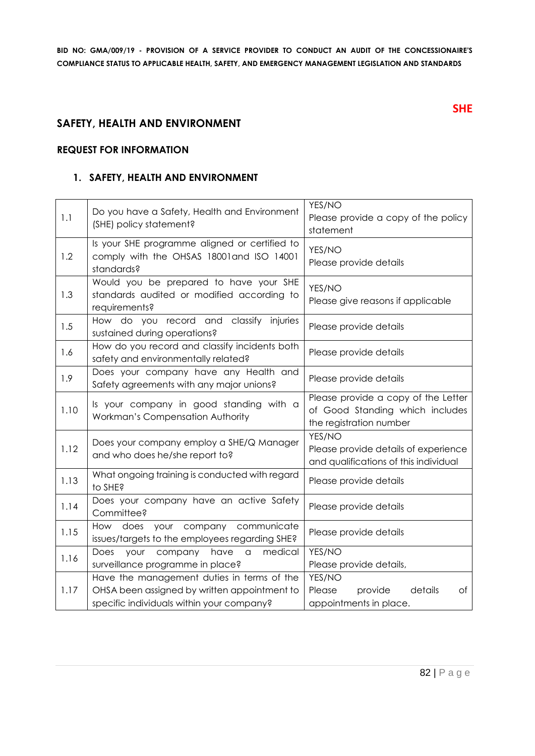#### **SAFETY, HEALTH AND ENVIRONMENT**

#### **REQUEST FOR INFORMATION**

#### **1. SAFETY, HEALTH AND ENVIRONMENT**

| 1.1  | Do you have a Safety, Health and Environment<br>(SHE) policy statement?                                                                 | YES/NO<br>Please provide a copy of the policy<br>statement                                        |
|------|-----------------------------------------------------------------------------------------------------------------------------------------|---------------------------------------------------------------------------------------------------|
| 1.2  | Is your SHE programme aligned or certified to<br>comply with the OHSAS 18001 and ISO 14001<br>standards?                                | YES/NO<br>Please provide details                                                                  |
| 1.3  | Would you be prepared to have your SHE<br>standards audited or modified according to<br>requirements?                                   | YES/NO<br>Please give reasons if applicable                                                       |
| 1.5  | How do you record and classify injuries<br>sustained during operations?                                                                 | Please provide details                                                                            |
| 1.6  | How do you record and classify incidents both<br>safety and environmentally related?                                                    | Please provide details                                                                            |
| 1.9  | Does your company have any Health and<br>Safety agreements with any major unions?                                                       | Please provide details                                                                            |
| 1.10 | Is your company in good standing with a<br>Workman's Compensation Authority                                                             | Please provide a copy of the Letter<br>of Good Standing which includes<br>the registration number |
| 1.12 | Does your company employ a SHE/Q Manager<br>and who does he/she report to?                                                              | YES/NO<br>Please provide details of experience<br>and qualifications of this individual           |
| 1.13 | What ongoing training is conducted with regard<br>to SHE?                                                                               | Please provide details                                                                            |
| 1.14 | Does your company have an active Safety<br>Committee?                                                                                   | Please provide details                                                                            |
| 1.15 | How does your company communicate<br>issues/targets to the employees regarding SHE?                                                     | Please provide details                                                                            |
| 1.16 | Does<br>medical<br>your<br>company<br>have<br>a<br>surveillance programme in place?                                                     | YES/NO<br>Please provide details,                                                                 |
| 1.17 | Have the management duties in terms of the<br>OHSA been assigned by written appointment to<br>specific individuals within your company? | YES/NO<br>details<br>Please<br>provide<br>Оf<br>appointments in place.                            |

**SHE**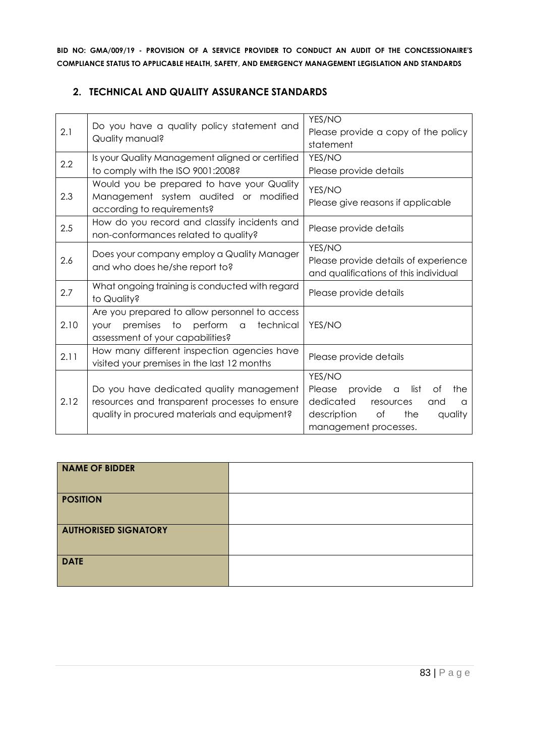#### **2. TECHNICAL AND QUALITY ASSURANCE STANDARDS**

| 2.1  | Do you have a quality policy statement and<br>Quality manual?                                                                                    | YES/NO<br>Please provide a copy of the policy<br>statement                                                                                                  |
|------|--------------------------------------------------------------------------------------------------------------------------------------------------|-------------------------------------------------------------------------------------------------------------------------------------------------------------|
| 2.2  | Is your Quality Management aligned or certified<br>to comply with the ISO 9001:2008?                                                             | YES/NO<br>Please provide details                                                                                                                            |
| 2.3  | Would you be prepared to have your Quality<br>Management system audited or modified<br>according to requirements?                                | YES/NO<br>Please give reasons if applicable                                                                                                                 |
| 2.5  | How do you record and classify incidents and<br>non-conformances related to quality?                                                             | Please provide details                                                                                                                                      |
| 2.6  | Does your company employ a Quality Manager<br>and who does he/she report to?                                                                     | YES/NO<br>Please provide details of experience<br>and qualifications of this individual                                                                     |
| 2.7  | What ongoing training is conducted with regard<br>to Quality?                                                                                    | Please provide details                                                                                                                                      |
| 2.10 | Are you prepared to allow personnel to access<br>premises to perform<br>technical<br>$\alpha$<br><b>YOUr</b><br>assessment of your capabilities? | YES/NO                                                                                                                                                      |
| 2.11 | How many different inspection agencies have<br>visited your premises in the last 12 months                                                       | Please provide details                                                                                                                                      |
| 2.12 | Do you have dedicated quality management<br>resources and transparent processes to ensure<br>quality in procured materials and equipment?        | YES/NO<br>provide<br>list<br>Please<br>Οf<br>the<br>a<br>dedicated<br>resources<br>and<br>a<br>the<br>description<br>Оf<br>quality<br>management processes. |

| NAME OF BIDDER              |  |
|-----------------------------|--|
| <b>POSITION</b>             |  |
| <b>AUTHORISED SIGNATORY</b> |  |
| <b>DATE</b>                 |  |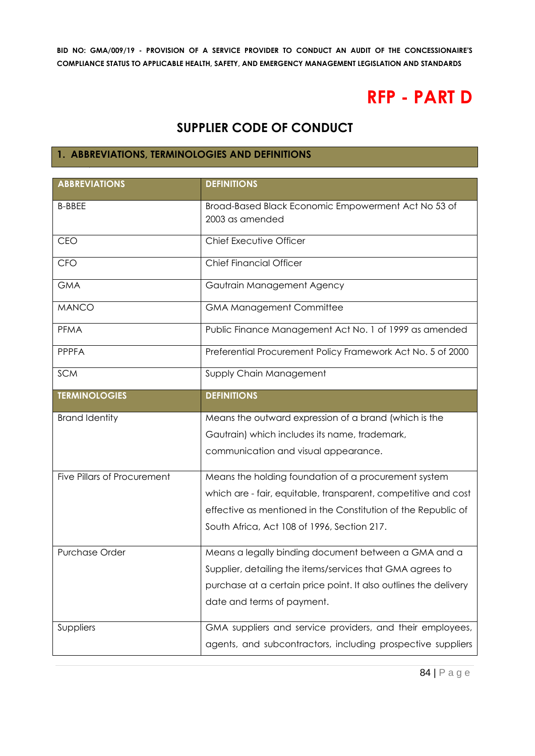# **RFP - PART D**

# **SUPPLIER CODE OF CONDUCT**

# **1. ABBREVIATIONS, TERMINOLOGIES AND DEFINITIONS**

| <b>ABBREVIATIONS</b>        | <b>DEFINITIONS</b>                                               |
|-----------------------------|------------------------------------------------------------------|
|                             |                                                                  |
| <b>B-BBEE</b>               | Broad-Based Black Economic Empowerment Act No 53 of              |
|                             | 2003 as amended                                                  |
| CEO                         | Chief Executive Officer                                          |
| <b>CFO</b>                  | <b>Chief Financial Officer</b>                                   |
| <b>GMA</b>                  | Gautrain Management Agency                                       |
| <b>MANCO</b>                | <b>GMA Management Committee</b>                                  |
| <b>PFMA</b>                 | Public Finance Management Act No. 1 of 1999 as amended           |
| <b>PPPFA</b>                | Preferential Procurement Policy Framework Act No. 5 of 2000      |
| <b>SCM</b>                  | Supply Chain Management                                          |
| <b>TERMINOLOGIES</b>        | <b>DEFINITIONS</b>                                               |
| <b>Brand Identity</b>       | Means the outward expression of a brand (which is the            |
|                             |                                                                  |
|                             |                                                                  |
|                             | Gautrain) which includes its name, trademark,                    |
|                             | communication and visual appearance.                             |
| Five Pillars of Procurement | Means the holding foundation of a procurement system             |
|                             | which are - fair, equitable, transparent, competitive and cost   |
|                             | effective as mentioned in the Constitution of the Republic of    |
|                             | South Africa, Act 108 of 1996, Section 217.                      |
|                             |                                                                  |
| Purchase Order              | Means a legally binding document between a GMA and a             |
|                             | Supplier, detailing the items/services that GMA agrees to        |
|                             | purchase at a certain price point. It also outlines the delivery |
|                             | date and terms of payment.                                       |
| Suppliers                   | GMA suppliers and service providers, and their employees,        |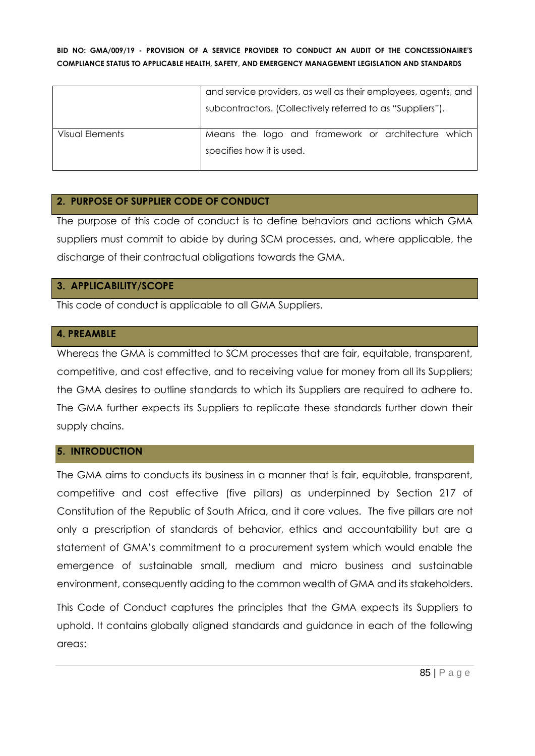|                 | and service providers, as well as their employees, agents, and |  |  |
|-----------------|----------------------------------------------------------------|--|--|
|                 | subcontractors. (Collectively referred to as "Suppliers").     |  |  |
| Visual Elements | Means the logo and framework or architecture which             |  |  |
|                 | specifies how it is used.                                      |  |  |

#### **2. PURPOSE OF SUPPLIER CODE OF CONDUCT**

The purpose of this code of conduct is to define behaviors and actions which GMA suppliers must commit to abide by during SCM processes, and, where applicable, the discharge of their contractual obligations towards the GMA.

#### **3. APPLICABILITY/SCOPE**

This code of conduct is applicable to all GMA Suppliers.

#### **4. PREAMBLE**

Whereas the GMA is committed to SCM processes that are fair, equitable, transparent, competitive, and cost effective, and to receiving value for money from all its Suppliers; the GMA desires to outline standards to which its Suppliers are required to adhere to. The GMA further expects its Suppliers to replicate these standards further down their supply chains.

#### **5. INTRODUCTION**

The GMA aims to conducts its business in a manner that is fair, equitable, transparent, competitive and cost effective (five pillars) as underpinned by Section 217 of Constitution of the Republic of South Africa, and it core values. The five pillars are not only a prescription of standards of behavior, ethics and accountability but are a statement of GMA's commitment to a procurement system which would enable the emergence of sustainable small, medium and micro business and sustainable environment, consequently adding to the common wealth of GMA and its stakeholders.

This Code of Conduct captures the principles that the GMA expects its Suppliers to uphold. It contains globally aligned standards and guidance in each of the following areas: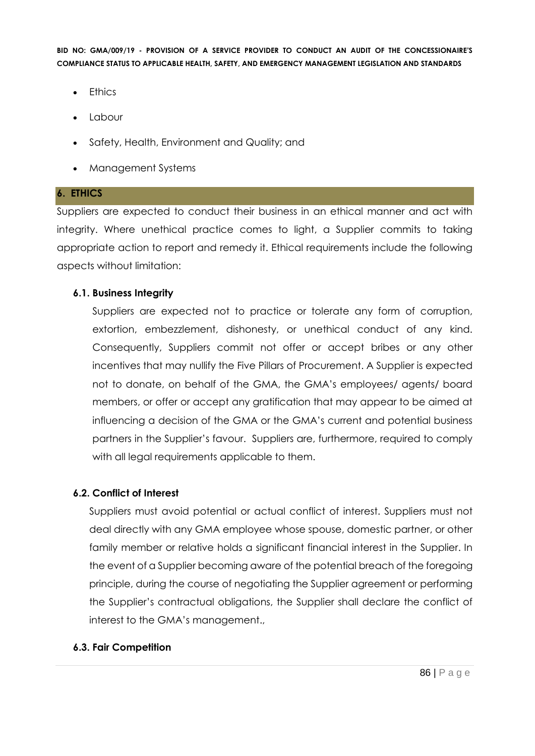- Ethics
- Labour
- Safety, Health, Environment and Quality; and
- Management Systems

#### **6. ETHICS**

Suppliers are expected to conduct their business in an ethical manner and act with integrity. Where unethical practice comes to light, a Supplier commits to taking appropriate action to report and remedy it. Ethical requirements include the following aspects without limitation:

#### **6.1. Business Integrity**

Suppliers are expected not to practice or tolerate any form of corruption, extortion, embezzlement, dishonesty, or unethical conduct of any kind. Consequently, Suppliers commit not offer or accept bribes or any other incentives that may nullify the Five Pillars of Procurement. A Supplier is expected not to donate, on behalf of the GMA, the GMA's employees/ agents/ board members, or offer or accept any gratification that may appear to be aimed at influencing a decision of the GMA or the GMA's current and potential business partners in the Supplier's favour. Suppliers are, furthermore, required to comply with all legal requirements applicable to them.

#### **6.2. Conflict of Interest**

Suppliers must avoid potential or actual conflict of interest. Suppliers must not deal directly with any GMA employee whose spouse, domestic partner, or other family member or relative holds a significant financial interest in the Supplier. In the event of a Supplier becoming aware of the potential breach of the foregoing principle, during the course of negotiating the Supplier agreement or performing the Supplier's contractual obligations, the Supplier shall declare the conflict of interest to the GMA's management.,

#### **6.3. Fair Competition**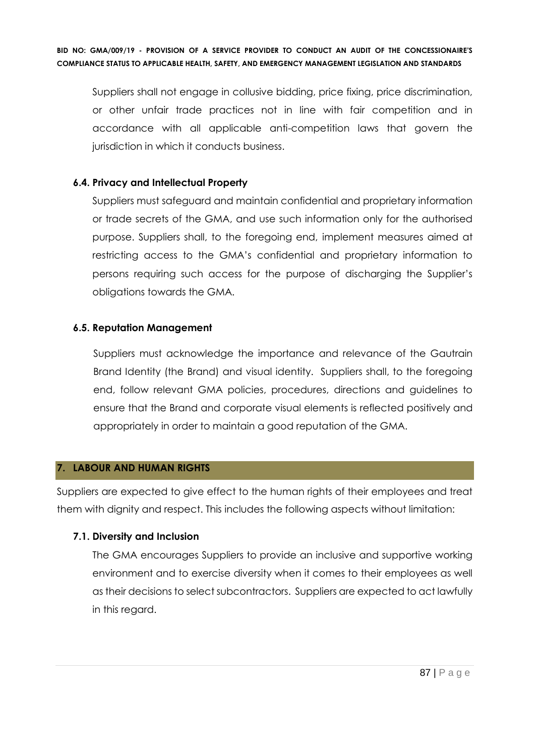Suppliers shall not engage in collusive bidding, price fixing, price discrimination, or other unfair trade practices not in line with fair competition and in accordance with all applicable anti-competition laws that govern the jurisdiction in which it conducts business.

#### **6.4. Privacy and Intellectual Property**

Suppliers must safeguard and maintain confidential and proprietary information or trade secrets of the GMA, and use such information only for the authorised purpose. Suppliers shall, to the foregoing end, implement measures aimed at restricting access to the GMA's confidential and proprietary information to persons requiring such access for the purpose of discharging the Supplier's obligations towards the GMA.

#### **6.5. Reputation Management**

Suppliers must acknowledge the importance and relevance of the Gautrain Brand Identity (the Brand) and visual identity. Suppliers shall, to the foregoing end, follow relevant GMA policies, procedures, directions and guidelines to ensure that the Brand and corporate visual elements is reflected positively and appropriately in order to maintain a good reputation of the GMA.

#### **7. LABOUR AND HUMAN RIGHTS**

Suppliers are expected to give effect to the human rights of their employees and treat them with dignity and respect. This includes the following aspects without limitation:

#### **7.1. Diversity and Inclusion**

The GMA encourages Suppliers to provide an inclusive and supportive working environment and to exercise diversity when it comes to their employees as well as their decisions to select subcontractors. Suppliers are expected to act lawfully in this regard.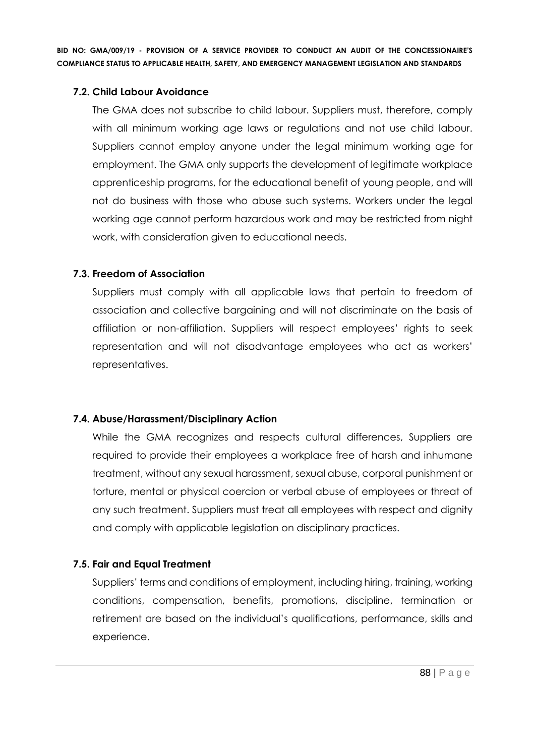#### **7.2. Child Labour Avoidance**

The GMA does not subscribe to child labour. Suppliers must, therefore, comply with all minimum working age laws or regulations and not use child labour. Suppliers cannot employ anyone under the legal minimum working age for employment. The GMA only supports the development of legitimate workplace apprenticeship programs, for the educational benefit of young people, and will not do business with those who abuse such systems. Workers under the legal working age cannot perform hazardous work and may be restricted from night work, with consideration given to educational needs.

#### **7.3. Freedom of Association**

Suppliers must comply with all applicable laws that pertain to freedom of association and collective bargaining and will not discriminate on the basis of affiliation or non-affiliation. Suppliers will respect employees' rights to seek representation and will not disadvantage employees who act as workers' representatives.

#### **7.4. Abuse/Harassment/Disciplinary Action**

While the GMA recognizes and respects cultural differences, Suppliers are required to provide their employees a workplace free of harsh and inhumane treatment, without any sexual harassment, sexual abuse, corporal punishment or torture, mental or physical coercion or verbal abuse of employees or threat of any such treatment. Suppliers must treat all employees with respect and dignity and comply with applicable legislation on disciplinary practices.

#### **7.5. Fair and Equal Treatment**

Suppliers' terms and conditions of employment, including hiring, training, working conditions, compensation, benefits, promotions, discipline, termination or retirement are based on the individual's qualifications, performance, skills and experience.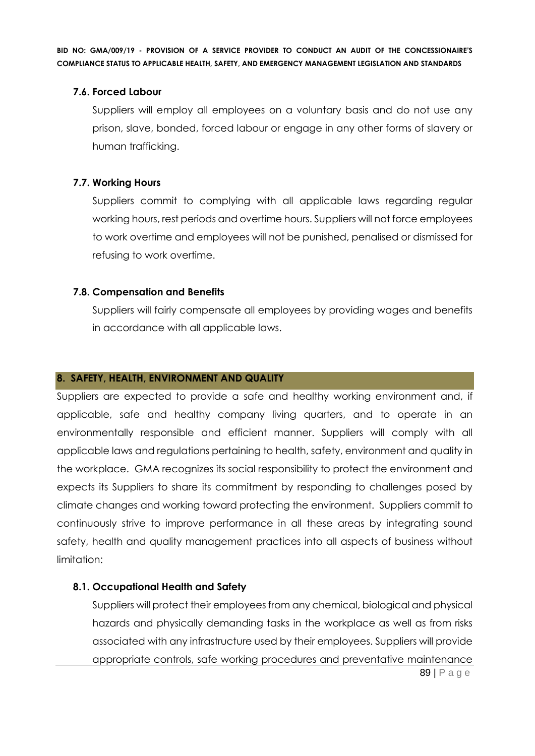#### **7.6. Forced Labour**

Suppliers will employ all employees on a voluntary basis and do not use any prison, slave, bonded, forced labour or engage in any other forms of slavery or human trafficking.

#### **7.7. Working Hours**

Suppliers commit to complying with all applicable laws regarding regular working hours, rest periods and overtime hours. Suppliers will not force employees to work overtime and employees will not be punished, penalised or dismissed for refusing to work overtime.

#### **7.8. Compensation and Benefits**

Suppliers will fairly compensate all employees by providing wages and benefits in accordance with all applicable laws.

#### **8. SAFETY, HEALTH, ENVIRONMENT AND QUALITY**

Suppliers are expected to provide a safe and healthy working environment and, if applicable, safe and healthy company living quarters, and to operate in an environmentally responsible and efficient manner. Suppliers will comply with all applicable laws and regulations pertaining to health, safety, environment and quality in the workplace. GMA recognizes its social responsibility to protect the environment and expects its Suppliers to share its commitment by responding to challenges posed by climate changes and working toward protecting the environment. Suppliers commit to continuously strive to improve performance in all these areas by integrating sound safety, health and quality management practices into all aspects of business without limitation:

#### **8.1. Occupational Health and Safety**

89 | P a g e Suppliers will protect their employees from any chemical, biological and physical hazards and physically demanding tasks in the workplace as well as from risks associated with any infrastructure used by their employees. Suppliers will provide appropriate controls, safe working procedures and preventative maintenance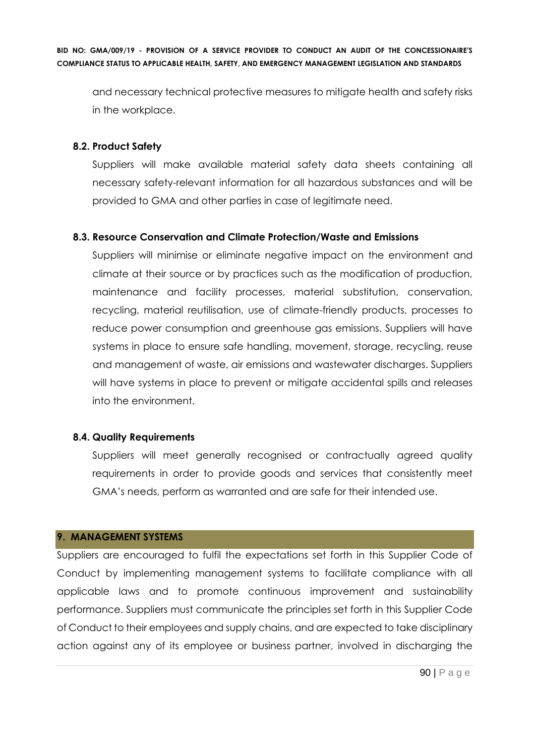and necessary technical protective measures to mitigate health and safety risks in the workplace.

#### **8.2. Product Safety**

Suppliers will make available material safety data sheets containing all necessary safety-relevant information for all hazardous substances and will be provided to GMA and other parties in case of legitimate need.

#### **8.3. Resource Conservation and Climate Protection/Waste and Emissions**

Suppliers will minimise or eliminate negative impact on the environment and climate at their source or by practices such as the modification of production, maintenance and facility processes, material substitution, conservation, recycling, material reutilisation, use of climate-friendly products, processes to reduce power consumption and greenhouse gas emissions. Suppliers will have systems in place to ensure safe handling, movement, storage, recycling, reuse and management of waste, air emissions and wastewater discharges. Suppliers will have systems in place to prevent or mitigate accidental spills and releases into the environment.

#### **8.4. Quality Requirements**

Suppliers will meet generally recognised or contractually agreed quality requirements in order to provide goods and services that consistently meet GMA's needs, perform as warranted and are safe for their intended use.

#### **9. MANAGEMENT SYSTEMS**

Suppliers are encouraged to fulfil the expectations set forth in this Supplier Code of Conduct by implementing management systems to facilitate compliance with all applicable laws and to promote continuous improvement and sustainability performance. Suppliers must communicate the principles set forth in this Supplier Code of Conduct to their employees and supply chains, and are expected to take disciplinary action against any of its employee or business partner, involved in discharging the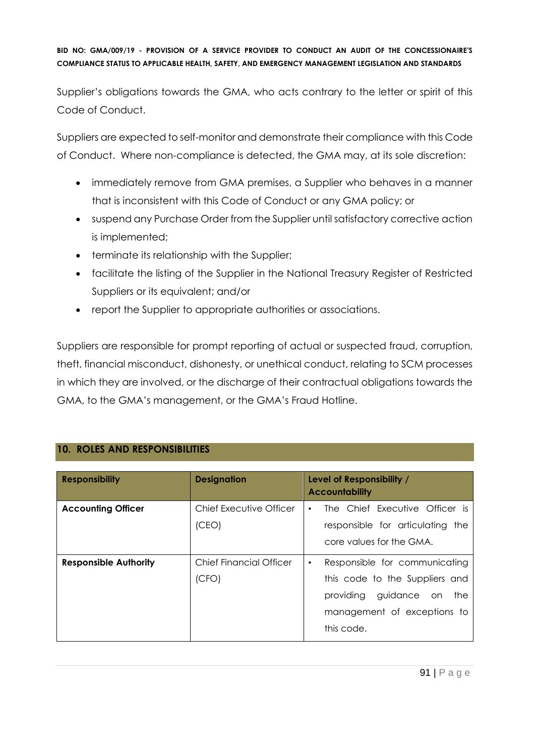Supplier's obligations towards the GMA, who acts contrary to the letter or spirit of this Code of Conduct.

Suppliers are expected to self-monitor and demonstrate their compliance with this Code of Conduct. Where non-compliance is detected, the GMA may, at its sole discretion:

- immediately remove from GMA premises, a Supplier who behaves in a manner that is inconsistent with this Code of Conduct or any GMA policy; or
- suspend any Purchase Order from the Supplier until satisfactory corrective action is implemented;
- terminate its relationship with the Supplier;
- facilitate the listing of the Supplier in the National Treasury Register of Restricted Suppliers or its equivalent; and/or
- report the Supplier to appropriate authorities or associations.

Suppliers are responsible for prompt reporting of actual or suspected fraud, corruption, theft, financial misconduct, dishonesty, or unethical conduct, relating to SCM processes in which they are involved, or the discharge of their contractual obligations towards the GMA, to the GMA's management, or the GMA's Fraud Hotline.

## **10. ROLES AND RESPONSIBILITIES**

| <b>Responsibility</b>        | <b>Designation</b>      | Level of Responsibility /<br><b>Accountability</b> |
|------------------------------|-------------------------|----------------------------------------------------|
| <b>Accounting Officer</b>    | Chief Executive Officer | The Chief Executive Officer is<br>$\bullet$        |
|                              | (CEO)                   | responsible for articulating the                   |
|                              |                         | core values for the GMA.                           |
| <b>Responsible Authority</b> | Chief Financial Officer | Responsible for communicating<br>$\bullet$         |
|                              | (CFO)                   | this code to the Suppliers and                     |
|                              |                         | providing guidance on the                          |
|                              |                         | management of exceptions to                        |
|                              |                         | this code.                                         |
|                              |                         |                                                    |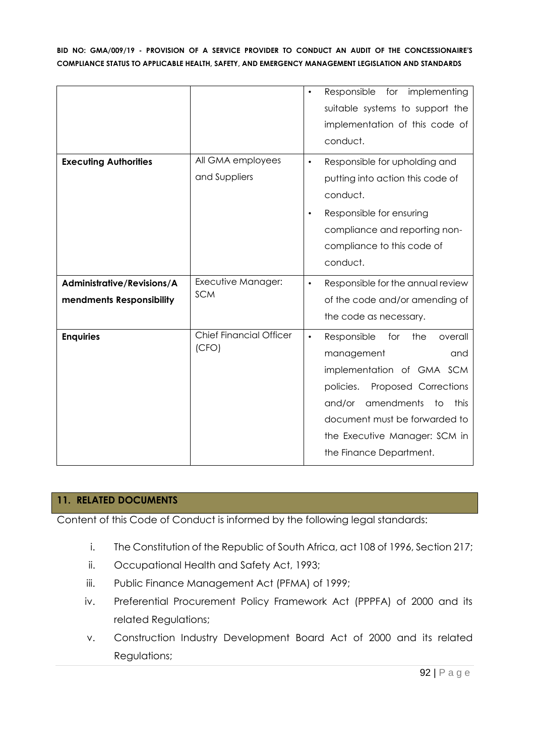|                                                        |                                         | Responsible for implementing<br>$\bullet$<br>suitable systems to support the<br>implementation of this code of<br>conduct.                                                                                                                                                  |
|--------------------------------------------------------|-----------------------------------------|-----------------------------------------------------------------------------------------------------------------------------------------------------------------------------------------------------------------------------------------------------------------------------|
| <b>Executing Authorities</b>                           | All GMA employees<br>and Suppliers      | Responsible for upholding and<br>$\bullet$<br>putting into action this code of<br>conduct.<br>Responsible for ensuring<br>$\bullet$<br>compliance and reporting non-<br>compliance to this code of<br>conduct.                                                              |
| Administrative/Revisions/A<br>mendments Responsibility | Executive Manager:<br><b>SCM</b>        | Responsible for the annual review<br>$\bullet$<br>of the code and/or amending of<br>the code as necessary.                                                                                                                                                                  |
| <b>Enquiries</b>                                       | <b>Chief Financial Officer</b><br>(CFO) | Responsible<br>for<br>the<br>overall<br>$\bullet$<br>management<br>and<br>implementation of GMA SCM<br>policies.<br>Proposed Corrections<br>amendments<br>this<br>and/or<br>to<br>document must be forwarded to<br>the Executive Manager: SCM in<br>the Finance Department. |

#### **11. RELATED DOCUMENTS**

Content of this Code of Conduct is informed by the following legal standards:

- i. The Constitution of the Republic of South Africa, act 108 of 1996, Section 217;
- ii. Occupational Health and Safety Act, 1993;
- iii. Public Finance Management Act (PFMA) of 1999;
- iv. Preferential Procurement Policy Framework Act (PPPFA) of 2000 and its related Regulations;
- v. Construction Industry Development Board Act of 2000 and its related Regulations;